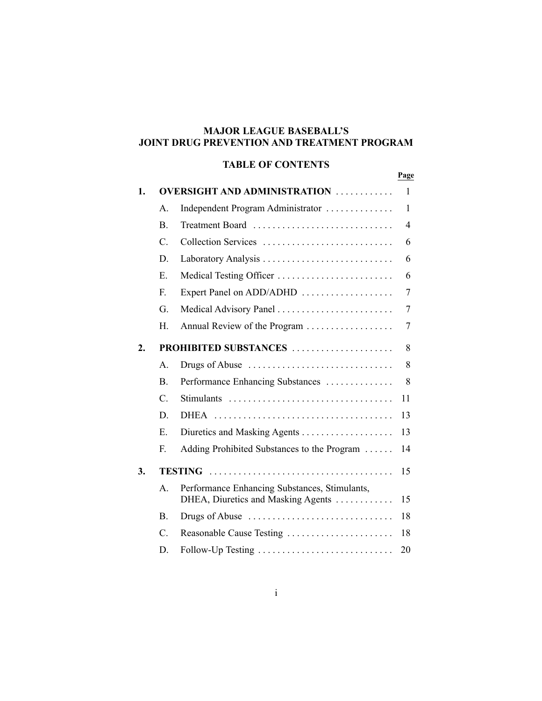# **MAJOR LEAGUE BASEBALL'S JOINT DRUG PREVENTION AND TREATMENT PROGRAM**

# **TABLE OF CONTENTS**

|    |                 |                                                                                     | Page           |
|----|-----------------|-------------------------------------------------------------------------------------|----------------|
| 1. |                 | <b>OVERSIGHT AND ADMINISTRATION</b>                                                 | 1              |
|    | $\mathsf{A}$ .  | Independent Program Administrator                                                   | 1              |
|    | $\mathbf{B}$ .  | Treatment Board                                                                     | $\overline{4}$ |
|    | $\mathcal{C}$ . | Collection Services                                                                 | 6              |
|    | D.              |                                                                                     | 6              |
|    | Е.              | Medical Testing Officer                                                             | 6              |
|    | $F_{\cdot}$     |                                                                                     | 7              |
|    | G               | Medical Advisory Panel                                                              | 7              |
|    | Н.              | Annual Review of the Program                                                        | 7              |
| 2. |                 | PROHIBITED SUBSTANCES                                                               | 8              |
|    | A.              | Drugs of Abuse                                                                      | 8              |
|    | <sub>B</sub>    | Performance Enhancing Substances                                                    | 8              |
|    | $C_{\cdot}$     | Stimulants                                                                          | 11             |
|    | D.              |                                                                                     | 13             |
|    | $E_{\parallel}$ |                                                                                     | 13             |
|    | F.              | Adding Prohibited Substances to the Program                                         | 14             |
| 3. |                 |                                                                                     | 15             |
|    | A.              | Performance Enhancing Substances, Stimulants,<br>DHEA, Diuretics and Masking Agents | 15             |
|    | <sub>B</sub>    | Drugs of Abuse                                                                      | 18             |
|    | $C_{\cdot}$     | Reasonable Cause Testing                                                            | 18             |
|    | D.              | Follow-Up Testing                                                                   | 20             |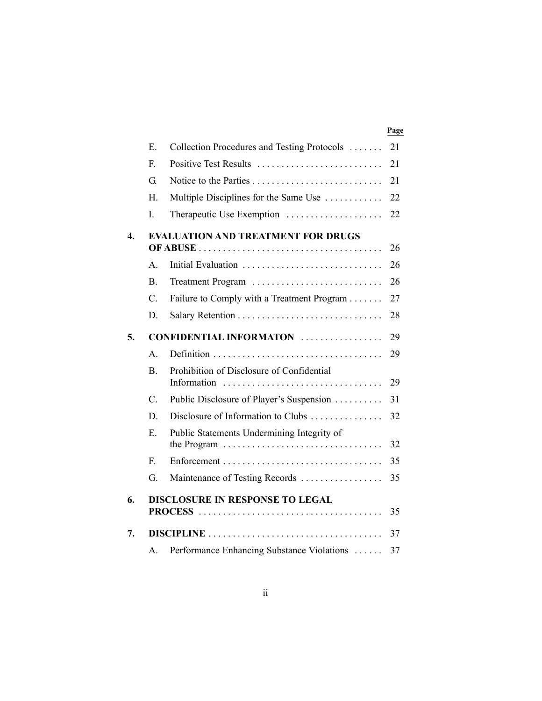|    |                |                                                                                                                                   | Page |
|----|----------------|-----------------------------------------------------------------------------------------------------------------------------------|------|
|    | Ε.             | Collection Procedures and Testing Protocols                                                                                       | 21   |
|    | $F_{\cdot}$    | Positive Test Results                                                                                                             | 21   |
|    | G.             |                                                                                                                                   | 21   |
|    | Н.             | Multiple Disciplines for the Same Use                                                                                             | 22   |
|    | L              | Therapeutic Use Exemption                                                                                                         | 22   |
| 4. |                | <b>EVALUATION AND TREATMENT FOR DRUGS</b>                                                                                         | 26   |
|    | $\mathsf{A}$ . | Initial Evaluation                                                                                                                | 26   |
|    | B.             |                                                                                                                                   | 26   |
|    | C.             | Failure to Comply with a Treatment Program                                                                                        | 27   |
|    | D.             |                                                                                                                                   | 28   |
| 5. |                | <b>CONFIDENTIAL INFORMATON</b>                                                                                                    | 29   |
|    | $\mathsf{A}$   |                                                                                                                                   | 29   |
|    | $\mathbf{B}$ . | Prohibition of Disclosure of Confidential                                                                                         | 29   |
|    | $C_{\cdot}$    | Public Disclosure of Player's Suspension                                                                                          | 31   |
|    | D              | Disclosure of Information to Clubs                                                                                                | 32   |
|    | E.             | Public Statements Undermining Integrity of<br>the Program $\ldots \ldots \ldots \ldots \ldots \ldots \ldots \ldots \ldots \ldots$ | 32   |
|    | F.             |                                                                                                                                   | 35   |
|    | G.             | Maintenance of Testing Records                                                                                                    | 35   |
| 6. |                | <b>DISCLOSURE IN RESPONSE TO LEGAL</b>                                                                                            | 35   |
| 7. |                |                                                                                                                                   | 37   |
|    | $\mathsf{A}$ . | Performance Enhancing Substance Violations                                                                                        | 37   |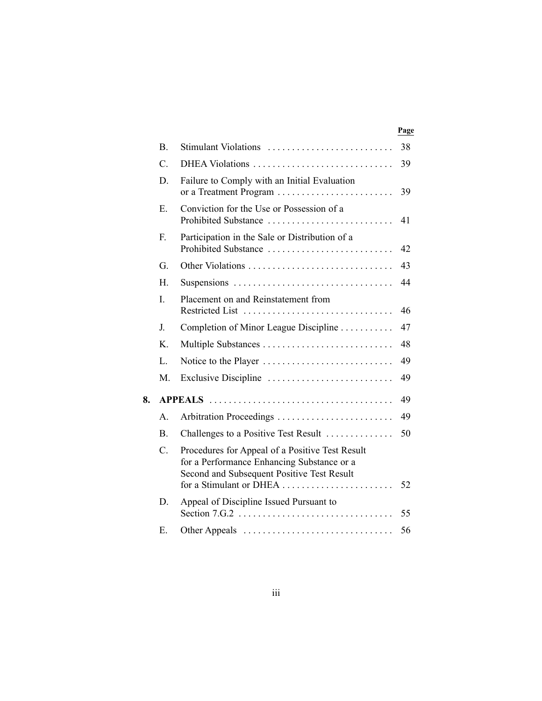|    |                 |                                                                                                                                                                        | rage |
|----|-----------------|------------------------------------------------------------------------------------------------------------------------------------------------------------------------|------|
|    | B.              | Stimulant Violations                                                                                                                                                   | 38   |
|    | $\mathcal{C}$ . | DHEA Violations                                                                                                                                                        | 39   |
|    | D               | Failure to Comply with an Initial Evaluation<br>or a Treatment Program                                                                                                 | 39   |
|    | Ε.              | Conviction for the Use or Possession of a<br>Prohibited Substance                                                                                                      | 41   |
|    | F.              | Participation in the Sale or Distribution of a<br>Prohibited Substance                                                                                                 | 42   |
|    | G.              | Other Violations                                                                                                                                                       | 43   |
|    | H.              |                                                                                                                                                                        | 44   |
|    | I.              | Placement on and Reinstatement from<br>Restricted List                                                                                                                 | 46   |
|    | J.              | Completion of Minor League Discipline                                                                                                                                  | 47   |
|    | K.              | Multiple Substances                                                                                                                                                    | 48   |
|    | L.              | Notice to the Player                                                                                                                                                   | 49   |
|    | M.              | Exclusive Discipline                                                                                                                                                   | 49   |
| 8. |                 |                                                                                                                                                                        | 49   |
|    | A.              |                                                                                                                                                                        | 49   |
|    | B <sub>1</sub>  | Challenges to a Positive Test Result                                                                                                                                   | 50   |
|    | $\mathcal{C}$ . | Procedures for Appeal of a Positive Test Result<br>for a Performance Enhancing Substance or a<br>Second and Subsequent Positive Test Result<br>for a Stimulant or DHEA | 52   |
|    | D.              | Appeal of Discipline Issued Pursuant to                                                                                                                                | 55   |
|    | Е.              |                                                                                                                                                                        | 56   |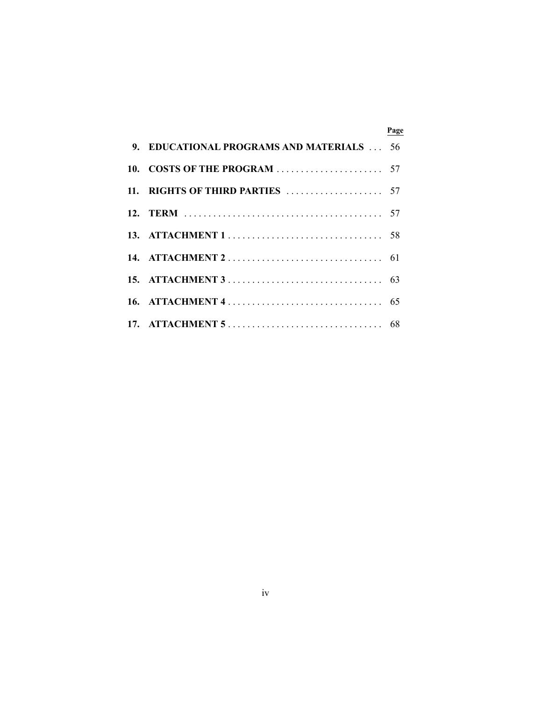|                                       | Page |
|---------------------------------------|------|
| 9. EDUCATIONAL PROGRAMS AND MATERIALS | -56  |
|                                       |      |
|                                       |      |
|                                       |      |
|                                       |      |
|                                       |      |
|                                       |      |
|                                       |      |
|                                       |      |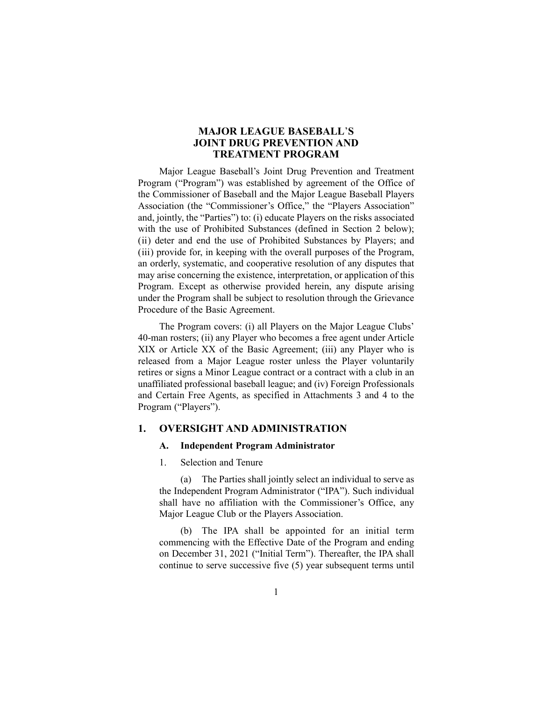# **MAJOR LEAGUE BASEBALL**'**S JOINT DRUG PREVENTION AND TREATMENT PROGRAM**

Major League Baseball's Joint Drug Prevention and Treatment Program ("Program") was established by agreement of the Office of the Commissioner of Baseball and the Major League Baseball Players Association (the "Commissioner's Office," the "Players Association" and, jointly, the "Parties") to: (i) educate Players on the risks associated with the use of Prohibited Substances (defined in Section 2 below); (ii) deter and end the use of Prohibited Substances by Players; and (iii) provide for, in keeping with the overall purposes of the Program, an orderly, systematic, and cooperative resolution of any disputes that may arise concerning the existence, interpretation, or application of this Program. Except as otherwise provided herein, any dispute arising under the Program shall be subject to resolution through the Grievance Procedure of the Basic Agreement.

The Program covers: (i) all Players on the Major League Clubs' 40-man rosters; (ii) any Player who becomes a free agent under Article XIX or Article XX of the Basic Agreement; (iii) any Player who is released from a Major League roster unless the Player voluntarily retires or signs a Minor League contract or a contract with a club in an unaffiliated professional baseball league; and (iv) Foreign Professionals and Certain Free Agents, as specified in Attachments 3 and 4 to the Program ("Players").

### **1. OVERSIGHT AND ADMINISTRATION**

### **A. Independent Program Administrator**

1. Selection and Tenure

(a) The Parties shall jointly select an individual to serve as the Independent Program Administrator ("IPA"). Such individual shall have no affiliation with the Commissioner's Office, any Major League Club or the Players Association.

(b) The IPA shall be appointed for an initial term commencing with the Effective Date of the Program and ending on December 31, 2021 ("Initial Term"). Thereafter, the IPA shall continue to serve successive five (5) year subsequent terms until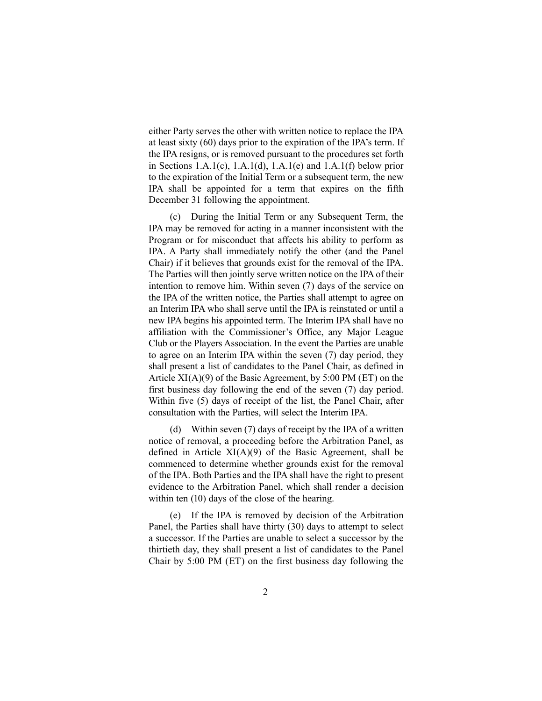either Party serves the other with written notice to replace the IPA at least sixty (60) days prior to the expiration of the IPA's term. If the IPA resigns, or is removed pursuant to the procedures set forth in Sections  $1.A.1(c)$ ,  $1.A.1(d)$ ,  $1.A.1(e)$  and  $1.A.1(f)$  below prior to the expiration of the Initial Term or a subsequent term, the new IPA shall be appointed for a term that expires on the fifth December 31 following the appointment.

(c) During the Initial Term or any Subsequent Term, the IPA may be removed for acting in a manner inconsistent with the Program or for misconduct that affects his ability to perform as IPA. A Party shall immediately notify the other (and the Panel Chair) if it believes that grounds exist for the removal of the IPA. The Parties will then jointly serve written notice on the IPA of their intention to remove him. Within seven (7) days of the service on the IPA of the written notice, the Parties shall attempt to agree on an Interim IPA who shall serve until the IPA is reinstated or until a new IPA begins his appointed term. The Interim IPA shall have no affiliation with the Commissioner's Office, any Major League Club or the Players Association. In the event the Parties are unable to agree on an Interim IPA within the seven (7) day period, they shall present a list of candidates to the Panel Chair, as defined in Article  $XI(A)(9)$  of the Basic Agreement, by 5:00 PM (ET) on the first business day following the end of the seven (7) day period. Within five (5) days of receipt of the list, the Panel Chair, after consultation with the Parties, will select the Interim IPA.

(d) Within seven (7) days of receipt by the IPA of a written notice of removal, a proceeding before the Arbitration Panel, as defined in Article  $XI(A)(9)$  of the Basic Agreement, shall be commenced to determine whether grounds exist for the removal of the IPA. Both Parties and the IPA shall have the right to present evidence to the Arbitration Panel, which shall render a decision within ten (10) days of the close of the hearing.

(e) If the IPA is removed by decision of the Arbitration Panel, the Parties shall have thirty (30) days to attempt to select a successor. If the Parties are unable to select a successor by the thirtieth day, they shall present a list of candidates to the Panel Chair by 5:00 PM (ET) on the first business day following the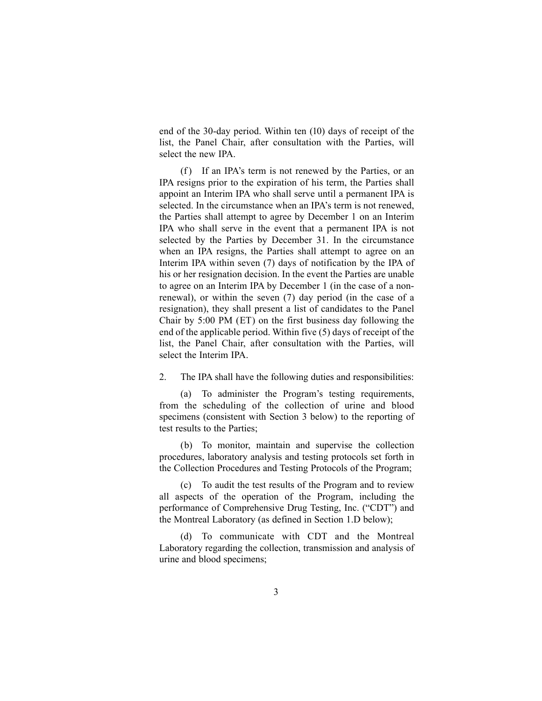end of the 30-day period. Within ten (10) days of receipt of the list, the Panel Chair, after consultation with the Parties, will select the new IPA.

(f) If an IPA's term is not renewed by the Parties, or an IPA resigns prior to the expiration of his term, the Parties shall appoint an Interim IPA who shall serve until a permanent IPA is selected. In the circumstance when an IPA's term is not renewed, the Parties shall attempt to agree by December 1 on an Interim IPA who shall serve in the event that a permanent IPA is not selected by the Parties by December 31. In the circumstance when an IPA resigns, the Parties shall attempt to agree on an Interim IPA within seven (7) days of notification by the IPA of his or her resignation decision. In the event the Parties are unable to agree on an Interim IPA by December 1 (in the case of a nonrenewal), or within the seven (7) day period (in the case of a resignation), they shall present a list of candidates to the Panel Chair by 5:00 PM (ET) on the first business day following the end of the applicable period. Within five (5) days of receipt of the list, the Panel Chair, after consultation with the Parties, will select the Interim IPA.

2. The IPA shall have the following duties and responsibilities:

(a) To administer the Program's testing requirements, from the scheduling of the collection of urine and blood specimens (consistent with Section 3 below) to the reporting of test results to the Parties;

(b) To monitor, maintain and supervise the collection procedures, laboratory analysis and testing protocols set forth in the Collection Procedures and Testing Protocols of the Program;

(c) To audit the test results of the Program and to review all aspects of the operation of the Program, including the performance of Comprehensive Drug Testing, Inc. ("CDT") and the Montreal Laboratory (as defined in Section 1.D below);

(d) To communicate with CDT and the Montreal Laboratory regarding the collection, transmission and analysis of urine and blood specimens;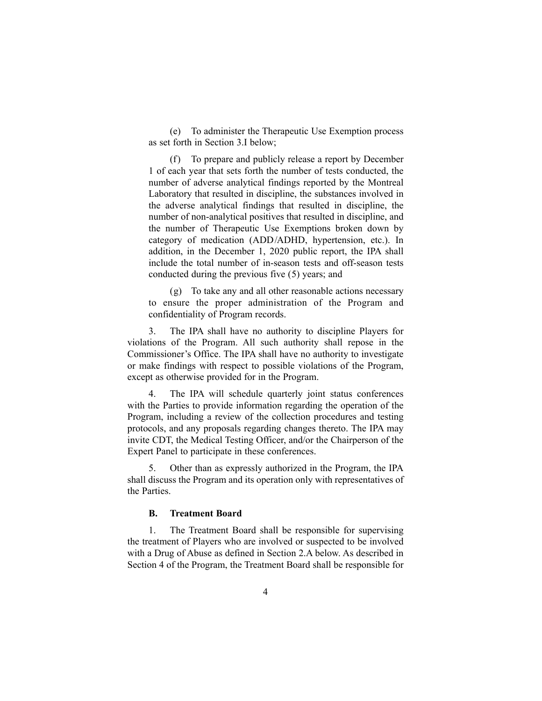(e) To administer the Therapeutic Use Exemption process as set forth in Section 3.I below;

(f) To prepare and publicly release a report by December 1 of each year that sets forth the number of tests conducted, the number of adverse analytical findings reported by the Montreal Laboratory that resulted in discipline, the substances involved in the adverse analytical findings that resulted in discipline, the number of non-analytical positives that resulted in discipline, and the number of Therapeutic Use Exemptions broken down by category of medication (ADD/ADHD, hypertension, etc.). In addition, in the December 1, 2020 public report, the IPA shall include the total number of in-season tests and off-season tests conducted during the previous five (5) years; and

(g) To take any and all other reasonable actions necessary to ensure the proper administration of the Program and confidentiality of Program records.

3. The IPA shall have no authority to discipline Players for violations of the Program. All such authority shall repose in the Commissioner's Office. The IPA shall have no authority to investigate or make findings with respect to possible violations of the Program, except as otherwise provided for in the Program.

4. The IPA will schedule quarterly joint status conferences with the Parties to provide information regarding the operation of the Program, including a review of the collection procedures and testing protocols, and any proposals regarding changes thereto. The IPA may invite CDT, the Medical Testing Officer, and/or the Chairperson of the Expert Panel to participate in these conferences.

5. Other than as expressly authorized in the Program, the IPA shall discuss the Program and its operation only with representatives of the Parties.

### **B. Treatment Board**

1. The Treatment Board shall be responsible for supervising the treatment of Players who are involved or suspected to be involved with a Drug of Abuse as defined in Section 2.A below. As described in Section 4 of the Program, the Treatment Board shall be responsible for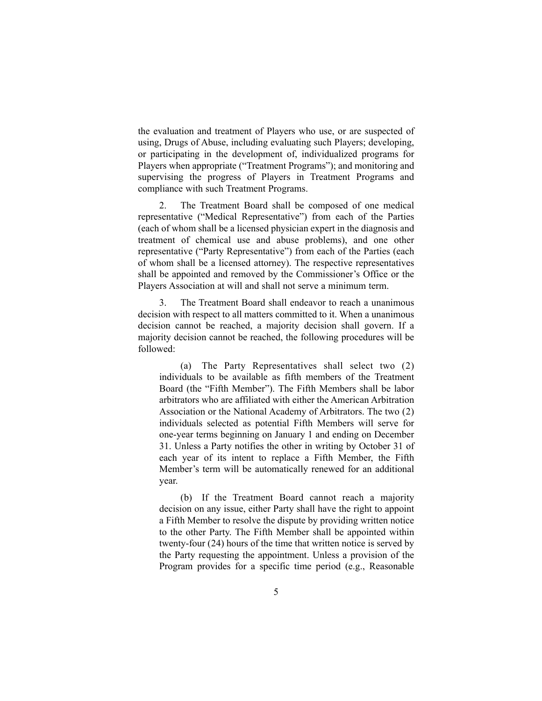the evaluation and treatment of Players who use, or are suspected of using, Drugs of Abuse, including evaluating such Players; developing, or participating in the development of, individualized programs for Players when appropriate ("Treatment Programs"); and monitoring and supervising the progress of Players in Treatment Programs and compliance with such Treatment Programs.

2. The Treatment Board shall be composed of one medical representative ("Medical Representative") from each of the Parties (each of whom shall be a licensed physician expert in the diagnosis and treatment of chemical use and abuse problems), and one other representative ("Party Representative") from each of the Parties (each of whom shall be a licensed attorney). The respective representatives shall be appointed and removed by the Commissioner's Office or the Players Association at will and shall not serve a minimum term.

3. The Treatment Board shall endeavor to reach a unanimous decision with respect to all matters committed to it. When a unanimous decision cannot be reached, a majority decision shall govern. If a majority decision cannot be reached, the following procedures will be followed:

(a) The Party Representatives shall select two (2) individuals to be available as fifth members of the Treatment Board (the "Fifth Member"). The Fifth Members shall be labor arbitrators who are affiliated with either the American Arbitration Association or the National Academy of Arbitrators. The two (2) individuals selected as potential Fifth Members will serve for one-year terms beginning on January 1 and ending on December 31. Unless a Party notifies the other in writing by October 31 of each year of its intent to replace a Fifth Member, the Fifth Member's term will be automatically renewed for an additional year.

(b) If the Treatment Board cannot reach a majority decision on any issue, either Party shall have the right to appoint a Fifth Member to resolve the dispute by providing written notice to the other Party. The Fifth Member shall be appointed within twenty-four (24) hours of the time that written notice is served by the Party requesting the appointment. Unless a provision of the Program provides for a specific time period (e.g., Reasonable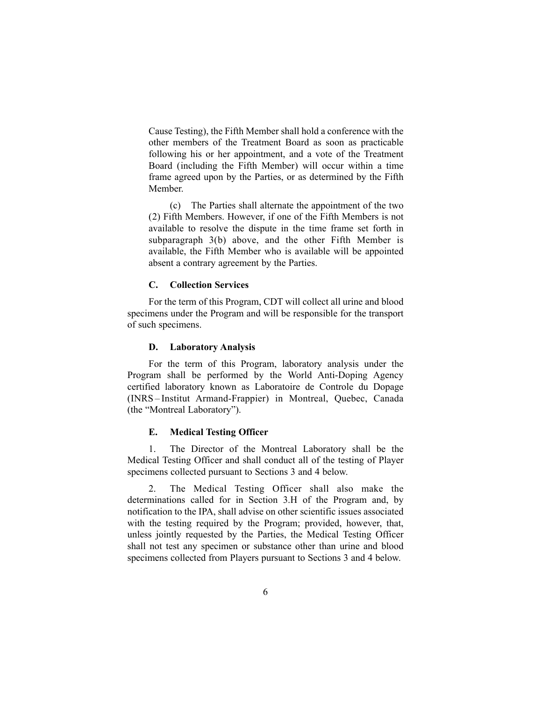Cause Testing), the Fifth Member shall hold a conference with the other members of the Treatment Board as soon as practicable following his or her appointment, and a vote of the Treatment Board (including the Fifth Member) will occur within a time frame agreed upon by the Parties, or as determined by the Fifth Member.

(c) The Parties shall alternate the appointment of the two (2) Fifth Members. However, if one of the Fifth Members is not available to resolve the dispute in the time frame set forth in subparagraph 3(b) above, and the other Fifth Member is available, the Fifth Member who is available will be appointed absent a contrary agreement by the Parties.

#### **C. Collection Services**

For the term of this Program, CDT will collect all urine and blood specimens under the Program and will be responsible for the transport of such specimens.

#### **D. Laboratory Analysis**

For the term of this Program, laboratory analysis under the Program shall be performed by the World Anti-Doping Agency certified laboratory known as Laboratoire de Controle du Dopage (INRS – Institut Armand-Frappier) in Montreal, Quebec, Canada (the "Montreal Laboratory").

#### **E. Medical Testing Officer**

1. The Director of the Montreal Laboratory shall be the Medical Testing Officer and shall conduct all of the testing of Player specimens collected pursuant to Sections 3 and 4 below.

2. The Medical Testing Officer shall also make the determinations called for in Section 3.H of the Program and, by notification to the IPA, shall advise on other scientific issues associated with the testing required by the Program; provided, however, that, unless jointly requested by the Parties, the Medical Testing Officer shall not test any specimen or substance other than urine and blood specimens collected from Players pursuant to Sections 3 and 4 below.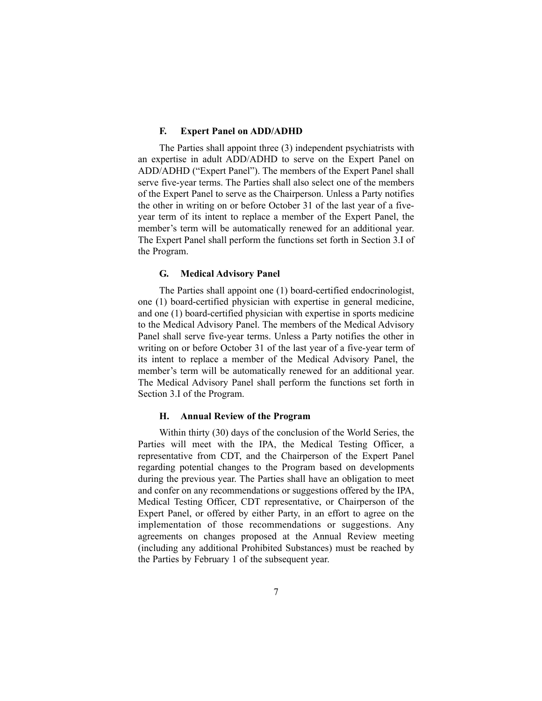#### **F. Expert Panel on ADD/ADHD**

The Parties shall appoint three (3) independent psychiatrists with an expertise in adult ADD/ADHD to serve on the Expert Panel on ADD/ADHD ("Expert Panel"). The members of the Expert Panel shall serve five-year terms. The Parties shall also select one of the members of the Expert Panel to serve as the Chairperson. Unless a Party notifies the other in writing on or before October 31 of the last year of a fiveyear term of its intent to replace a member of the Expert Panel, the member's term will be automatically renewed for an additional year. The Expert Panel shall perform the functions set forth in Section 3.I of the Program.

#### **G. Medical Advisory Panel**

The Parties shall appoint one (1) board-certified endocrinologist, one (1) board-certified physician with expertise in general medicine, and one (1) board-certified physician with expertise in sports medicine to the Medical Advisory Panel. The members of the Medical Advisory Panel shall serve five-year terms. Unless a Party notifies the other in writing on or before October 31 of the last year of a five-year term of its intent to replace a member of the Medical Advisory Panel, the member's term will be automatically renewed for an additional year. The Medical Advisory Panel shall perform the functions set forth in Section 3.I of the Program.

### **H. Annual Review of the Program**

Within thirty (30) days of the conclusion of the World Series, the Parties will meet with the IPA, the Medical Testing Officer, a representative from CDT, and the Chairperson of the Expert Panel regarding potential changes to the Program based on developments during the previous year. The Parties shall have an obligation to meet and confer on any recommendations or suggestions offered by the IPA, Medical Testing Officer, CDT representative, or Chairperson of the Expert Panel, or offered by either Party, in an effort to agree on the implementation of those recommendations or suggestions. Any agreements on changes proposed at the Annual Review meeting (including any additional Prohibited Substances) must be reached by the Parties by February 1 of the subsequent year.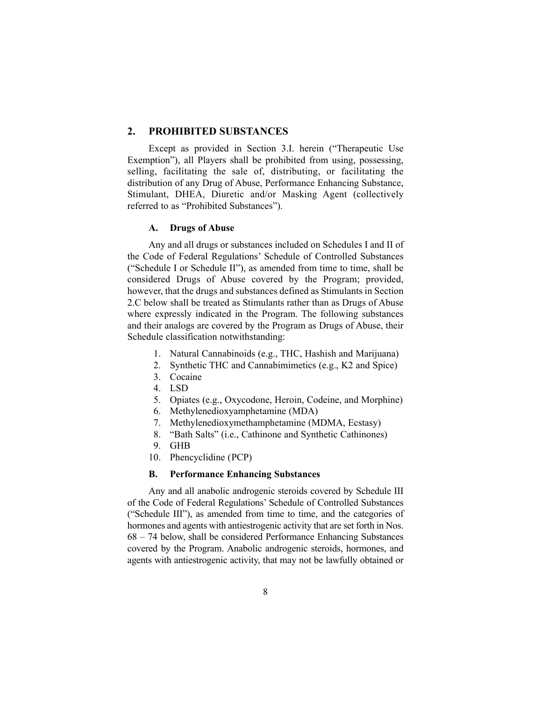# **2. PROHIBITED SUBSTANCES**

Except as provided in Section 3.I. herein ("Therapeutic Use Exemption"), all Players shall be prohibited from using, possessing, selling, facilitating the sale of, distributing, or facilitating the distribution of any Drug of Abuse, Performance Enhancing Substance, Stimulant, DHEA, Diuretic and/or Masking Agent (collectively referred to as "Prohibited Substances").

#### **A. Drugs of Abuse**

Any and all drugs or substances included on Schedules I and II of the Code of Federal Regulations' Schedule of Controlled Substances ("Schedule I or Schedule II"), as amended from time to time, shall be considered Drugs of Abuse covered by the Program; provided, however, that the drugs and substances defined as Stimulants in Section 2.C below shall be treated as Stimulants rather than as Drugs of Abuse where expressly indicated in the Program. The following substances and their analogs are covered by the Program as Drugs of Abuse, their Schedule classification notwithstanding:

- 1. Natural Cannabinoids (e.g., THC, Hashish and Marijuana)
- 2. Synthetic THC and Cannabimimetics (e.g., K2 and Spice)
- 3. Cocaine
- 4. LSD
- 5. Opiates (e.g., Oxycodone, Heroin, Codeine, and Morphine)
- 6. Methylenedioxyamphetamine (MDA)
- 7. Methylenedioxymethamphetamine (MDMA, Ecstasy)
- 8. "Bath Salts" (i.e., Cathinone and Synthetic Cathinones)
- 9. GHB
- 10. Phencyclidine (PCP)

### **B. Performance Enhancing Substances**

Any and all anabolic androgenic steroids covered by Schedule III of the Code of Federal Regulations' Schedule of Controlled Substances ("Schedule III"), as amended from time to time, and the categories of hormones and agents with antiestrogenic activity that are set forth in Nos. 68 – 74 below, shall be considered Performance Enhancing Substances covered by the Program. Anabolic androgenic steroids, hormones, and agents with antiestrogenic activity, that may not be lawfully obtained or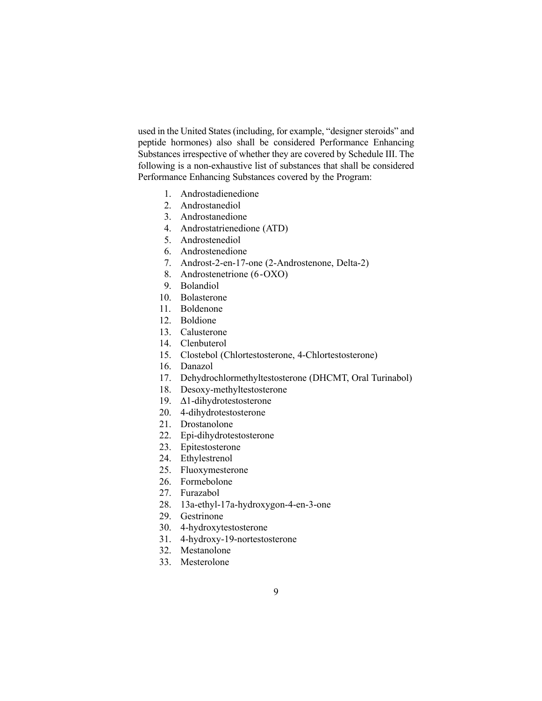used in the United States (including, for example, "designer steroids" and peptide hormones) also shall be considered Performance Enhancing Substances irrespective of whether they are covered by Schedule III. The following is a non-exhaustive list of substances that shall be considered Performance Enhancing Substances covered by the Program:

- 1. Androstadienedione
- 2. Androstanediol
- 3. Androstanedione
- 4. Androstatrienedione (ATD)
- 5. Androstenediol
- 6. Androstenedione
- 7. Androst-2-en-17-one (2-Androstenone, Delta-2)
- 8. Androstenetrione (6-OXO)
- 9. Bolandiol
- 10. Bolasterone
- 11. Boldenone
- 12. Boldione
- 13. Calusterone
- 14. Clenbuterol
- 15. Clostebol (Chlortestosterone, 4-Chlortestosterone)
- 16. Danazol
- 17. Dehydrochlormethyltestosterone (DHCMT, Oral Turinabol)
- 18. Desoxy-methyltestosterone
- 19. Δ1-dihydrotestosterone
- 20. 4-dihydrotestosterone
- 21. Drostanolone
- 22. Epi-dihydrotestosterone
- 23. Epitestosterone
- 24. Ethylestrenol
- 25. Fluoxymesterone
- 26. Formebolone
- 27. Furazabol
- 28. 13a-ethyl-17a-hydroxygon-4-en-3-one
- 29. Gestrinone
- 30. 4-hydroxytestosterone
- 31. 4-hydroxy-19-nortestosterone
- 32. Mestanolone
- 33. Mesterolone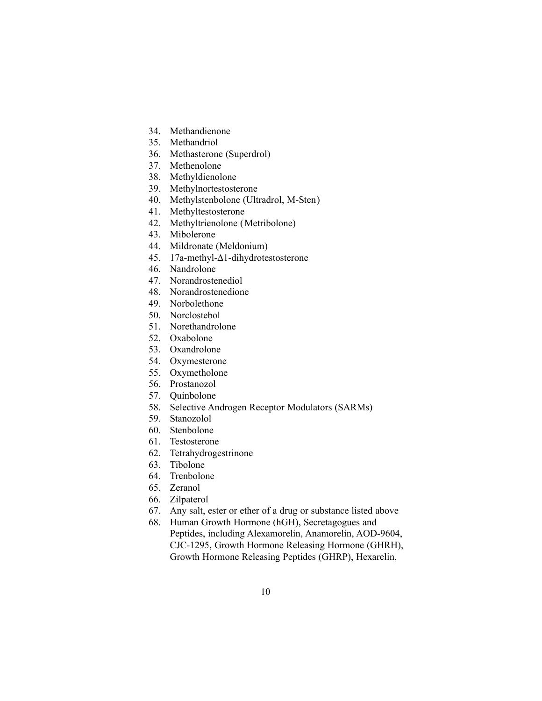- 34. Methandienone
- 35. Methandriol
- 36. Methasterone (Superdrol)
- 37. Methenolone
- 38. Methyldienolone
- 39. Methylnortestosterone
- 40. Methylstenbolone (Ultradrol, M-Sten)
- 41. Methyltestosterone
- 42. Methyltrienolone (Metribolone)
- 43. Mibolerone
- 44. Mildronate (Meldonium)
- 45. 17a-methyl-Δ1-dihydrotestosterone
- 46. Nandrolone
- 47. Norandrostenediol
- 48. Norandrostenedione
- 49. Norbolethone
- 50. Norclostebol
- 51. Norethandrolone
- 52. Oxabolone
- 53. Oxandrolone
- 54. Oxymesterone
- 55. Oxymetholone
- 56. Prostanozol
- 57. Quinbolone
- 58. Selective Androgen Receptor Modulators (SARMs)
- 59. Stanozolol
- 60. Stenbolone
- 61. Testosterone
- 62. Tetrahydrogestrinone
- 63. Tibolone
- 64. Trenbolone
- 65. Zeranol
- 66. Zilpaterol
- 67. Any salt, ester or ether of a drug or substance listed above
- 68. Human Growth Hormone (hGH), Secretagogues and Peptides, including Alexamorelin, Anamorelin, AOD-9604, CJC-1295, Growth Hormone Releasing Hormone (GHRH), Growth Hormone Releasing Peptides (GHRP), Hexarelin,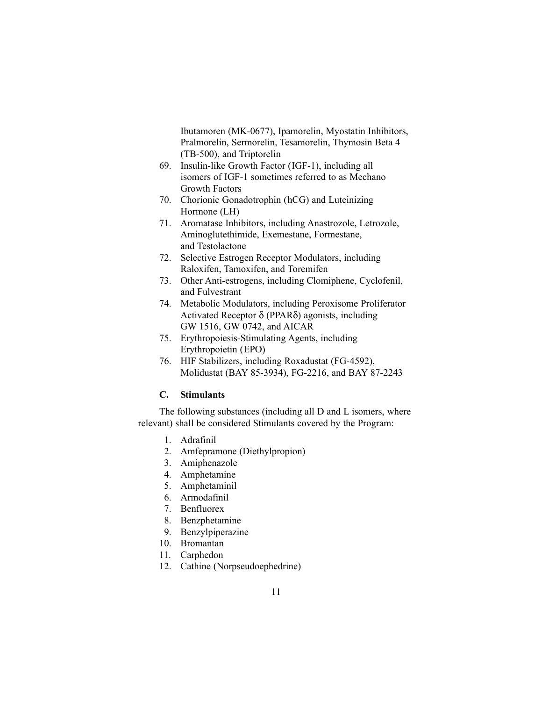Ibutamoren (MK-0677), Ipamorelin, Myostatin Inhibitors, Pralmorelin, Sermorelin, Tesamorelin, Thymosin Beta 4 (TB-500), and Triptorelin

- 69. Insulin-like Growth Factor (IGF-1), including all isomers of IGF-1 sometimes referred to as Mechano Growth Factors
- 70. Chorionic Gonadotrophin (hCG) and Luteinizing Hormone (LH)
- 71. Aromatase Inhibitors, including Anastrozole, Letrozole, Aminoglutethimide, Exemestane, Formestane, and Testolactone
- 72. Selective Estrogen Receptor Modulators, including Raloxifen, Tamoxifen, and Toremifen
- 73. Other Anti-estrogens, including Clomiphene, Cyclofenil, and Fulvestrant
- 74. Metabolic Modulators, including Peroxisome Proliferator Activated Receptor δ (PPARδ) agonists, including GW 1516, GW 0742, and AICAR
- 75. Erythropoiesis-Stimulating Agents, including Erythropoietin (EPO)
- 76. HIF Stabilizers, including Roxadustat (FG-4592), Molidustat (BAY 85-3934), FG-2216, and BAY 87-2243

## **C. Stimulants**

The following substances (including all D and L isomers, where relevant) shall be considered Stimulants covered by the Program:

- 1. Adrafinil
- 2. Amfepramone (Diethylpropion)
- 3. Amiphenazole
- 4. Amphetamine
- 5. Amphetaminil
- 6. Armodafinil
- 7. Benfluorex
- 8. Benzphetamine
- 9. Benzylpiperazine
- 10. Bromantan
- 11. Carphedon
- 12. Cathine (Norpseudoephedrine)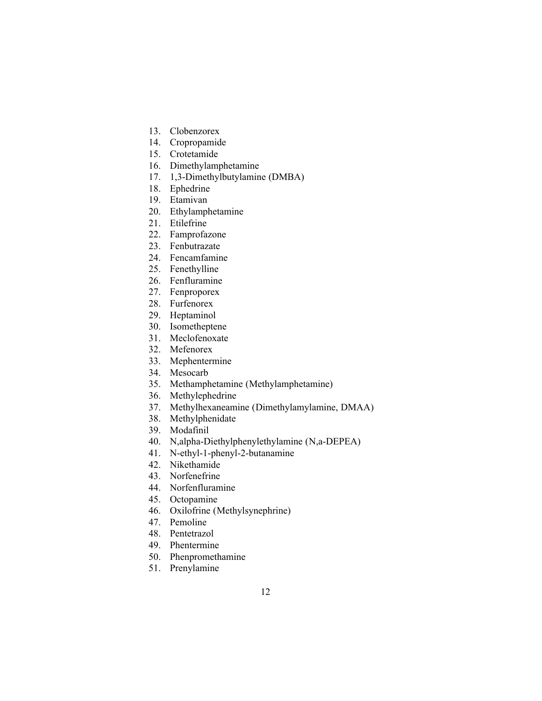- 13. Clobenzorex
- 14. Cropropamide
- 15. Crotetamide
- 16. Dimethylamphetamine
- 17. 1,3-Dimethylbutylamine (DMBA)
- 18. Ephedrine
- 19. Etamivan
- 20. Ethylamphetamine
- 21. Etilefrine
- 22. Famprofazone
- 23. Fenbutrazate
- 24. Fencamfamine
- 25. Fenethylline
- 26. Fenfluramine
- 27. Fenproporex
- 28. Furfenorex
- 29. Heptaminol
- 30. Isometheptene
- 31. Meclofenoxate
- 32. Mefenorex
- 33. Mephentermine
- 34. Mesocarb
- 35. Methamphetamine (Methylamphetamine)
- 36. Methylephedrine
- 37. Methylhexaneamine (Dimethylamylamine, DMAA)
- 38. Methylphenidate
- 39. Modafinil
- 40. N,alpha-Diethylphenylethylamine (N,a-DEPEA)
- 41. N-ethyl-1-phenyl-2-butanamine
- 42. Nikethamide
- 43. Norfenefrine
- 44. Norfenfluramine
- 45. Octopamine
- 46. Oxilofrine (Methylsynephrine)
- 47. Pemoline
- 48. Pentetrazol
- 49. Phentermine
- 50. Phenpromethamine
- 51. Prenylamine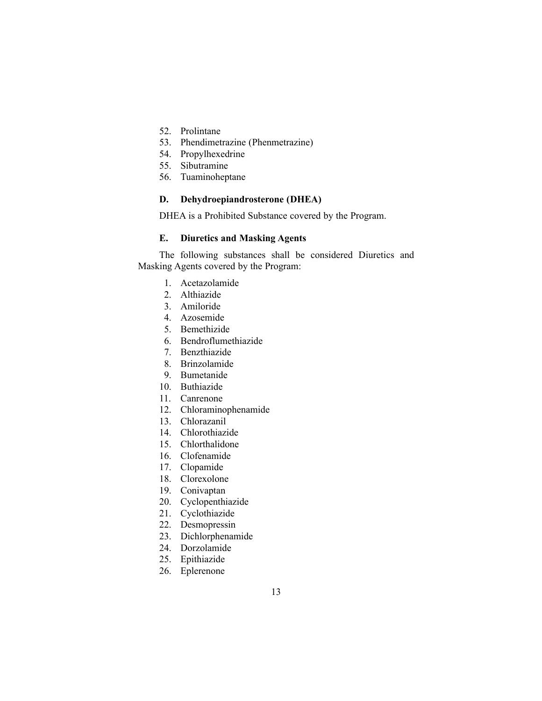- 52. Prolintane
- 53. Phendimetrazine (Phenmetrazine)
- 54. Propylhexedrine
- 55. Sibutramine
- 56. Tuaminoheptane

# **D. Dehydroepiandrosterone (DHEA)**

DHEA is a Prohibited Substance covered by the Program.

### **E. Diuretics and Masking Agents**

The following substances shall be considered Diuretics and Masking Agents covered by the Program:

- 1. Acetazolamide
- 2. Althiazide
- 3. Amiloride
- 4. Azosemide
- 5. Bemethizide
- 6. Bendroflumethiazide
- 7. Benzthiazide
- 8. Brinzolamide
- 9. Bumetanide
- 10. Buthiazide
- 11. Canrenone
- 12. Chloraminophenamide
- 13. Chlorazanil
- 14. Chlorothiazide
- 15. Chlorthalidone
- 16. Clofenamide
- 17. Clopamide
- 18. Clorexolone
- 19. Conivaptan
- 20. Cyclopenthiazide
- 21. Cyclothiazide
- 22. Desmopressin
- 23. Dichlorphenamide
- 24. Dorzolamide
- 25. Epithiazide
- 26. Eplerenone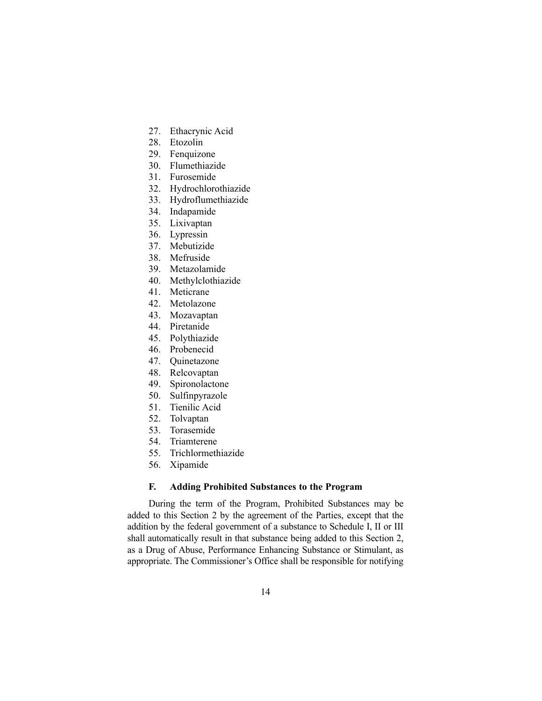- 27. Ethacrynic Acid
- 28. Etozolin
- 29. Fenquizone
- 30. Flumethiazide
- 31. Furosemide
- 32. Hydrochlorothiazide
- 33. Hydroflumethiazide
- 34. Indapamide
- 35. Lixivaptan
- 36. Lypressin
- 37. Mebutizide
- 38. Mefruside
- 39. Metazolamide
- 40. Methylclothiazide
- 41. Meticrane
- 42. Metolazone
- 43. Mozavaptan
- 44. Piretanide
- 45. Polythiazide
- 46. Probenecid
- 47. Quinetazone
- 48. Relcovaptan
- 49. Spironolactone
- 50. Sulfinpyrazole
- 51. Tienilic Acid
- 52. Tolvaptan
- 53. Torasemide
- 54. Triamterene
- 55. Trichlormethiazide
- 56. Xipamide

### **F. Adding Prohibited Substances to the Program**

During the term of the Program, Prohibited Substances may be added to this Section 2 by the agreement of the Parties, except that the addition by the federal government of a substance to Schedule I, II or III shall automatically result in that substance being added to this Section 2, as a Drug of Abuse, Performance Enhancing Substance or Stimulant, as appropriate. The Commissioner's Office shall be responsible for notifying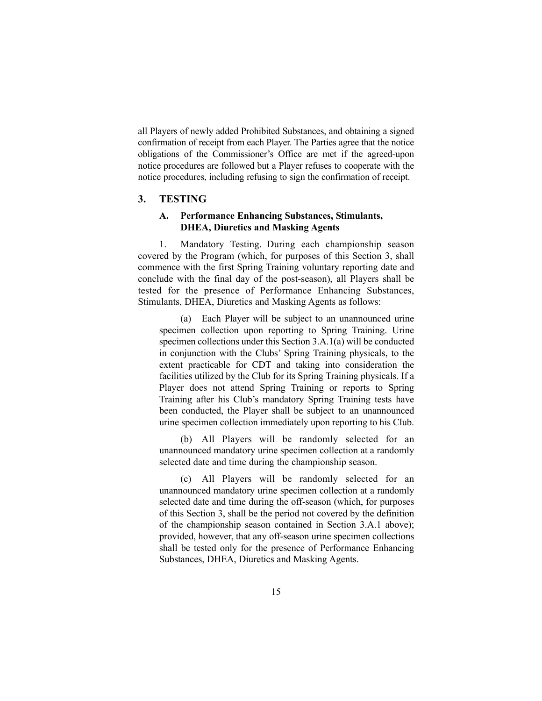all Players of newly added Prohibited Substances, and obtaining a signed confirmation of receipt from each Player. The Parties agree that the notice obligations of the Commissioner's Office are met if the agreed-upon notice procedures are followed but a Player refuses to cooperate with the notice procedures, including refusing to sign the confirmation of receipt.

# **3. TESTING**

# **A. Performance Enhancing Substances, Stimulants, DHEA, Diuretics and Masking Agents**

1. Mandatory Testing. During each championship season covered by the Program (which, for purposes of this Section 3, shall commence with the first Spring Training voluntary reporting date and conclude with the final day of the post-season), all Players shall be tested for the presence of Performance Enhancing Substances, Stimulants, DHEA, Diuretics and Masking Agents as follows:

(a) Each Player will be subject to an unannounced urine specimen collection upon reporting to Spring Training. Urine specimen collections under this Section 3.A.1(a) will be conducted in conjunction with the Clubs' Spring Training physicals, to the extent practicable for CDT and taking into consideration the facilities utilized by the Club for its Spring Training physicals. If a Player does not attend Spring Training or reports to Spring Training after his Club's mandatory Spring Training tests have been conducted, the Player shall be subject to an unannounced urine specimen collection immediately upon reporting to his Club.

(b) All Players will be randomly selected for an unannounced mandatory urine specimen collection at a randomly selected date and time during the championship season.

(c) All Players will be randomly selected for an unannounced mandatory urine specimen collection at a randomly selected date and time during the off-season (which, for purposes of this Section 3, shall be the period not covered by the definition of the championship season contained in Section 3.A.1 above); provided, however, that any off-season urine specimen collections shall be tested only for the presence of Performance Enhancing Substances, DHEA, Diuretics and Masking Agents.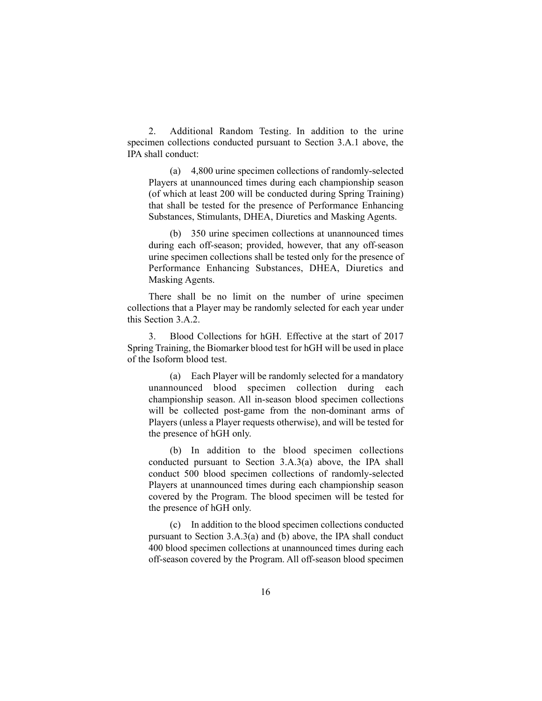2. Additional Random Testing. In addition to the urine specimen collections conducted pursuant to Section 3.A.1 above, the IPA shall conduct:

(a) 4,800 urine specimen collections of randomly-selected Players at unannounced times during each championship season (of which at least 200 will be conducted during Spring Training) that shall be tested for the presence of Performance Enhancing Substances, Stimulants, DHEA, Diuretics and Masking Agents.

(b) 350 urine specimen collections at unannounced times during each off-season; provided, however, that any off-season urine specimen collections shall be tested only for the presence of Performance Enhancing Substances, DHEA, Diuretics and Masking Agents.

There shall be no limit on the number of urine specimen collections that a Player may be randomly selected for each year under this Section 3.A.2.

3. Blood Collections for hGH. Effective at the start of 2017 Spring Training, the Biomarker blood test for hGH will be used in place of the Isoform blood test.

(a) Each Player will be randomly selected for a mandatory unannounced blood specimen collection during each championship season. All in-season blood specimen collections will be collected post-game from the non-dominant arms of Players (unless a Player requests otherwise), and will be tested for the presence of hGH only.

(b) In addition to the blood specimen collections conducted pursuant to Section 3.A.3(a) above, the IPA shall conduct 500 blood specimen collections of randomly-selected Players at unannounced times during each championship season covered by the Program. The blood specimen will be tested for the presence of hGH only.

(c) In addition to the blood specimen collections conducted pursuant to Section 3.A.3(a) and (b) above, the IPA shall conduct 400 blood specimen collections at unannounced times during each off-season covered by the Program. All off-season blood specimen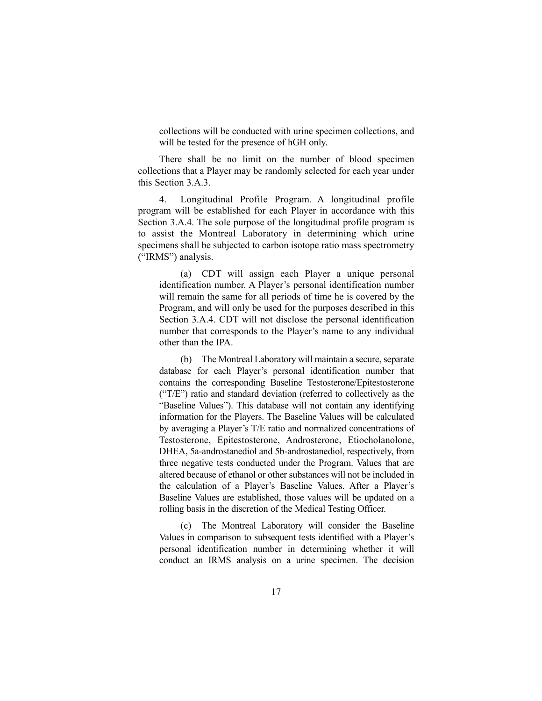collections will be conducted with urine specimen collections, and will be tested for the presence of hGH only.

There shall be no limit on the number of blood specimen collections that a Player may be randomly selected for each year under this Section 3.A.3.

4. Longitudinal Profile Program. A longitudinal profile program will be established for each Player in accordance with this Section 3.A.4. The sole purpose of the longitudinal profile program is to assist the Montreal Laboratory in determining which urine specimens shall be subjected to carbon isotope ratio mass spectrometry ("IRMS") analysis.

(a) CDT will assign each Player a unique personal identification number. A Player's personal identification number will remain the same for all periods of time he is covered by the Program, and will only be used for the purposes described in this Section 3.A.4. CDT will not disclose the personal identification number that corresponds to the Player's name to any individual other than the IPA.

(b) The Montreal Laboratory will maintain a secure, separate database for each Player's personal identification number that contains the corresponding Baseline Testosterone/Epitestosterone ("T/E") ratio and standard deviation (referred to collectively as the "Baseline Values"). This database will not contain any identifying information for the Players. The Baseline Values will be calculated by averaging a Player's T/E ratio and normalized concentrations of Testosterone, Epitestosterone, Androsterone, Etiocholanolone, DHEA, 5a-androstanediol and 5b-androstanediol, respectively, from three negative tests conducted under the Program. Values that are altered because of ethanol or other substances will not be included in the calculation of a Player's Baseline Values. After a Player's Baseline Values are established, those values will be updated on a rolling basis in the discretion of the Medical Testing Officer.

(c) The Montreal Laboratory will consider the Baseline Values in comparison to subsequent tests identified with a Player's personal identification number in determining whether it will conduct an IRMS analysis on a urine specimen. The decision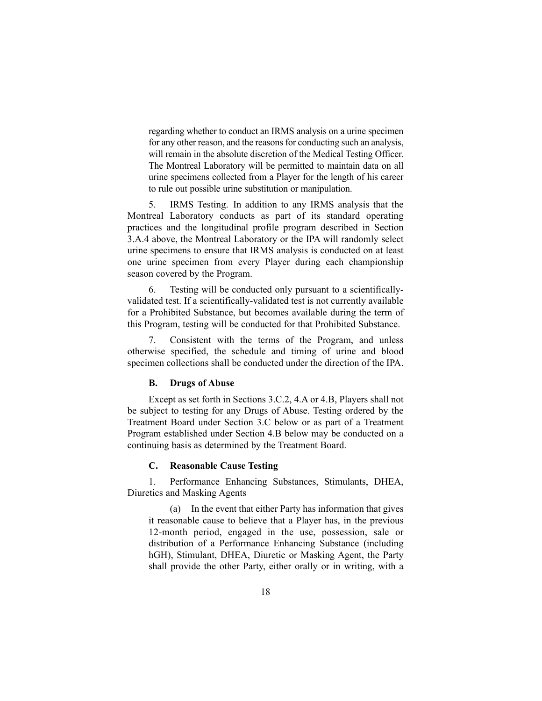regarding whether to conduct an IRMS analysis on a urine specimen for any other reason, and the reasons for conducting such an analysis, will remain in the absolute discretion of the Medical Testing Officer. The Montreal Laboratory will be permitted to maintain data on all urine specimens collected from a Player for the length of his career to rule out possible urine substitution or manipulation.

5. IRMS Testing. In addition to any IRMS analysis that the Montreal Laboratory conducts as part of its standard operating practices and the longitudinal profile program described in Section 3.A.4 above, the Montreal Laboratory or the IPA will randomly select urine specimens to ensure that IRMS analysis is conducted on at least one urine specimen from every Player during each championship season covered by the Program.

6. Testing will be conducted only pursuant to a scientificallyvalidated test. If a scientifically-validated test is not currently available for a Prohibited Substance, but becomes available during the term of this Program, testing will be conducted for that Prohibited Substance.

7. Consistent with the terms of the Program, and unless otherwise specified, the schedule and timing of urine and blood specimen collections shall be conducted under the direction of the IPA.

#### **B. Drugs of Abuse**

Except as set forth in Sections 3.C.2, 4.A or 4.B, Players shall not be subject to testing for any Drugs of Abuse. Testing ordered by the Treatment Board under Section 3.C below or as part of a Treatment Program established under Section 4.B below may be conducted on a continuing basis as determined by the Treatment Board.

#### **C. Reasonable Cause Testing**

1. Performance Enhancing Substances, Stimulants, DHEA, Diuretics and Masking Agents

(a) In the event that either Party has information that gives it reasonable cause to believe that a Player has, in the previous 12-month period, engaged in the use, possession, sale or distribution of a Performance Enhancing Substance (including hGH), Stimulant, DHEA, Diuretic or Masking Agent, the Party shall provide the other Party, either orally or in writing, with a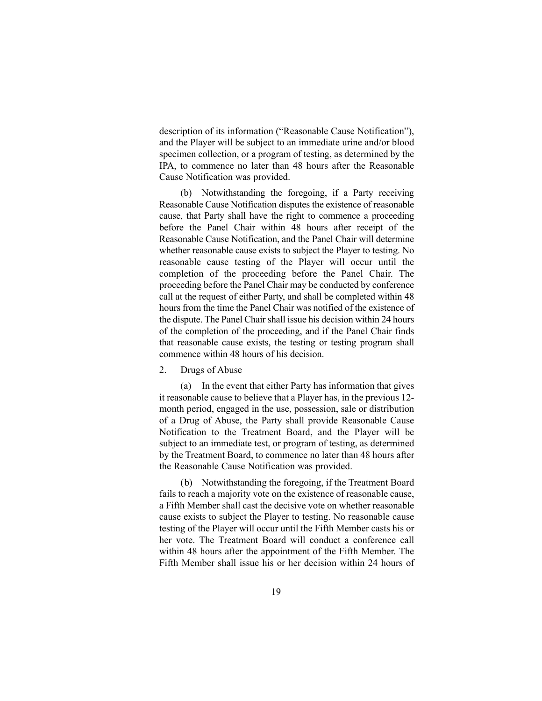description of its information ("Reasonable Cause Notification"), and the Player will be subject to an immediate urine and/or blood specimen collection, or a program of testing, as determined by the IPA, to commence no later than 48 hours after the Reasonable Cause Notification was provided.

(b) Notwithstanding the foregoing, if a Party receiving Reasonable Cause Notification disputes the existence of reasonable cause, that Party shall have the right to commence a proceeding before the Panel Chair within 48 hours after receipt of the Reasonable Cause Notification, and the Panel Chair will determine whether reasonable cause exists to subject the Player to testing. No reasonable cause testing of the Player will occur until the completion of the proceeding before the Panel Chair. The proceeding before the Panel Chair may be conducted by conference call at the request of either Party, and shall be completed within 48 hours from the time the Panel Chair was notified of the existence of the dispute. The Panel Chair shall issue his decision within 24 hours of the completion of the proceeding, and if the Panel Chair finds that reasonable cause exists, the testing or testing program shall commence within 48 hours of his decision.

#### 2. Drugs of Abuse

(a) In the event that either Party has information that gives it reasonable cause to believe that a Player has, in the previous 12 month period, engaged in the use, possession, sale or distribution of a Drug of Abuse, the Party shall provide Reasonable Cause Notification to the Treatment Board, and the Player will be subject to an immediate test, or program of testing, as determined by the Treatment Board, to commence no later than 48 hours after the Reasonable Cause Notification was provided.

(b) Notwithstanding the foregoing, if the Treatment Board fails to reach a majority vote on the existence of reasonable cause, a Fifth Member shall cast the decisive vote on whether reasonable cause exists to subject the Player to testing. No reasonable cause testing of the Player will occur until the Fifth Member casts his or her vote. The Treatment Board will conduct a conference call within 48 hours after the appointment of the Fifth Member. The Fifth Member shall issue his or her decision within 24 hours of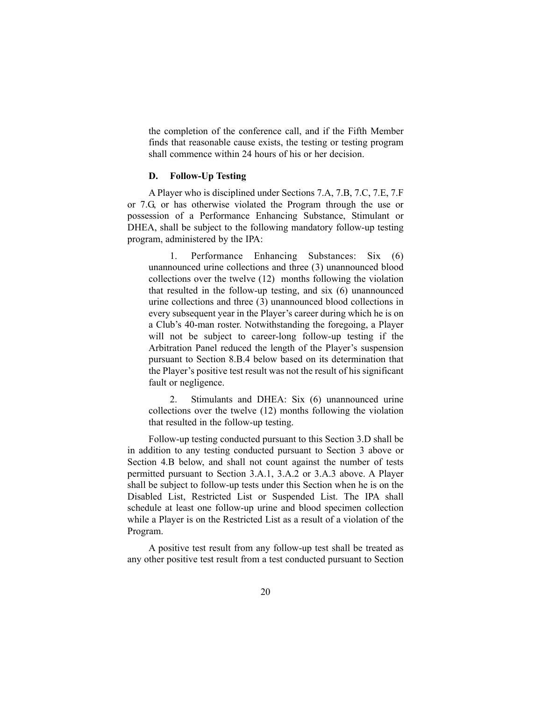the completion of the conference call, and if the Fifth Member finds that reasonable cause exists, the testing or testing program shall commence within 24 hours of his or her decision.

## **D. Follow-Up Testing**

A Player who is disciplined under Sections 7.A, 7.B, 7.C, 7.E, 7.F or 7.G, or has otherwise violated the Program through the use or possession of a Performance Enhancing Substance, Stimulant or DHEA, shall be subject to the following mandatory follow-up testing program, administered by the IPA:

1. Performance Enhancing Substances: Six (6) unannounced urine collections and three (3) unannounced blood collections over the twelve (12) months following the violation that resulted in the follow-up testing, and six (6) unannounced urine collections and three (3) unannounced blood collections in every subsequent year in the Player's career during which he is on a Club's 40-man roster. Notwithstanding the foregoing, a Player will not be subject to career-long follow-up testing if the Arbitration Panel reduced the length of the Player's suspension pursuant to Section 8.B.4 below based on its determination that the Player's positive test result was not the result of his significant fault or negligence.

2. Stimulants and DHEA: Six (6) unannounced urine collections over the twelve (12) months following the violation that resulted in the follow-up testing.

Follow-up testing conducted pursuant to this Section 3.D shall be in addition to any testing conducted pursuant to Section 3 above or Section 4.B below, and shall not count against the number of tests permitted pursuant to Section 3.A.1, 3.A.2 or 3.A.3 above. A Player shall be subject to follow-up tests under this Section when he is on the Disabled List, Restricted List or Suspended List. The IPA shall schedule at least one follow-up urine and blood specimen collection while a Player is on the Restricted List as a result of a violation of the Program.

A positive test result from any follow-up test shall be treated as any other positive test result from a test conducted pursuant to Section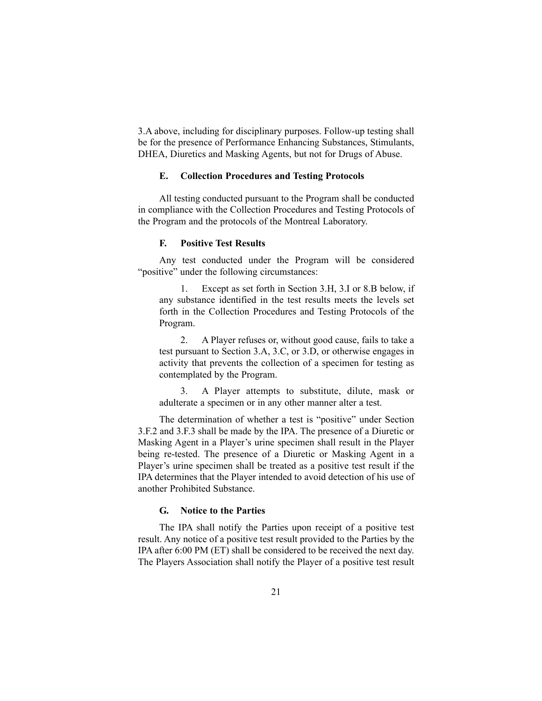3.A above, including for disciplinary purposes. Follow-up testing shall be for the presence of Performance Enhancing Substances, Stimulants, DHEA, Diuretics and Masking Agents, but not for Drugs of Abuse.

### **E. Collection Procedures and Testing Protocols**

All testing conducted pursuant to the Program shall be conducted in compliance with the Collection Procedures and Testing Protocols of the Program and the protocols of the Montreal Laboratory.

### **F. Positive Test Results**

Any test conducted under the Program will be considered "positive" under the following circumstances:

1. Except as set forth in Section 3.H, 3.I or 8.B below, if any substance identified in the test results meets the levels set forth in the Collection Procedures and Testing Protocols of the Program.

2. A Player refuses or, without good cause, fails to take a test pursuant to Section 3.A, 3.C, or 3.D, or otherwise engages in activity that prevents the collection of a specimen for testing as contemplated by the Program.

3. A Player attempts to substitute, dilute, mask or adulterate a specimen or in any other manner alter a test.

The determination of whether a test is "positive" under Section 3.F.2 and 3.F.3 shall be made by the IPA. The presence of a Diuretic or Masking Agent in a Player's urine specimen shall result in the Player being re-tested. The presence of a Diuretic or Masking Agent in a Player's urine specimen shall be treated as a positive test result if the IPA determines that the Player intended to avoid detection of his use of another Prohibited Substance.

### **G. Notice to the Parties**

The IPA shall notify the Parties upon receipt of a positive test result. Any notice of a positive test result provided to the Parties by the IPA after 6:00 PM (ET) shall be considered to be received the next day. The Players Association shall notify the Player of a positive test result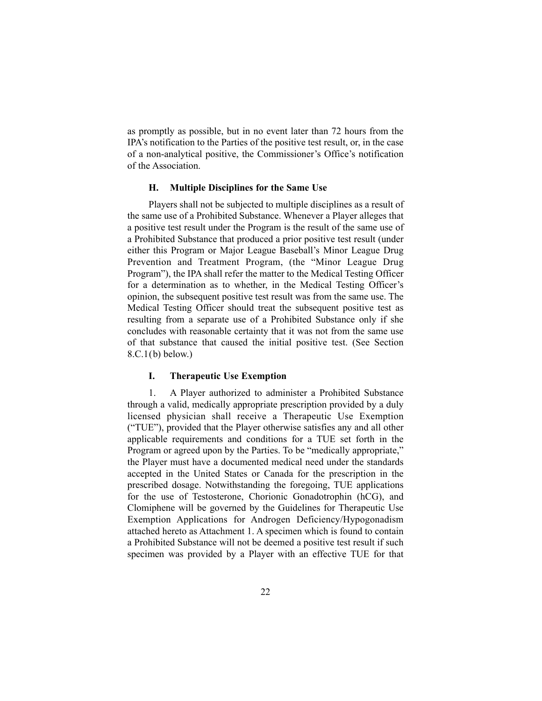as promptly as possible, but in no event later than 72 hours from the IPA's notification to the Parties of the positive test result, or, in the case of a non-analytical positive, the Commissioner's Office's notification of the Association.

### **H. Multiple Disciplines for the Same Use**

Players shall not be subjected to multiple disciplines as a result of the same use of a Prohibited Substance. Whenever a Player alleges that a positive test result under the Program is the result of the same use of a Prohibited Substance that produced a prior positive test result (under either this Program or Major League Baseball's Minor League Drug Prevention and Treatment Program, (the "Minor League Drug Program"), the IPA shall refer the matter to the Medical Testing Officer for a determination as to whether, in the Medical Testing Officer's opinion, the subsequent positive test result was from the same use. The Medical Testing Officer should treat the subsequent positive test as resulting from a separate use of a Prohibited Substance only if she concludes with reasonable certainty that it was not from the same use of that substance that caused the initial positive test. (See Section  $8.C.1(b)$  below.)

### **I. Therapeutic Use Exemption**

1. A Player authorized to administer a Prohibited Substance through a valid, medically appropriate prescription provided by a duly licensed physician shall receive a Therapeutic Use Exemption ("TUE"), provided that the Player otherwise satisfies any and all other applicable requirements and conditions for a TUE set forth in the Program or agreed upon by the Parties. To be "medically appropriate," the Player must have a documented medical need under the standards accepted in the United States or Canada for the prescription in the prescribed dosage. Notwithstanding the foregoing, TUE applications for the use of Testosterone, Chorionic Gonadotrophin (hCG), and Clomiphene will be governed by the Guidelines for Therapeutic Use Exemption Applications for Androgen Deficiency/Hypogonadism attached hereto as Attachment 1. A specimen which is found to contain a Prohibited Substance will not be deemed a positive test result if such specimen was provided by a Player with an effective TUE for that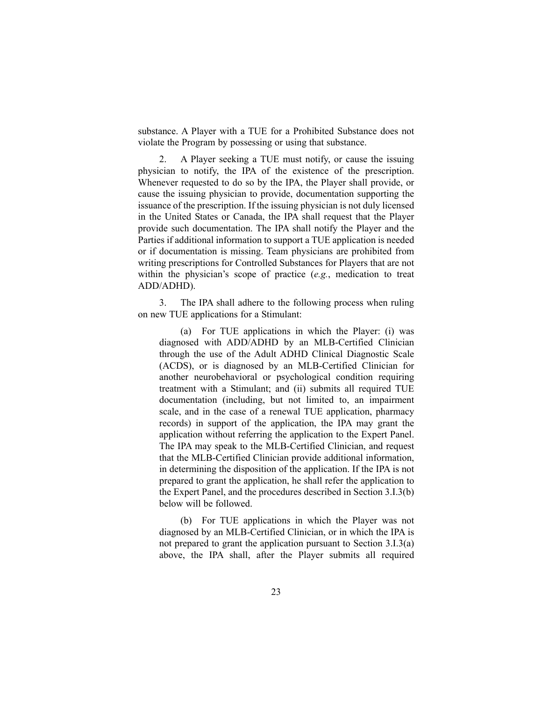substance. A Player with a TUE for a Prohibited Substance does not violate the Program by possessing or using that substance.

2. A Player seeking a TUE must notify, or cause the issuing physician to notify, the IPA of the existence of the prescription. Whenever requested to do so by the IPA, the Player shall provide, or cause the issuing physician to provide, documentation supporting the issuance of the prescription. If the issuing physician is not duly licensed in the United States or Canada, the IPA shall request that the Player provide such documentation. The IPA shall notify the Player and the Parties if additional information to support a TUE application is needed or if documentation is missing. Team physicians are prohibited from writing prescriptions for Controlled Substances for Players that are not within the physician's scope of practice (*e.g.*, medication to treat ADD/ADHD).

3. The IPA shall adhere to the following process when ruling on new TUE applications for a Stimulant:

(a) For TUE applications in which the Player: (i) was diagnosed with ADD/ADHD by an MLB-Certified Clinician through the use of the Adult ADHD Clinical Diagnostic Scale (ACDS), or is diagnosed by an MLB-Certified Clinician for another neurobehavioral or psychological condition requiring treatment with a Stimulant; and (ii) submits all required TUE documentation (including, but not limited to, an impairment scale, and in the case of a renewal TUE application, pharmacy records) in support of the application, the IPA may grant the application without referring the application to the Expert Panel. The IPA may speak to the MLB-Certified Clinician, and request that the MLB-Certified Clinician provide additional information, in determining the disposition of the application. If the IPA is not prepared to grant the application, he shall refer the application to the Expert Panel, and the procedures described in Section 3.I.3(b) below will be followed.

(b) For TUE applications in which the Player was not diagnosed by an MLB-Certified Clinician, or in which the IPA is not prepared to grant the application pursuant to Section 3.I.3(a) above, the IPA shall, after the Player submits all required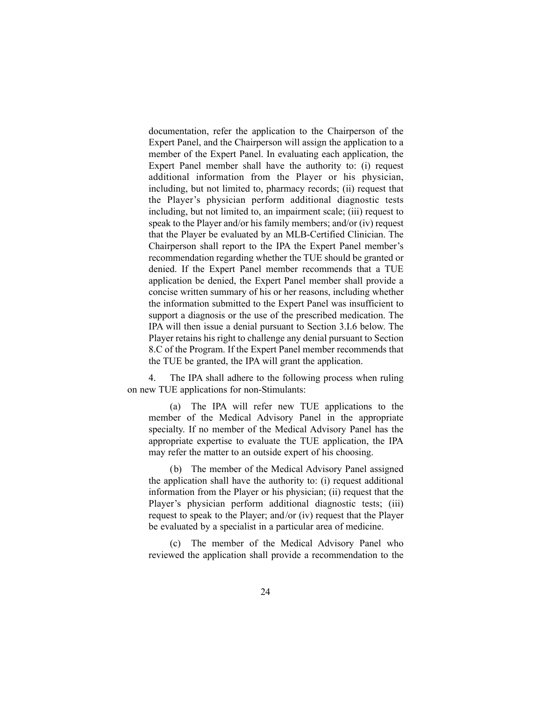documentation, refer the application to the Chairperson of the Expert Panel, and the Chairperson will assign the application to a member of the Expert Panel. In evaluating each application, the Expert Panel member shall have the authority to: (i) request additional information from the Player or his physician, including, but not limited to, pharmacy records; (ii) request that the Player's physician perform additional diagnostic tests including, but not limited to, an impairment scale; (iii) request to speak to the Player and/or his family members; and/or (iv) request that the Player be evaluated by an MLB-Certified Clinician. The Chairperson shall report to the IPA the Expert Panel member's recommendation regarding whether the TUE should be granted or denied. If the Expert Panel member recommends that a TUE application be denied, the Expert Panel member shall provide a concise written summary of his or her reasons, including whether the information submitted to the Expert Panel was insufficient to support a diagnosis or the use of the prescribed medication. The IPA will then issue a denial pursuant to Section 3.I.6 below. The Player retains his right to challenge any denial pursuant to Section 8.C of the Program. If the Expert Panel member recommends that the TUE be granted, the IPA will grant the application.

4. The IPA shall adhere to the following process when ruling on new TUE applications for non-Stimulants:

(a) The IPA will refer new TUE applications to the member of the Medical Advisory Panel in the appropriate specialty. If no member of the Medical Advisory Panel has the appropriate expertise to evaluate the TUE application, the IPA may refer the matter to an outside expert of his choosing.

(b) The member of the Medical Advisory Panel assigned the application shall have the authority to: (i) request additional information from the Player or his physician; (ii) request that the Player's physician perform additional diagnostic tests; (iii) request to speak to the Player; and/or (iv) request that the Player be evaluated by a specialist in a particular area of medicine.

(c) The member of the Medical Advisory Panel who reviewed the application shall provide a recommendation to the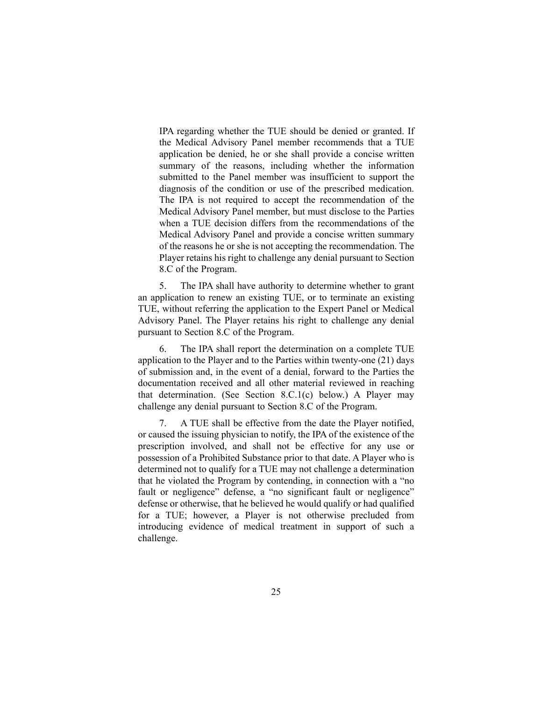IPA regarding whether the TUE should be denied or granted. If the Medical Advisory Panel member recommends that a TUE application be denied, he or she shall provide a concise written summary of the reasons, including whether the information submitted to the Panel member was insufficient to support the diagnosis of the condition or use of the prescribed medication. The IPA is not required to accept the recommendation of the Medical Advisory Panel member, but must disclose to the Parties when a TUE decision differs from the recommendations of the Medical Advisory Panel and provide a concise written summary of the reasons he or she is not accepting the recommendation. The Player retains his right to challenge any denial pursuant to Section 8.C of the Program.

5. The IPA shall have authority to determine whether to grant an application to renew an existing TUE, or to terminate an existing TUE, without referring the application to the Expert Panel or Medical Advisory Panel. The Player retains his right to challenge any denial pursuant to Section 8.C of the Program.

6. The IPA shall report the determination on a complete TUE application to the Player and to the Parties within twenty-one (21) days of submission and, in the event of a denial, forward to the Parties the documentation received and all other material reviewed in reaching that determination. (See Section 8.C.1(c) below.) A Player may challenge any denial pursuant to Section 8.C of the Program.

7. A TUE shall be effective from the date the Player notified, or caused the issuing physician to notify, the IPA of the existence of the prescription involved, and shall not be effective for any use or possession of a Prohibited Substance prior to that date. A Player who is determined not to qualify for a TUE may not challenge a determination that he violated the Program by contending, in connection with a "no fault or negligence" defense, a "no significant fault or negligence" defense or otherwise, that he believed he would qualify or had qualified for a TUE; however, a Player is not otherwise precluded from introducing evidence of medical treatment in support of such a challenge.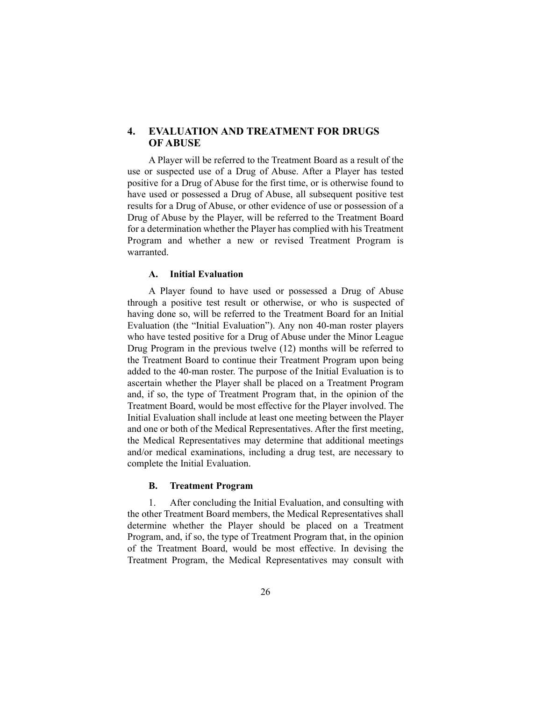### **4. EVALUATION AND TREATMENT FOR DRUGS OF ABUSE**

A Player will be referred to the Treatment Board as a result of the use or suspected use of a Drug of Abuse. After a Player has tested positive for a Drug of Abuse for the first time, or is otherwise found to have used or possessed a Drug of Abuse, all subsequent positive test results for a Drug of Abuse, or other evidence of use or possession of a Drug of Abuse by the Player, will be referred to the Treatment Board for a determination whether the Player has complied with his Treatment Program and whether a new or revised Treatment Program is warranted.

### **A. Initial Evaluation**

A Player found to have used or possessed a Drug of Abuse through a positive test result or otherwise, or who is suspected of having done so, will be referred to the Treatment Board for an Initial Evaluation (the "Initial Evaluation"). Any non 40-man roster players who have tested positive for a Drug of Abuse under the Minor League Drug Program in the previous twelve (12) months will be referred to the Treatment Board to continue their Treatment Program upon being added to the 40-man roster. The purpose of the Initial Evaluation is to ascertain whether the Player shall be placed on a Treatment Program and, if so, the type of Treatment Program that, in the opinion of the Treatment Board, would be most effective for the Player involved. The Initial Evaluation shall include at least one meeting between the Player and one or both of the Medical Representatives. After the first meeting, the Medical Representatives may determine that additional meetings and/or medical examinations, including a drug test, are necessary to complete the Initial Evaluation.

#### **B. Treatment Program**

1. After concluding the Initial Evaluation, and consulting with the other Treatment Board members, the Medical Representatives shall determine whether the Player should be placed on a Treatment Program, and, if so, the type of Treatment Program that, in the opinion of the Treatment Board, would be most effective. In devising the Treatment Program, the Medical Representatives may consult with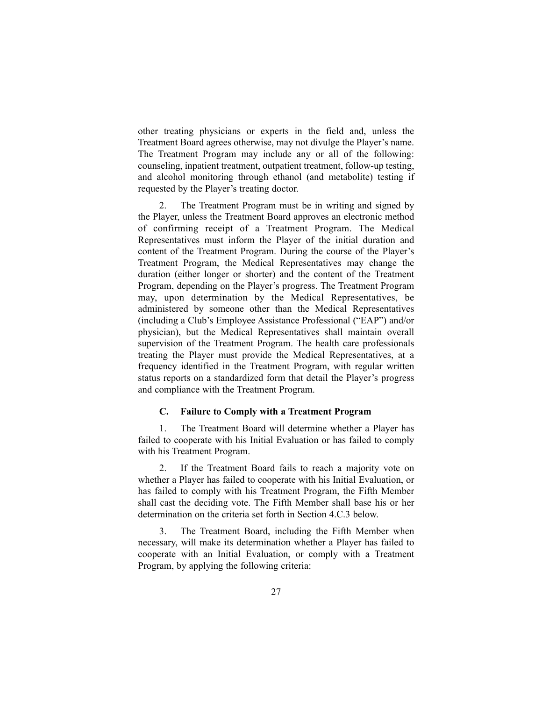other treating physicians or experts in the field and, unless the Treatment Board agrees otherwise, may not divulge the Player's name. The Treatment Program may include any or all of the following: counseling, inpatient treatment, outpatient treatment, follow-up testing, and alcohol monitoring through ethanol (and metabolite) testing if requested by the Player's treating doctor.

2. The Treatment Program must be in writing and signed by the Player, unless the Treatment Board approves an electronic method of confirming receipt of a Treatment Program. The Medical Representatives must inform the Player of the initial duration and content of the Treatment Program. During the course of the Player's Treatment Program, the Medical Representatives may change the duration (either longer or shorter) and the content of the Treatment Program, depending on the Player's progress. The Treatment Program may, upon determination by the Medical Representatives, be administered by someone other than the Medical Representatives (including a Club's Employee Assistance Professional ("EAP") and/or physician), but the Medical Representatives shall maintain overall supervision of the Treatment Program. The health care professionals treating the Player must provide the Medical Representatives, at a frequency identified in the Treatment Program, with regular written status reports on a standardized form that detail the Player's progress and compliance with the Treatment Program.

#### **C. Failure to Comply with a Treatment Program**

1. The Treatment Board will determine whether a Player has failed to cooperate with his Initial Evaluation or has failed to comply with his Treatment Program.

2. If the Treatment Board fails to reach a majority vote on whether a Player has failed to cooperate with his Initial Evaluation, or has failed to comply with his Treatment Program, the Fifth Member shall cast the deciding vote. The Fifth Member shall base his or her determination on the criteria set forth in Section 4.C.3 below.

3. The Treatment Board, including the Fifth Member when necessary, will make its determination whether a Player has failed to cooperate with an Initial Evaluation, or comply with a Treatment Program, by applying the following criteria: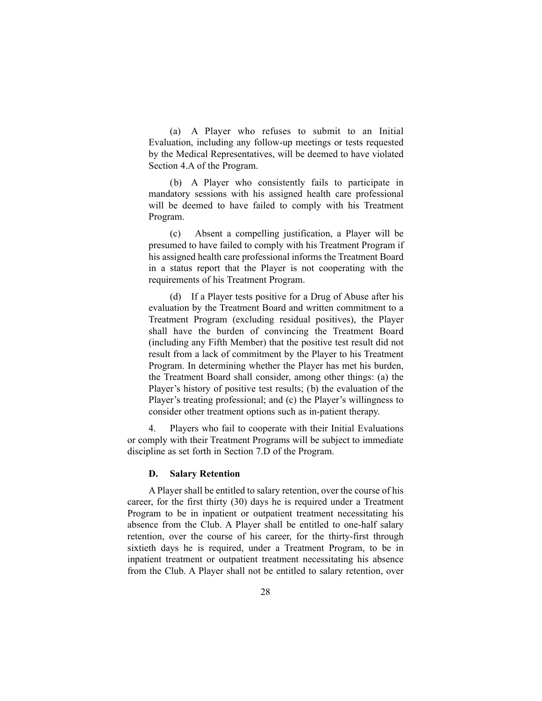(a) A Player who refuses to submit to an Initial Evaluation, including any follow-up meetings or tests requested by the Medical Representatives, will be deemed to have violated Section 4.A of the Program.

(b) A Player who consistently fails to participate in mandatory sessions with his assigned health care professional will be deemed to have failed to comply with his Treatment Program.

(c) Absent a compelling justification, a Player will be presumed to have failed to comply with his Treatment Program if his assigned health care professional informs the Treatment Board in a status report that the Player is not cooperating with the requirements of his Treatment Program.

(d) If a Player tests positive for a Drug of Abuse after his evaluation by the Treatment Board and written commitment to a Treatment Program (excluding residual positives), the Player shall have the burden of convincing the Treatment Board (including any Fifth Member) that the positive test result did not result from a lack of commitment by the Player to his Treatment Program. In determining whether the Player has met his burden, the Treatment Board shall consider, among other things: (a) the Player's history of positive test results; (b) the evaluation of the Player's treating professional; and (c) the Player's willingness to consider other treatment options such as in-patient therapy.

4. Players who fail to cooperate with their Initial Evaluations or comply with their Treatment Programs will be subject to immediate discipline as set forth in Section 7.D of the Program.

#### **D. Salary Retention**

A Player shall be entitled to salary retention, over the course of his career, for the first thirty (30) days he is required under a Treatment Program to be in inpatient or outpatient treatment necessitating his absence from the Club. A Player shall be entitled to one-half salary retention, over the course of his career, for the thirty-first through sixtieth days he is required, under a Treatment Program, to be in inpatient treatment or outpatient treatment necessitating his absence from the Club. A Player shall not be entitled to salary retention, over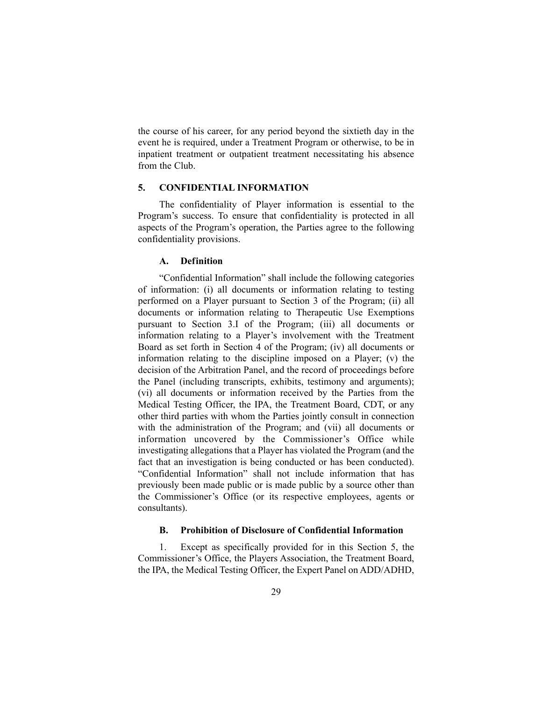the course of his career, for any period beyond the sixtieth day in the event he is required, under a Treatment Program or otherwise, to be in inpatient treatment or outpatient treatment necessitating his absence from the Club.

### **5. CONFIDENTIAL INFORMATION**

The confidentiality of Player information is essential to the Program's success. To ensure that confidentiality is protected in all aspects of the Program's operation, the Parties agree to the following confidentiality provisions.

#### **A. Definition**

"Confidential Information" shall include the following categories of information: (i) all documents or information relating to testing performed on a Player pursuant to Section 3 of the Program; (ii) all documents or information relating to Therapeutic Use Exemptions pursuant to Section 3.I of the Program; (iii) all documents or information relating to a Player's involvement with the Treatment Board as set forth in Section 4 of the Program; (iv) all documents or information relating to the discipline imposed on a Player; (v) the decision of the Arbitration Panel, and the record of proceedings before the Panel (including transcripts, exhibits, testimony and arguments); (vi) all documents or information received by the Parties from the Medical Testing Officer, the IPA, the Treatment Board, CDT, or any other third parties with whom the Parties jointly consult in connection with the administration of the Program; and (vii) all documents or information uncovered by the Commissioner's Office while investigating allegations that a Player has violated the Program (and the fact that an investigation is being conducted or has been conducted). "Confidential Information" shall not include information that has previously been made public or is made public by a source other than the Commissioner's Office (or its respective employees, agents or consultants).

#### **B. Prohibition of Disclosure of Confidential Information**

1. Except as specifically provided for in this Section 5, the Commissioner's Office, the Players Association, the Treatment Board, the IPA, the Medical Testing Officer, the Expert Panel on ADD/ADHD,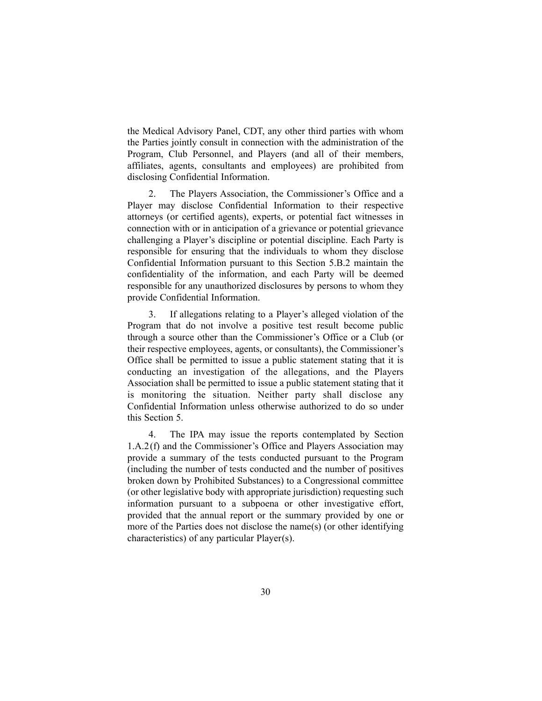the Medical Advisory Panel, CDT, any other third parties with whom the Parties jointly consult in connection with the administration of the Program, Club Personnel, and Players (and all of their members, affiliates, agents, consultants and employees) are prohibited from disclosing Confidential Information.

2. The Players Association, the Commissioner's Office and a Player may disclose Confidential Information to their respective attorneys (or certified agents), experts, or potential fact witnesses in connection with or in anticipation of a grievance or potential grievance challenging a Player's discipline or potential discipline. Each Party is responsible for ensuring that the individuals to whom they disclose Confidential Information pursuant to this Section 5.B.2 maintain the confidentiality of the information, and each Party will be deemed responsible for any unauthorized disclosures by persons to whom they provide Confidential Information.

3. If allegations relating to a Player's alleged violation of the Program that do not involve a positive test result become public through a source other than the Commissioner's Office or a Club (or their respective employees, agents, or consultants), the Commissioner's Office shall be permitted to issue a public statement stating that it is conducting an investigation of the allegations, and the Players Association shall be permitted to issue a public statement stating that it is monitoring the situation. Neither party shall disclose any Confidential Information unless otherwise authorized to do so under this Section 5.

4. The IPA may issue the reports contemplated by Section 1.A.2(f) and the Commissioner's Office and Players Association may provide a summary of the tests conducted pursuant to the Program (including the number of tests conducted and the number of positives broken down by Prohibited Substances) to a Congressional committee (or other legislative body with appropriate jurisdiction) requesting such information pursuant to a subpoena or other investigative effort, provided that the annual report or the summary provided by one or more of the Parties does not disclose the name(s) (or other identifying characteristics) of any particular Player(s).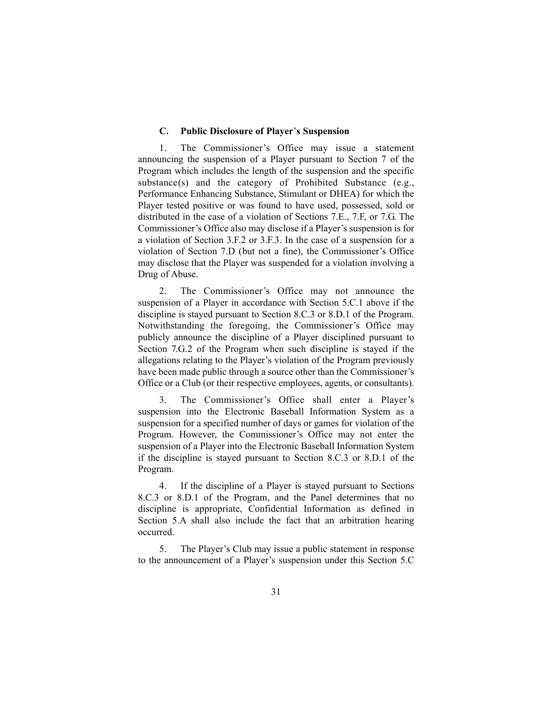#### **C. Public Disclosure of Player**'**s Suspension**

1. The Commissioner's Office may issue a statement announcing the suspension of a Player pursuant to Section 7 of the Program which includes the length of the suspension and the specific substance(s) and the category of Prohibited Substance (e.g., Performance Enhancing Substance, Stimulant or DHEA) for which the Player tested positive or was found to have used, possessed, sold or distributed in the case of a violation of Sections 7.E., 7.F, or 7.G. The Commissioner's Office also may disclose if a Player's suspension is for a violation of Section 3.F.2 or 3.F.3. In the case of a suspension for a violation of Section 7.D (but not a fine), the Commissioner's Office may disclose that the Player was suspended for a violation involving a Drug of Abuse.

2. The Commissioner's Office may not announce the suspension of a Player in accordance with Section 5.C.1 above if the discipline is stayed pursuant to Section 8.C.3 or 8.D.1 of the Program. Notwithstanding the foregoing, the Commissioner's Office may publicly announce the discipline of a Player disciplined pursuant to Section 7.G.2 of the Program when such discipline is stayed if the allegations relating to the Player's violation of the Program previously have been made public through a source other than the Commissioner's Office or a Club (or their respective employees, agents, or consultants).

3. The Commissioner's Office shall enter a Player's suspension into the Electronic Baseball Information System as a suspension for a specified number of days or games for violation of the Program. However, the Commissioner's Office may not enter the suspension of a Player into the Electronic Baseball Information System if the discipline is stayed pursuant to Section 8.C.3 or 8.D.1 of the Program.

4. If the discipline of a Player is stayed pursuant to Sections 8.C.3 or 8.D.1 of the Program, and the Panel determines that no discipline is appropriate, Confidential Information as defined in Section 5.A shall also include the fact that an arbitration hearing occurred.

5. The Player's Club may issue a public statement in response to the announcement of a Player's suspension under this Section 5.C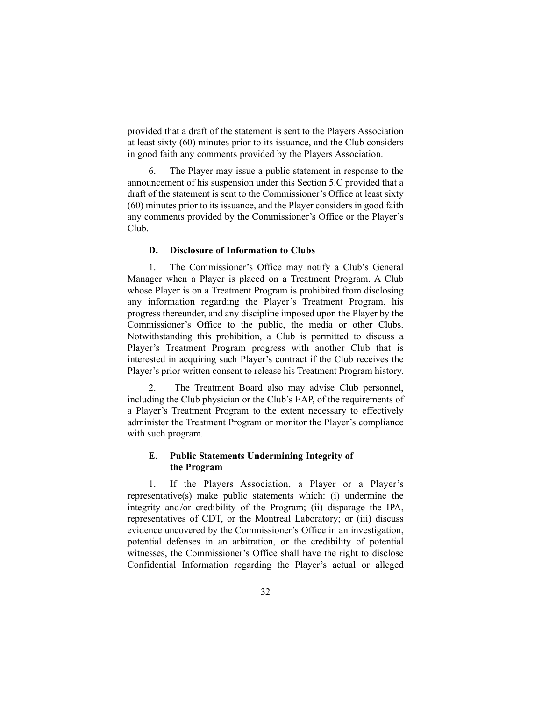provided that a draft of the statement is sent to the Players Association at least sixty (60) minutes prior to its issuance, and the Club considers in good faith any comments provided by the Players Association.

6. The Player may issue a public statement in response to the announcement of his suspension under this Section 5.C provided that a draft of the statement is sent to the Commissioner's Office at least sixty (60) minutes prior to its issuance, and the Player considers in good faith any comments provided by the Commissioner's Office or the Player's Club.

#### **D. Disclosure of Information to Clubs**

1. The Commissioner's Office may notify a Club's General Manager when a Player is placed on a Treatment Program. A Club whose Player is on a Treatment Program is prohibited from disclosing any information regarding the Player's Treatment Program, his progress thereunder, and any discipline imposed upon the Player by the Commissioner's Office to the public, the media or other Clubs. Notwithstanding this prohibition, a Club is permitted to discuss a Player's Treatment Program progress with another Club that is interested in acquiring such Player's contract if the Club receives the Player's prior written consent to release his Treatment Program history.

2. The Treatment Board also may advise Club personnel, including the Club physician or the Club's EAP, of the requirements of a Player's Treatment Program to the extent necessary to effectively administer the Treatment Program or monitor the Player's compliance with such program.

# **E. Public Statements Undermining Integrity of the Program**

1. If the Players Association, a Player or a Player's representative(s) make public statements which: (i) undermine the integrity and/or credibility of the Program; (ii) disparage the IPA, representatives of CDT, or the Montreal Laboratory; or (iii) discuss evidence uncovered by the Commissioner's Office in an investigation, potential defenses in an arbitration, or the credibility of potential witnesses, the Commissioner's Office shall have the right to disclose Confidential Information regarding the Player's actual or alleged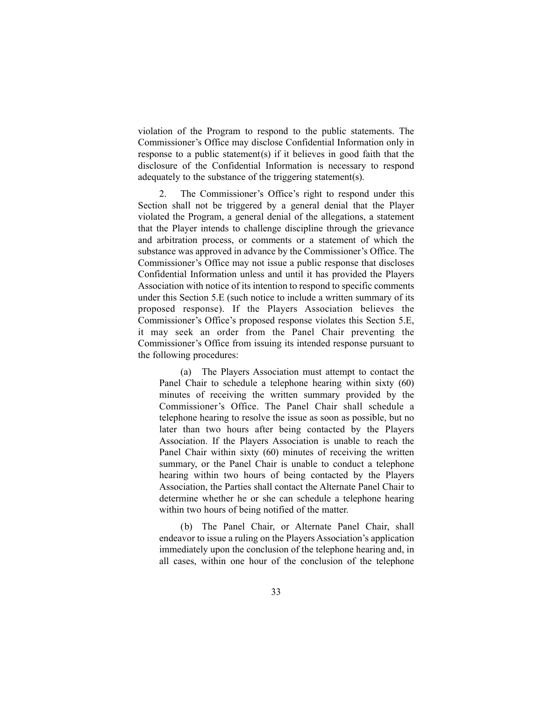violation of the Program to respond to the public statements. The Commissioner's Office may disclose Confidential Information only in response to a public statement(s) if it believes in good faith that the disclosure of the Confidential Information is necessary to respond adequately to the substance of the triggering statement(s).

2. The Commissioner's Office's right to respond under this Section shall not be triggered by a general denial that the Player violated the Program, a general denial of the allegations, a statement that the Player intends to challenge discipline through the grievance and arbitration process, or comments or a statement of which the substance was approved in advance by the Commissioner's Office. The Commissioner's Office may not issue a public response that discloses Confidential Information unless and until it has provided the Players Association with notice of its intention to respond to specific comments under this Section 5.E (such notice to include a written summary of its proposed response). If the Players Association believes the Commissioner's Office's proposed response violates this Section 5.E, it may seek an order from the Panel Chair preventing the Commissioner's Office from issuing its intended response pursuant to the following procedures:

(a) The Players Association must attempt to contact the Panel Chair to schedule a telephone hearing within sixty (60) minutes of receiving the written summary provided by the Commissioner's Office. The Panel Chair shall schedule a telephone hearing to resolve the issue as soon as possible, but no later than two hours after being contacted by the Players Association. If the Players Association is unable to reach the Panel Chair within sixty (60) minutes of receiving the written summary, or the Panel Chair is unable to conduct a telephone hearing within two hours of being contacted by the Players Association, the Parties shall contact the Alternate Panel Chair to determine whether he or she can schedule a telephone hearing within two hours of being notified of the matter.

(b) The Panel Chair, or Alternate Panel Chair, shall endeavor to issue a ruling on the Players Association's application immediately upon the conclusion of the telephone hearing and, in all cases, within one hour of the conclusion of the telephone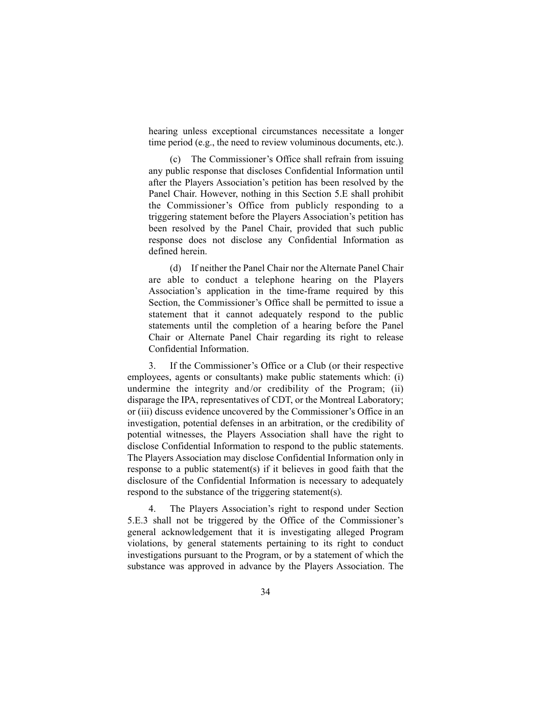hearing unless exceptional circumstances necessitate a longer time period (e.g., the need to review voluminous documents, etc.).

(c) The Commissioner's Office shall refrain from issuing any public response that discloses Confidential Information until after the Players Association's petition has been resolved by the Panel Chair. However, nothing in this Section 5.E shall prohibit the Commissioner's Office from publicly responding to a triggering statement before the Players Association's petition has been resolved by the Panel Chair, provided that such public response does not disclose any Confidential Information as defined herein.

(d) If neither the Panel Chair nor the Alternate Panel Chair are able to conduct a telephone hearing on the Players Association's application in the time-frame required by this Section, the Commissioner's Office shall be permitted to issue a statement that it cannot adequately respond to the public statements until the completion of a hearing before the Panel Chair or Alternate Panel Chair regarding its right to release Confidential Information.

3. If the Commissioner's Office or a Club (or their respective employees, agents or consultants) make public statements which: (i) undermine the integrity and/or credibility of the Program; (ii) disparage the IPA, representatives of CDT, or the Montreal Laboratory; or (iii) discuss evidence uncovered by the Commissioner's Office in an investigation, potential defenses in an arbitration, or the credibility of potential witnesses, the Players Association shall have the right to disclose Confidential Information to respond to the public statements. The Players Association may disclose Confidential Information only in response to a public statement(s) if it believes in good faith that the disclosure of the Confidential Information is necessary to adequately respond to the substance of the triggering statement(s).

4. The Players Association's right to respond under Section 5.E.3 shall not be triggered by the Office of the Commissioner's general acknowledgement that it is investigating alleged Program violations, by general statements pertaining to its right to conduct investigations pursuant to the Program, or by a statement of which the substance was approved in advance by the Players Association. The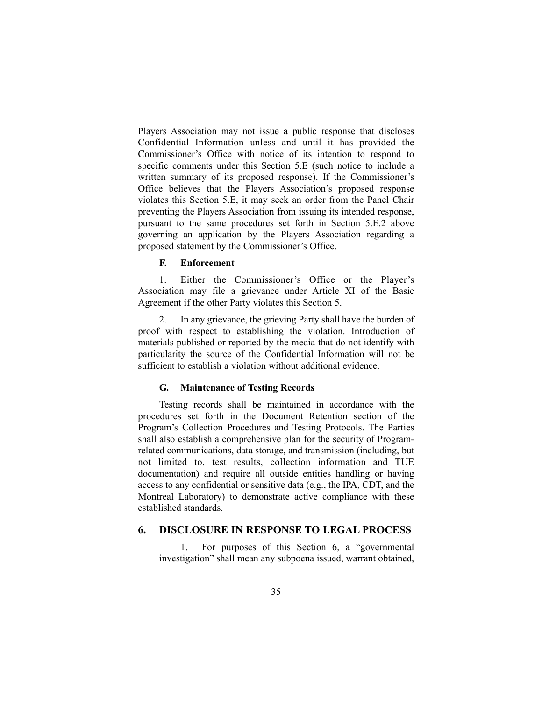Players Association may not issue a public response that discloses Confidential Information unless and until it has provided the Commissioner's Office with notice of its intention to respond to specific comments under this Section 5.E (such notice to include a written summary of its proposed response). If the Commissioner's Office believes that the Players Association's proposed response violates this Section 5.E, it may seek an order from the Panel Chair preventing the Players Association from issuing its intended response, pursuant to the same procedures set forth in Section 5.E.2 above governing an application by the Players Association regarding a proposed statement by the Commissioner's Office.

# **F. Enforcement**

1. Either the Commissioner's Office or the Player's Association may file a grievance under Article XI of the Basic Agreement if the other Party violates this Section 5.

2. In any grievance, the grieving Party shall have the burden of proof with respect to establishing the violation. Introduction of materials published or reported by the media that do not identify with particularity the source of the Confidential Information will not be sufficient to establish a violation without additional evidence.

#### **G. Maintenance of Testing Records**

Testing records shall be maintained in accordance with the procedures set forth in the Document Retention section of the Program's Collection Procedures and Testing Protocols. The Parties shall also establish a comprehensive plan for the security of Programrelated communications, data storage, and transmission (including, but not limited to, test results, collection information and TUE documentation) and require all outside entities handling or having access to any confidential or sensitive data (e.g., the IPA, CDT, and the Montreal Laboratory) to demonstrate active compliance with these established standards.

## **6. DISCLOSURE IN RESPONSE TO LEGAL PROCESS**

1. For purposes of this Section 6, a "governmental investigation" shall mean any subpoena issued, warrant obtained,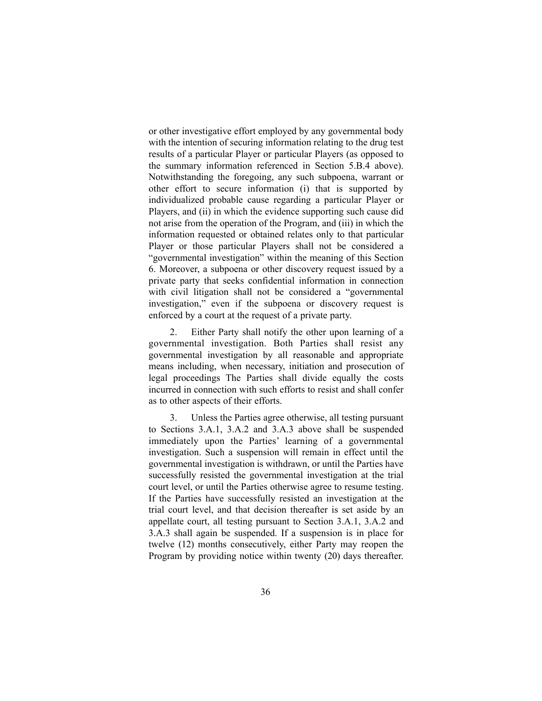or other investigative effort employed by any governmental body with the intention of securing information relating to the drug test results of a particular Player or particular Players (as opposed to the summary information referenced in Section 5.B.4 above). Notwithstanding the foregoing, any such subpoena, warrant or other effort to secure information (i) that is supported by individualized probable cause regarding a particular Player or Players, and (ii) in which the evidence supporting such cause did not arise from the operation of the Program, and (iii) in which the information requested or obtained relates only to that particular Player or those particular Players shall not be considered a "governmental investigation" within the meaning of this Section 6. Moreover, a subpoena or other discovery request issued by a private party that seeks confidential information in connection with civil litigation shall not be considered a "governmental investigation," even if the subpoena or discovery request is enforced by a court at the request of a private party.

2. Either Party shall notify the other upon learning of a governmental investigation. Both Parties shall resist any governmental investigation by all reasonable and appropriate means including, when necessary, initiation and prosecution of legal proceedings The Parties shall divide equally the costs incurred in connection with such efforts to resist and shall confer as to other aspects of their efforts.

3. Unless the Parties agree otherwise, all testing pursuant to Sections 3.A.1, 3.A.2 and 3.A.3 above shall be suspended immediately upon the Parties' learning of a governmental investigation. Such a suspension will remain in effect until the governmental investigation is withdrawn, or until the Parties have successfully resisted the governmental investigation at the trial court level, or until the Parties otherwise agree to resume testing. If the Parties have successfully resisted an investigation at the trial court level, and that decision thereafter is set aside by an appellate court, all testing pursuant to Section 3.A.1, 3.A.2 and 3.A.3 shall again be suspended. If a suspension is in place for twelve (12) months consecutively, either Party may reopen the Program by providing notice within twenty (20) days thereafter.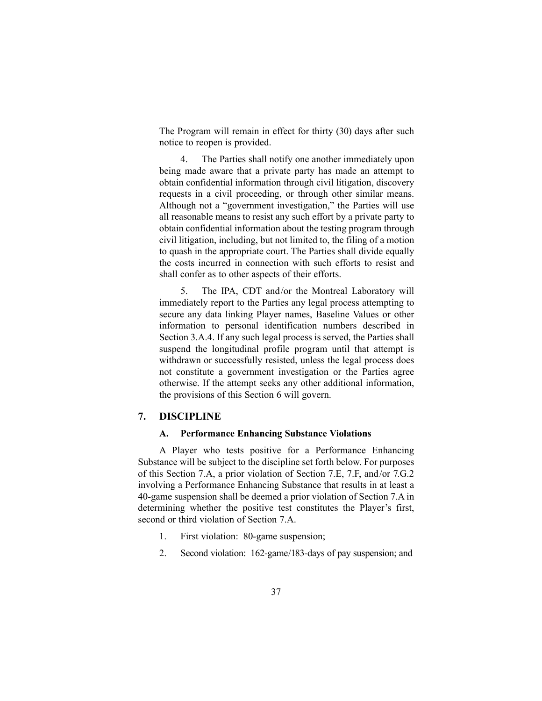The Program will remain in effect for thirty (30) days after such notice to reopen is provided.

4. The Parties shall notify one another immediately upon being made aware that a private party has made an attempt to obtain confidential information through civil litigation, discovery requests in a civil proceeding, or through other similar means. Although not a "government investigation," the Parties will use all reasonable means to resist any such effort by a private party to obtain confidential information about the testing program through civil litigation, including, but not limited to, the filing of a motion to quash in the appropriate court. The Parties shall divide equally the costs incurred in connection with such efforts to resist and shall confer as to other aspects of their efforts.

5. The IPA, CDT and/or the Montreal Laboratory will immediately report to the Parties any legal process attempting to secure any data linking Player names, Baseline Values or other information to personal identification numbers described in Section 3.A.4. If any such legal process is served, the Parties shall suspend the longitudinal profile program until that attempt is withdrawn or successfully resisted, unless the legal process does not constitute a government investigation or the Parties agree otherwise. If the attempt seeks any other additional information, the provisions of this Section 6 will govern.

## **7. DISCIPLINE**

## **A. Performance Enhancing Substance Violations**

A Player who tests positive for a Performance Enhancing Substance will be subject to the discipline set forth below. For purposes of this Section 7.A, a prior violation of Section 7.E, 7.F, and/or 7.G.2 involving a Performance Enhancing Substance that results in at least a 40-game suspension shall be deemed a prior violation of Section 7.A in determining whether the positive test constitutes the Player's first, second or third violation of Section 7.A.

- 1. First violation: 80-game suspension;
- 2. Second violation: 162-game/183-days of pay suspension; and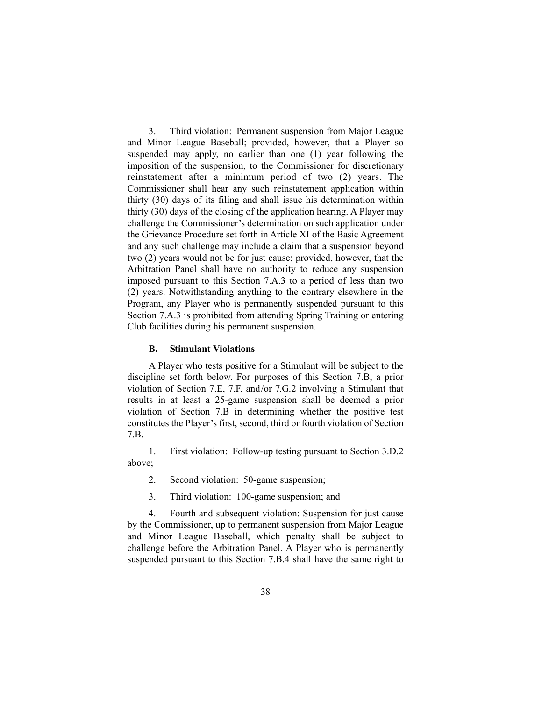3. Third violation: Permanent suspension from Major League and Minor League Baseball; provided, however, that a Player so suspended may apply, no earlier than one (1) year following the imposition of the suspension, to the Commissioner for discretionary reinstatement after a minimum period of two (2) years. The Commissioner shall hear any such reinstatement application within thirty (30) days of its filing and shall issue his determination within thirty (30) days of the closing of the application hearing. A Player may challenge the Commissioner's determination on such application under the Grievance Procedure set forth in Article XI of the Basic Agreement and any such challenge may include a claim that a suspension beyond two (2) years would not be for just cause; provided, however, that the Arbitration Panel shall have no authority to reduce any suspension imposed pursuant to this Section 7.A.3 to a period of less than two (2) years. Notwithstanding anything to the contrary elsewhere in the Program, any Player who is permanently suspended pursuant to this Section 7.A.3 is prohibited from attending Spring Training or entering Club facilities during his permanent suspension.

#### **B. Stimulant Violations**

A Player who tests positive for a Stimulant will be subject to the discipline set forth below. For purposes of this Section 7.B, a prior violation of Section 7.E, 7.F, and/or 7.G.2 involving a Stimulant that results in at least a 25-game suspension shall be deemed a prior violation of Section 7.B in determining whether the positive test constitutes the Player's first, second, third or fourth violation of Section 7.B.

1. First violation: Follow-up testing pursuant to Section 3.D.2 above;

- 2. Second violation: 50-game suspension;
- 3. Third violation: 100-game suspension; and

4. Fourth and subsequent violation: Suspension for just cause by the Commissioner, up to permanent suspension from Major League and Minor League Baseball, which penalty shall be subject to challenge before the Arbitration Panel. A Player who is permanently suspended pursuant to this Section 7.B.4 shall have the same right to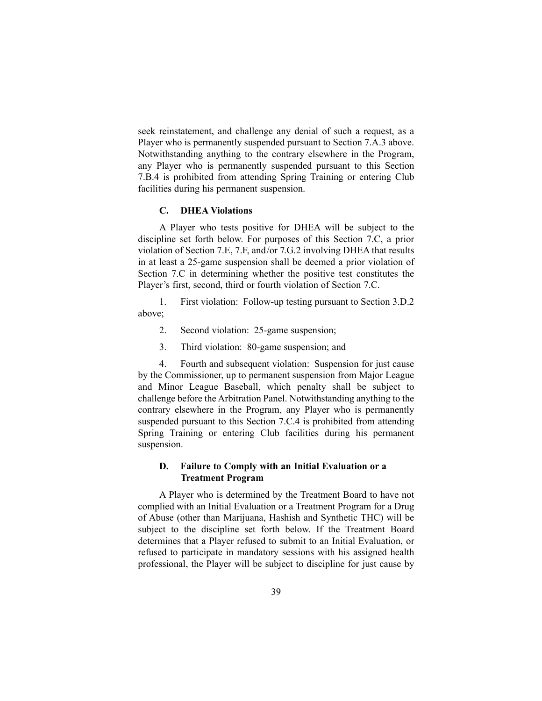seek reinstatement, and challenge any denial of such a request, as a Player who is permanently suspended pursuant to Section 7.A.3 above. Notwithstanding anything to the contrary elsewhere in the Program, any Player who is permanently suspended pursuant to this Section 7.B.4 is prohibited from attending Spring Training or entering Club facilities during his permanent suspension.

#### **C. DHEA Violations**

A Player who tests positive for DHEA will be subject to the discipline set forth below. For purposes of this Section 7.C, a prior violation of Section 7.E, 7.F, and/or 7.G.2 involving DHEA that results in at least a 25-game suspension shall be deemed a prior violation of Section 7.C in determining whether the positive test constitutes the Player's first, second, third or fourth violation of Section 7.C.

1. First violation: Follow-up testing pursuant to Section 3.D.2 above;

- 2. Second violation: 25-game suspension;
- 3. Third violation: 80-game suspension; and

4. Fourth and subsequent violation: Suspension for just cause by the Commissioner, up to permanent suspension from Major League and Minor League Baseball, which penalty shall be subject to challenge before the Arbitration Panel. Notwithstanding anything to the contrary elsewhere in the Program, any Player who is permanently suspended pursuant to this Section 7.C.4 is prohibited from attending Spring Training or entering Club facilities during his permanent suspension.

## **D. Failure to Comply with an Initial Evaluation or a Treatment Program**

A Player who is determined by the Treatment Board to have not complied with an Initial Evaluation or a Treatment Program for a Drug of Abuse (other than Marijuana, Hashish and Synthetic THC) will be subject to the discipline set forth below. If the Treatment Board determines that a Player refused to submit to an Initial Evaluation, or refused to participate in mandatory sessions with his assigned health professional, the Player will be subject to discipline for just cause by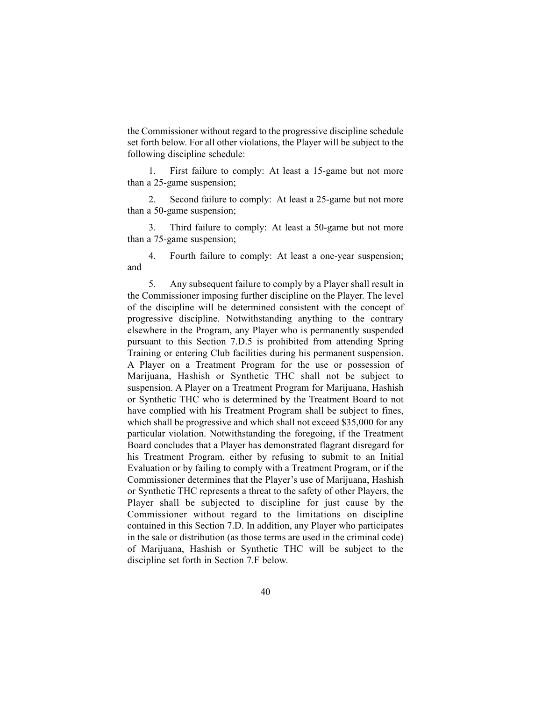the Commissioner without regard to the progressive discipline schedule set forth below. For all other violations, the Player will be subject to the following discipline schedule:

1. First failure to comply: At least a 15-game but not more than a 25-game suspension;

2. Second failure to comply: At least a 25-game but not more than a 50-game suspension;

3. Third failure to comply: At least a 50-game but not more than a 75-game suspension;

4. Fourth failure to comply: At least a one-year suspension; and

5. Any subsequent failure to comply by a Player shall result in the Commissioner imposing further discipline on the Player. The level of the discipline will be determined consistent with the concept of progressive discipline. Notwithstanding anything to the contrary elsewhere in the Program, any Player who is permanently suspended pursuant to this Section 7.D.5 is prohibited from attending Spring Training or entering Club facilities during his permanent suspension. A Player on a Treatment Program for the use or possession of Marijuana, Hashish or Synthetic THC shall not be subject to suspension. A Player on a Treatment Program for Marijuana, Hashish or Synthetic THC who is determined by the Treatment Board to not have complied with his Treatment Program shall be subject to fines, which shall be progressive and which shall not exceed \$35,000 for any particular violation. Notwithstanding the foregoing, if the Treatment Board concludes that a Player has demonstrated flagrant disregard for his Treatment Program, either by refusing to submit to an Initial Evaluation or by failing to comply with a Treatment Program, or if the Commissioner determines that the Player's use of Marijuana, Hashish or Synthetic THC represents a threat to the safety of other Players, the Player shall be subjected to discipline for just cause by the Commissioner without regard to the limitations on discipline contained in this Section 7.D. In addition, any Player who participates in the sale or distribution (as those terms are used in the criminal code) of Marijuana, Hashish or Synthetic THC will be subject to the discipline set forth in Section 7.F below.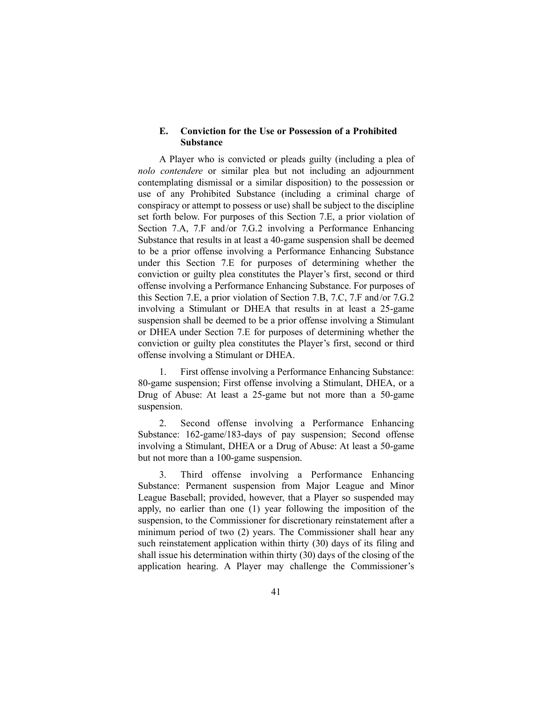### **E. Conviction for the Use or Possession of a Prohibited Substance**

A Player who is convicted or pleads guilty (including a plea of *nolo contendere* or similar plea but not including an adjournment contemplating dismissal or a similar disposition) to the possession or use of any Prohibited Substance (including a criminal charge of conspiracy or attempt to possess or use) shall be subject to the discipline set forth below. For purposes of this Section 7.E, a prior violation of Section 7.A, 7.F and/or 7.G.2 involving a Performance Enhancing Substance that results in at least a 40-game suspension shall be deemed to be a prior offense involving a Performance Enhancing Substance under this Section 7.E for purposes of determining whether the conviction or guilty plea constitutes the Player's first, second or third offense involving a Performance Enhancing Substance. For purposes of this Section 7.E, a prior violation of Section 7.B, 7.C, 7.F and/or 7.G.2 involving a Stimulant or DHEA that results in at least a 25-game suspension shall be deemed to be a prior offense involving a Stimulant or DHEA under Section 7.E for purposes of determining whether the conviction or guilty plea constitutes the Player's first, second or third offense involving a Stimulant or DHEA.

1. First offense involving a Performance Enhancing Substance: 80-game suspension; First offense involving a Stimulant, DHEA, or a Drug of Abuse: At least a 25-game but not more than a 50-game suspension.

2. Second offense involving a Performance Enhancing Substance: 162-game/183-days of pay suspension; Second offense involving a Stimulant, DHEA or a Drug of Abuse: At least a 50-game but not more than a 100-game suspension.

3. Third offense involving a Performance Enhancing Substance: Permanent suspension from Major League and Minor League Baseball; provided, however, that a Player so suspended may apply, no earlier than one (1) year following the imposition of the suspension, to the Commissioner for discretionary reinstatement after a minimum period of two (2) years. The Commissioner shall hear any such reinstatement application within thirty (30) days of its filing and shall issue his determination within thirty (30) days of the closing of the application hearing. A Player may challenge the Commissioner's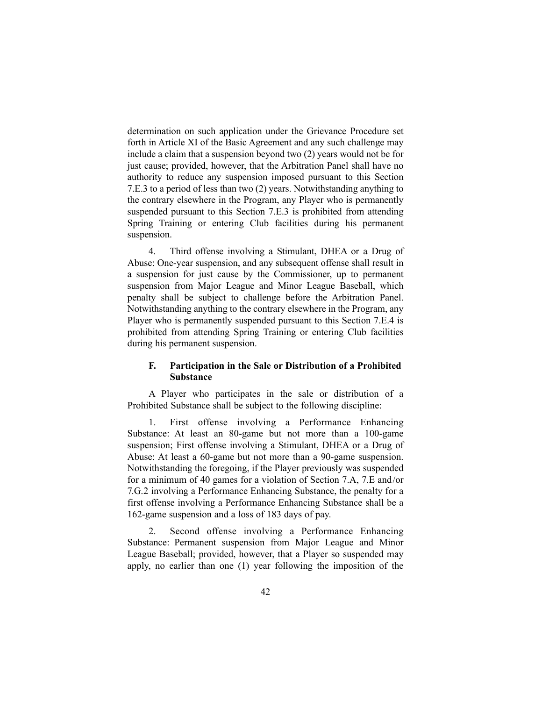determination on such application under the Grievance Procedure set forth in Article XI of the Basic Agreement and any such challenge may include a claim that a suspension beyond two (2) years would not be for just cause; provided, however, that the Arbitration Panel shall have no authority to reduce any suspension imposed pursuant to this Section 7.E.3 to a period of less than two (2) years. Notwithstanding anything to the contrary elsewhere in the Program, any Player who is permanently suspended pursuant to this Section 7.E.3 is prohibited from attending Spring Training or entering Club facilities during his permanent suspension.

4. Third offense involving a Stimulant, DHEA or a Drug of Abuse: One-year suspension, and any subsequent offense shall result in a suspension for just cause by the Commissioner, up to permanent suspension from Major League and Minor League Baseball, which penalty shall be subject to challenge before the Arbitration Panel. Notwithstanding anything to the contrary elsewhere in the Program, any Player who is permanently suspended pursuant to this Section 7.E.4 is prohibited from attending Spring Training or entering Club facilities during his permanent suspension.

# **F. Participation in the Sale or Distribution of a Prohibited Substance**

A Player who participates in the sale or distribution of a Prohibited Substance shall be subject to the following discipline:

1. First offense involving a Performance Enhancing Substance: At least an 80-game but not more than a 100-game suspension; First offense involving a Stimulant, DHEA or a Drug of Abuse: At least a 60-game but not more than a 90-game suspension. Notwithstanding the foregoing, if the Player previously was suspended for a minimum of 40 games for a violation of Section 7.A, 7.E and/or 7.G.2 involving a Performance Enhancing Substance, the penalty for a first offense involving a Performance Enhancing Substance shall be a 162-game suspension and a loss of 183 days of pay.

2. Second offense involving a Performance Enhancing Substance: Permanent suspension from Major League and Minor League Baseball; provided, however, that a Player so suspended may apply, no earlier than one (1) year following the imposition of the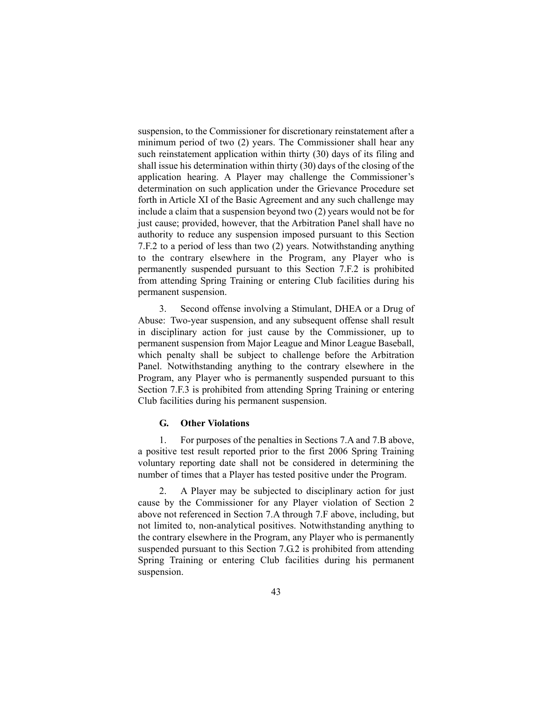suspension, to the Commissioner for discretionary reinstatement after a minimum period of two (2) years. The Commissioner shall hear any such reinstatement application within thirty (30) days of its filing and shall issue his determination within thirty (30) days of the closing of the application hearing. A Player may challenge the Commissioner's determination on such application under the Grievance Procedure set forth in Article XI of the Basic Agreement and any such challenge may include a claim that a suspension beyond two (2) years would not be for just cause; provided, however, that the Arbitration Panel shall have no authority to reduce any suspension imposed pursuant to this Section 7.F.2 to a period of less than two (2) years. Notwithstanding anything to the contrary elsewhere in the Program, any Player who is permanently suspended pursuant to this Section 7.F.2 is prohibited from attending Spring Training or entering Club facilities during his permanent suspension.

3. Second offense involving a Stimulant, DHEA or a Drug of Abuse: Two-year suspension, and any subsequent offense shall result in disciplinary action for just cause by the Commissioner, up to permanent suspension from Major League and Minor League Baseball, which penalty shall be subject to challenge before the Arbitration Panel. Notwithstanding anything to the contrary elsewhere in the Program, any Player who is permanently suspended pursuant to this Section 7.F.3 is prohibited from attending Spring Training or entering Club facilities during his permanent suspension.

#### **G. Other Violations**

1. For purposes of the penalties in Sections 7.A and 7.B above, a positive test result reported prior to the first 2006 Spring Training voluntary reporting date shall not be considered in determining the number of times that a Player has tested positive under the Program.

2. A Player may be subjected to disciplinary action for just cause by the Commissioner for any Player violation of Section 2 above not referenced in Section 7.A through 7.F above, including, but not limited to, non-analytical positives. Notwithstanding anything to the contrary elsewhere in the Program, any Player who is permanently suspended pursuant to this Section 7.G.2 is prohibited from attending Spring Training or entering Club facilities during his permanent suspension.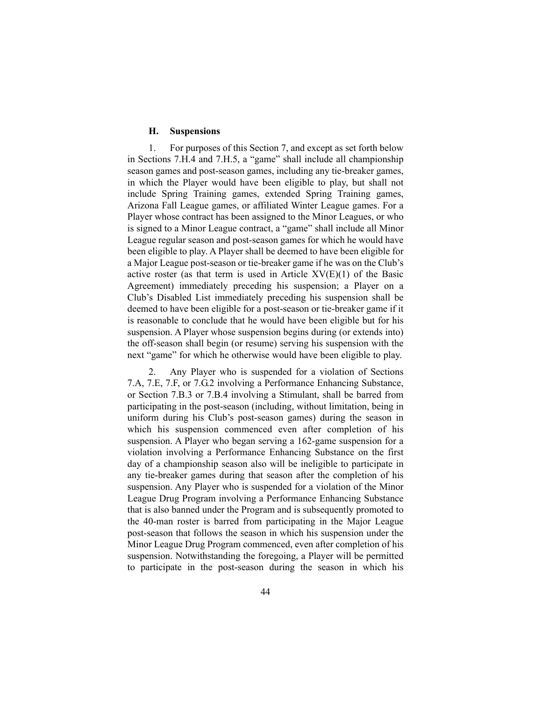#### **H. Suspensions**

1. For purposes of this Section 7, and except as set forth below in Sections 7.H.4 and 7.H.5, a "game" shall include all championship season games and post-season games, including any tie-breaker games, in which the Player would have been eligible to play, but shall not include Spring Training games, extended Spring Training games, Arizona Fall League games, or affiliated Winter League games. For a Player whose contract has been assigned to the Minor Leagues, or who is signed to a Minor League contract, a "game" shall include all Minor League regular season and post-season games for which he would have been eligible to play. A Player shall be deemed to have been eligible for a Major League post-season or tie-breaker game if he was on the Club's active roster (as that term is used in Article  $XV(E)(1)$  of the Basic Agreement) immediately preceding his suspension; a Player on a Club's Disabled List immediately preceding his suspension shall be deemed to have been eligible for a post-season or tie-breaker game if it is reasonable to conclude that he would have been eligible but for his suspension. A Player whose suspension begins during (or extends into) the off-season shall begin (or resume) serving his suspension with the next "game" for which he otherwise would have been eligible to play.

2. Any Player who is suspended for a violation of Sections 7.A, 7.E, 7.F, or 7.G.2 involving a Performance Enhancing Substance, or Section 7.B.3 or 7.B.4 involving a Stimulant, shall be barred from participating in the post-season (including, without limitation, being in uniform during his Club's post-season games) during the season in which his suspension commenced even after completion of his suspension. A Player who began serving a 162-game suspension for a violation involving a Performance Enhancing Substance on the first day of a championship season also will be ineligible to participate in any tie-breaker games during that season after the completion of his suspension. Any Player who is suspended for a violation of the Minor League Drug Program involving a Performance Enhancing Substance that is also banned under the Program and is subsequently promoted to the 40-man roster is barred from participating in the Major League post-season that follows the season in which his suspension under the Minor League Drug Program commenced, even after completion of his suspension. Notwithstanding the foregoing, a Player will be permitted to participate in the post-season during the season in which his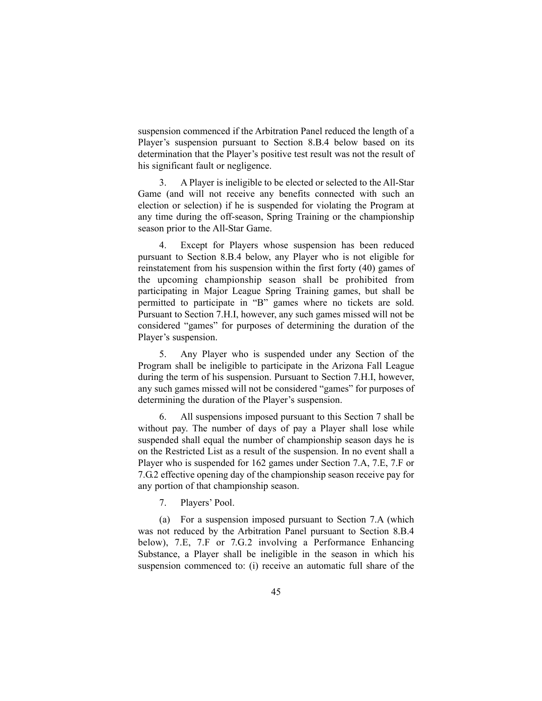suspension commenced if the Arbitration Panel reduced the length of a Player's suspension pursuant to Section 8.B.4 below based on its determination that the Player's positive test result was not the result of his significant fault or negligence.

3. A Player is ineligible to be elected or selected to the All-Star Game (and will not receive any benefits connected with such an election or selection) if he is suspended for violating the Program at any time during the off-season, Spring Training or the championship season prior to the All-Star Game.

4. Except for Players whose suspension has been reduced pursuant to Section 8.B.4 below, any Player who is not eligible for reinstatement from his suspension within the first forty (40) games of the upcoming championship season shall be prohibited from participating in Major League Spring Training games, but shall be permitted to participate in "B" games where no tickets are sold. Pursuant to Section 7.H.I, however, any such games missed will not be considered "games" for purposes of determining the duration of the Player's suspension.

5. Any Player who is suspended under any Section of the Program shall be ineligible to participate in the Arizona Fall League during the term of his suspension. Pursuant to Section 7.H.I, however, any such games missed will not be considered "games" for purposes of determining the duration of the Player's suspension.

6. All suspensions imposed pursuant to this Section 7 shall be without pay. The number of days of pay a Player shall lose while suspended shall equal the number of championship season days he is on the Restricted List as a result of the suspension. In no event shall a Player who is suspended for 162 games under Section 7.A, 7.E, 7.F or 7.G.2 effective opening day of the championship season receive pay for any portion of that championship season.

7. Players' Pool.

(a) For a suspension imposed pursuant to Section 7.A (which was not reduced by the Arbitration Panel pursuant to Section 8.B.4 below), 7.E, 7.F or 7.G.2 involving a Performance Enhancing Substance, a Player shall be ineligible in the season in which his suspension commenced to: (i) receive an automatic full share of the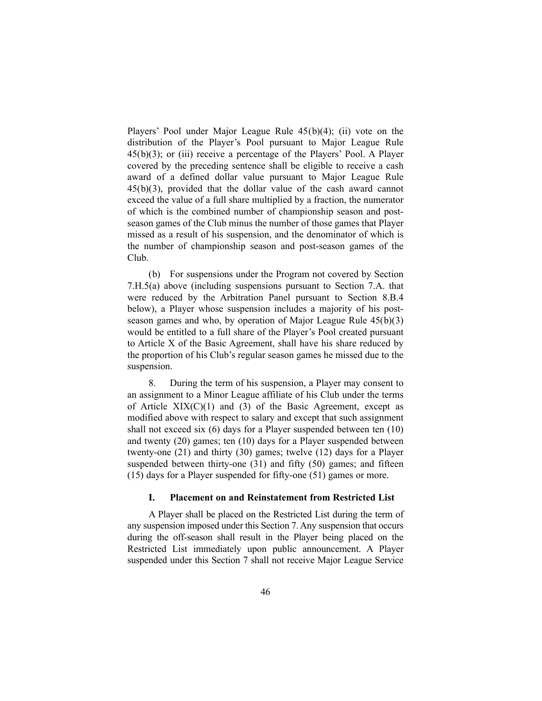Players' Pool under Major League Rule 45(b)(4); (ii) vote on the distribution of the Player's Pool pursuant to Major League Rule 45(b)(3); or (iii) receive a percentage of the Players' Pool. A Player covered by the preceding sentence shall be eligible to receive a cash award of a defined dollar value pursuant to Major League Rule 45(b)(3), provided that the dollar value of the cash award cannot exceed the value of a full share multiplied by a fraction, the numerator of which is the combined number of championship season and postseason games of the Club minus the number of those games that Player missed as a result of his suspension, and the denominator of which is the number of championship season and post-season games of the Club.

(b) For suspensions under the Program not covered by Section 7.H.5(a) above (including suspensions pursuant to Section 7.A. that were reduced by the Arbitration Panel pursuant to Section 8.B.4 below), a Player whose suspension includes a majority of his postseason games and who, by operation of Major League Rule 45(b)(3) would be entitled to a full share of the Player's Pool created pursuant to Article X of the Basic Agreement, shall have his share reduced by the proportion of his Club's regular season games he missed due to the suspension.

8. During the term of his suspension, a Player may consent to an assignment to a Minor League affiliate of his Club under the terms of Article  $XIX(C)(1)$  and (3) of the Basic Agreement, except as modified above with respect to salary and except that such assignment shall not exceed six (6) days for a Player suspended between ten (10) and twenty (20) games; ten (10) days for a Player suspended between twenty-one (21) and thirty (30) games; twelve (12) days for a Player suspended between thirty-one (31) and fifty (50) games; and fifteen (15) days for a Player suspended for fifty-one (51) games or more.

#### **I. Placement on and Reinstatement from Restricted List**

A Player shall be placed on the Restricted List during the term of any suspension imposed under this Section 7. Any suspension that occurs during the off-season shall result in the Player being placed on the Restricted List immediately upon public announcement. A Player suspended under this Section 7 shall not receive Major League Service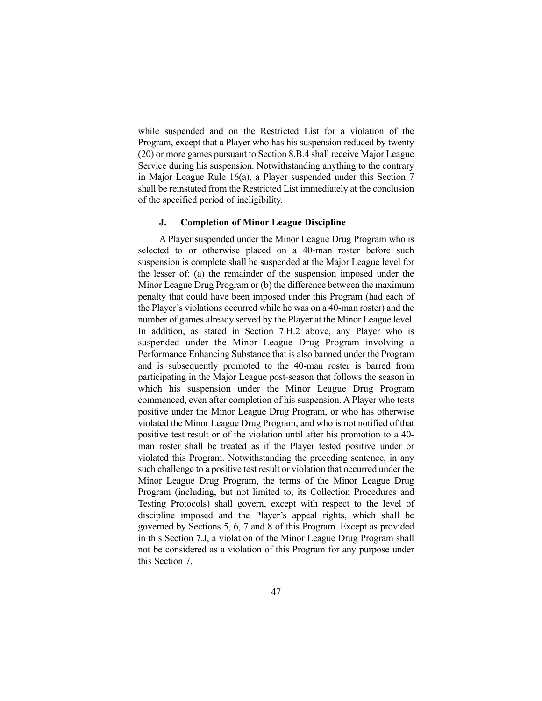while suspended and on the Restricted List for a violation of the Program, except that a Player who has his suspension reduced by twenty (20) or more games pursuant to Section 8.B.4 shall receive Major League Service during his suspension. Notwithstanding anything to the contrary in Major League Rule 16(a), a Player suspended under this Section 7 shall be reinstated from the Restricted List immediately at the conclusion of the specified period of ineligibility.

#### **J. Completion of Minor League Discipline**

A Player suspended under the Minor League Drug Program who is selected to or otherwise placed on a 40-man roster before such suspension is complete shall be suspended at the Major League level for the lesser of: (a) the remainder of the suspension imposed under the Minor League Drug Program or (b) the difference between the maximum penalty that could have been imposed under this Program (had each of the Player's violations occurred while he was on a 40-man roster) and the number of games already served by the Player at the Minor League level. In addition, as stated in Section 7.H.2 above, any Player who is suspended under the Minor League Drug Program involving a Performance Enhancing Substance that is also banned under the Program and is subsequently promoted to the 40-man roster is barred from participating in the Major League post-season that follows the season in which his suspension under the Minor League Drug Program commenced, even after completion of his suspension. A Player who tests positive under the Minor League Drug Program, or who has otherwise violated the Minor League Drug Program, and who is not notified of that positive test result or of the violation until after his promotion to a 40 man roster shall be treated as if the Player tested positive under or violated this Program. Notwithstanding the preceding sentence, in any such challenge to a positive test result or violation that occurred under the Minor League Drug Program, the terms of the Minor League Drug Program (including, but not limited to, its Collection Procedures and Testing Protocols) shall govern, except with respect to the level of discipline imposed and the Player's appeal rights, which shall be governed by Sections 5, 6, 7 and 8 of this Program. Except as provided in this Section 7.J, a violation of the Minor League Drug Program shall not be considered as a violation of this Program for any purpose under this Section 7.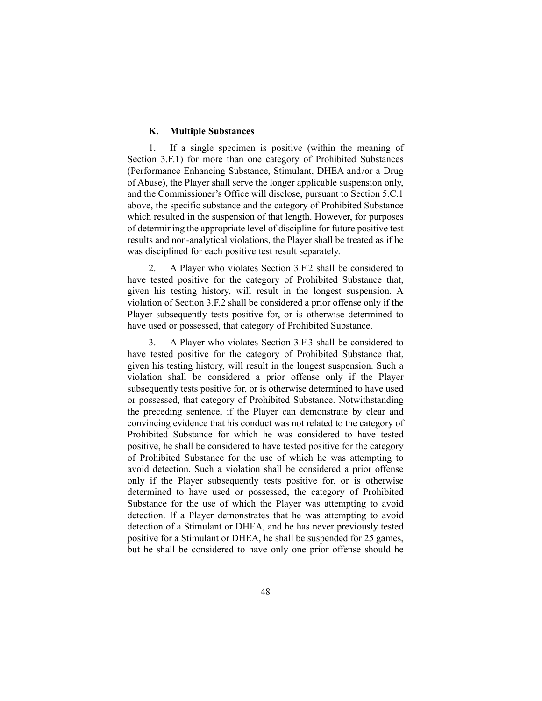#### **K. Multiple Substances**

1. If a single specimen is positive (within the meaning of Section 3.F.1) for more than one category of Prohibited Substances (Performance Enhancing Substance, Stimulant, DHEA and/or a Drug of Abuse), the Player shall serve the longer applicable suspension only, and the Commissioner's Office will disclose, pursuant to Section 5.C.1 above, the specific substance and the category of Prohibited Substance which resulted in the suspension of that length. However, for purposes of determining the appropriate level of discipline for future positive test results and non-analytical violations, the Player shall be treated as if he was disciplined for each positive test result separately.

2. A Player who violates Section 3.F.2 shall be considered to have tested positive for the category of Prohibited Substance that, given his testing history, will result in the longest suspension. A violation of Section 3.F.2 shall be considered a prior offense only if the Player subsequently tests positive for, or is otherwise determined to have used or possessed, that category of Prohibited Substance.

3. A Player who violates Section 3.F.3 shall be considered to have tested positive for the category of Prohibited Substance that, given his testing history, will result in the longest suspension. Such a violation shall be considered a prior offense only if the Player subsequently tests positive for, or is otherwise determined to have used or possessed, that category of Prohibited Substance. Notwithstanding the preceding sentence, if the Player can demonstrate by clear and convincing evidence that his conduct was not related to the category of Prohibited Substance for which he was considered to have tested positive, he shall be considered to have tested positive for the category of Prohibited Substance for the use of which he was attempting to avoid detection. Such a violation shall be considered a prior offense only if the Player subsequently tests positive for, or is otherwise determined to have used or possessed, the category of Prohibited Substance for the use of which the Player was attempting to avoid detection. If a Player demonstrates that he was attempting to avoid detection of a Stimulant or DHEA, and he has never previously tested positive for a Stimulant or DHEA, he shall be suspended for 25 games, but he shall be considered to have only one prior offense should he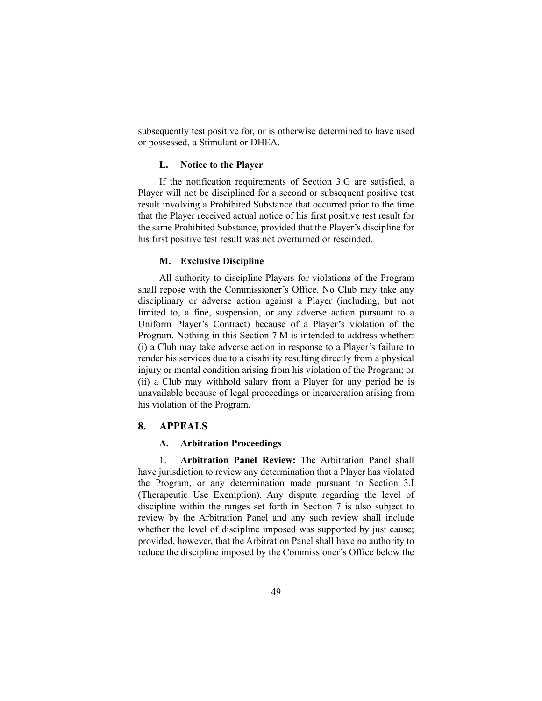subsequently test positive for, or is otherwise determined to have used or possessed, a Stimulant or DHEA.

#### **L. Notice to the Player**

If the notification requirements of Section 3.G are satisfied, a Player will not be disciplined for a second or subsequent positive test result involving a Prohibited Substance that occurred prior to the time that the Player received actual notice of his first positive test result for the same Prohibited Substance, provided that the Player's discipline for his first positive test result was not overturned or rescinded.

#### **M. Exclusive Discipline**

All authority to discipline Players for violations of the Program shall repose with the Commissioner's Office. No Club may take any disciplinary or adverse action against a Player (including, but not limited to, a fine, suspension, or any adverse action pursuant to a Uniform Player's Contract) because of a Player's violation of the Program. Nothing in this Section 7.M is intended to address whether: (i) a Club may take adverse action in response to a Player's failure to render his services due to a disability resulting directly from a physical injury or mental condition arising from his violation of the Program; or (ii) a Club may withhold salary from a Player for any period he is unavailable because of legal proceedings or incarceration arising from his violation of the Program.

## **8. APPEALS**

#### **A. Arbitration Proceedings**

1. **Arbitration Panel Review:** The Arbitration Panel shall have jurisdiction to review any determination that a Player has violated the Program, or any determination made pursuant to Section 3.I (Therapeutic Use Exemption). Any dispute regarding the level of discipline within the ranges set forth in Section 7 is also subject to review by the Arbitration Panel and any such review shall include whether the level of discipline imposed was supported by just cause; provided, however, that the Arbitration Panel shall have no authority to reduce the discipline imposed by the Commissioner's Office below the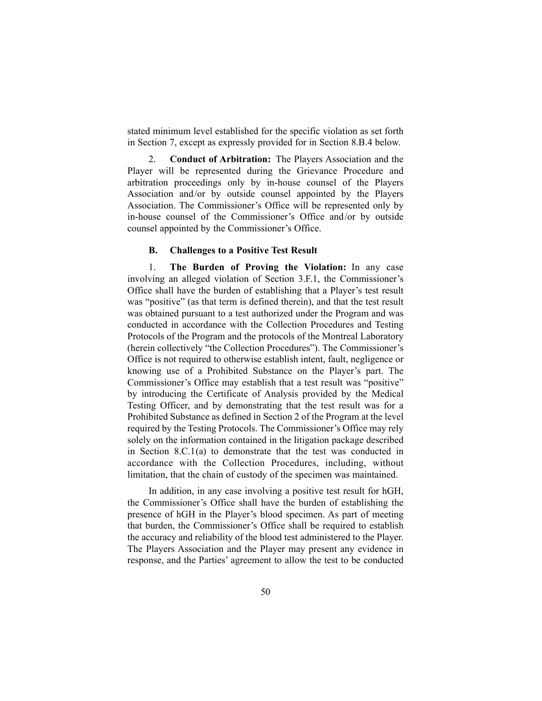stated minimum level established for the specific violation as set forth in Section 7, except as expressly provided for in Section 8.B.4 below.

2. **Conduct of Arbitration:** The Players Association and the Player will be represented during the Grievance Procedure and arbitration proceedings only by in-house counsel of the Players Association and/or by outside counsel appointed by the Players Association. The Commissioner's Office will be represented only by in-house counsel of the Commissioner's Office and/or by outside counsel appointed by the Commissioner's Office.

#### **B. Challenges to a Positive Test Result**

1. **The Burden of Proving the Violation:** In any case involving an alleged violation of Section 3.F.1, the Commissioner's Office shall have the burden of establishing that a Player's test result was "positive" (as that term is defined therein), and that the test result was obtained pursuant to a test authorized under the Program and was conducted in accordance with the Collection Procedures and Testing Protocols of the Program and the protocols of the Montreal Laboratory (herein collectively "the Collection Procedures"). The Commissioner's Office is not required to otherwise establish intent, fault, negligence or knowing use of a Prohibited Substance on the Player's part. The Commissioner's Office may establish that a test result was "positive" by introducing the Certificate of Analysis provided by the Medical Testing Officer, and by demonstrating that the test result was for a Prohibited Substance as defined in Section 2 of the Program at the level required by the Testing Protocols. The Commissioner's Office may rely solely on the information contained in the litigation package described in Section 8.C.1(a) to demonstrate that the test was conducted in accordance with the Collection Procedures, including, without limitation, that the chain of custody of the specimen was maintained.

In addition, in any case involving a positive test result for hGH, the Commissioner's Office shall have the burden of establishing the presence of hGH in the Player's blood specimen. As part of meeting that burden, the Commissioner's Office shall be required to establish the accuracy and reliability of the blood test administered to the Player. The Players Association and the Player may present any evidence in response, and the Parties' agreement to allow the test to be conducted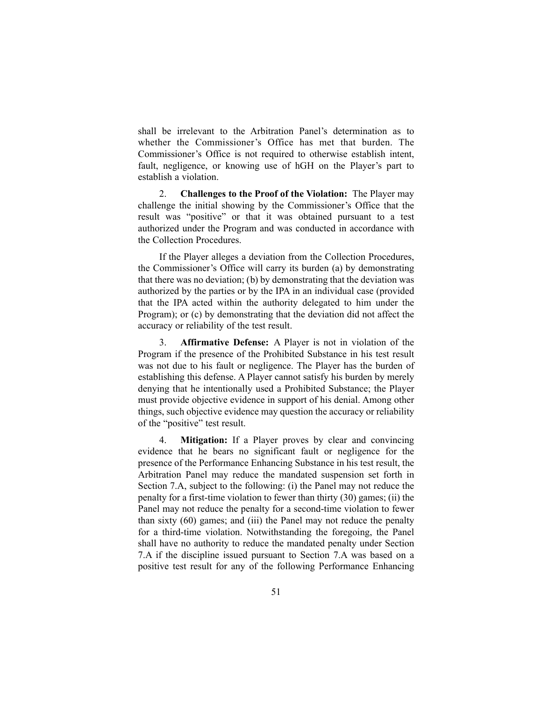shall be irrelevant to the Arbitration Panel's determination as to whether the Commissioner's Office has met that burden. The Commissioner's Office is not required to otherwise establish intent, fault, negligence, or knowing use of hGH on the Player's part to establish a violation.

2. **Challenges to the Proof of the Violation:** The Player may challenge the initial showing by the Commissioner's Office that the result was "positive" or that it was obtained pursuant to a test authorized under the Program and was conducted in accordance with the Collection Procedures.

If the Player alleges a deviation from the Collection Procedures, the Commissioner's Office will carry its burden (a) by demonstrating that there was no deviation; (b) by demonstrating that the deviation was authorized by the parties or by the IPA in an individual case (provided that the IPA acted within the authority delegated to him under the Program); or (c) by demonstrating that the deviation did not affect the accuracy or reliability of the test result.

3. **Affirmative Defense:** A Player is not in violation of the Program if the presence of the Prohibited Substance in his test result was not due to his fault or negligence. The Player has the burden of establishing this defense. A Player cannot satisfy his burden by merely denying that he intentionally used a Prohibited Substance; the Player must provide objective evidence in support of his denial. Among other things, such objective evidence may question the accuracy or reliability of the "positive" test result.

4. **Mitigation:** If a Player proves by clear and convincing evidence that he bears no significant fault or negligence for the presence of the Performance Enhancing Substance in his test result, the Arbitration Panel may reduce the mandated suspension set forth in Section 7.A, subject to the following: (i) the Panel may not reduce the penalty for a first-time violation to fewer than thirty (30) games; (ii) the Panel may not reduce the penalty for a second-time violation to fewer than sixty (60) games; and (iii) the Panel may not reduce the penalty for a third-time violation. Notwithstanding the foregoing, the Panel shall have no authority to reduce the mandated penalty under Section 7.A if the discipline issued pursuant to Section 7.A was based on a positive test result for any of the following Performance Enhancing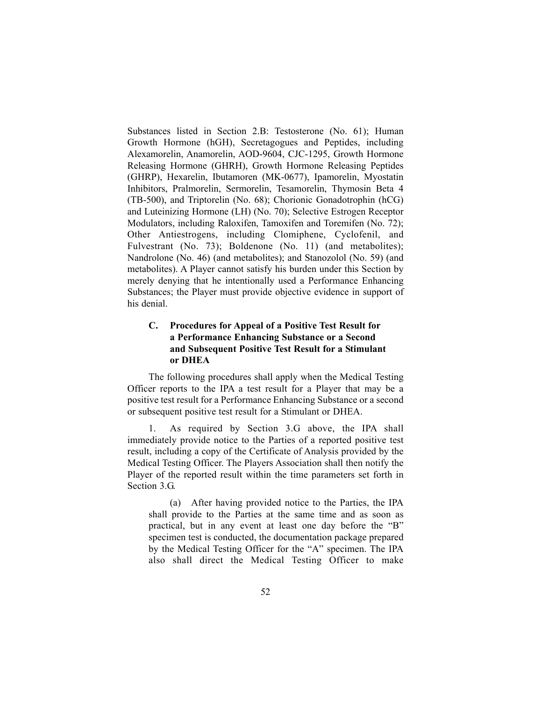Substances listed in Section 2.B: Testosterone (No. 61); Human Growth Hormone (hGH), Secretagogues and Peptides, including Alexamorelin, Anamorelin, AOD-9604, CJC-1295, Growth Hormone Releasing Hormone (GHRH), Growth Hormone Releasing Peptides (GHRP), Hexarelin, Ibutamoren (MK-0677), Ipamorelin, Myostatin Inhibitors, Pralmorelin, Sermorelin, Tesamorelin, Thymosin Beta 4 (TB-500), and Triptorelin (No. 68); Chorionic Gonadotrophin (hCG) and Luteinizing Hormone (LH) (No. 70); Selective Estrogen Receptor Modulators, including Raloxifen, Tamoxifen and Toremifen (No. 72); Other Antiestrogens, including Clomiphene, Cyclofenil, and Fulvestrant (No. 73); Boldenone (No. 11) (and metabolites); Nandrolone (No. 46) (and metabolites); and Stanozolol (No. 59) (and metabolites). A Player cannot satisfy his burden under this Section by merely denying that he intentionally used a Performance Enhancing Substances; the Player must provide objective evidence in support of his denial.

# **C. Procedures for Appeal of a Positive Test Result for a Performance Enhancing Substance or a Second and Subsequent Positive Test Result for a Stimulant or DHEA**

The following procedures shall apply when the Medical Testing Officer reports to the IPA a test result for a Player that may be a positive test result for a Performance Enhancing Substance or a second or subsequent positive test result for a Stimulant or DHEA.

As required by Section 3.G above, the IPA shall immediately provide notice to the Parties of a reported positive test result, including a copy of the Certificate of Analysis provided by the Medical Testing Officer. The Players Association shall then notify the Player of the reported result within the time parameters set forth in Section 3.G.

(a) After having provided notice to the Parties, the IPA shall provide to the Parties at the same time and as soon as practical, but in any event at least one day before the "B" specimen test is conducted, the documentation package prepared by the Medical Testing Officer for the "A" specimen. The IPA also shall direct the Medical Testing Officer to make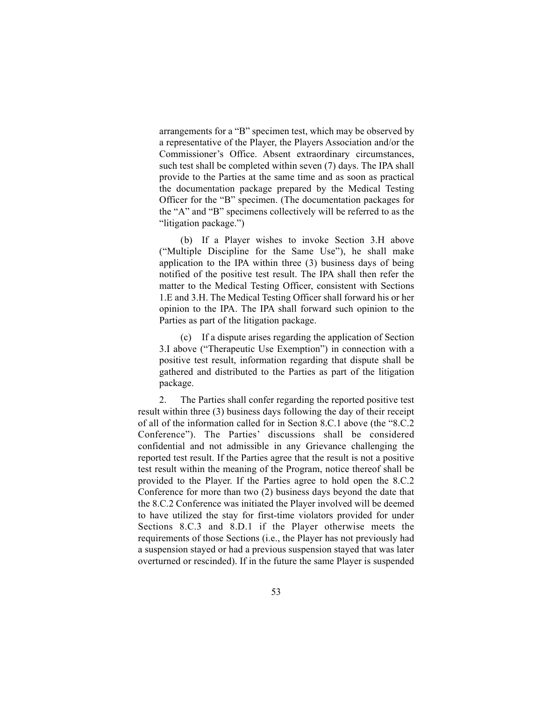arrangements for a "B" specimen test, which may be observed by a representative of the Player, the Players Association and/or the Commissioner's Office. Absent extraordinary circumstances, such test shall be completed within seven (7) days. The IPA shall provide to the Parties at the same time and as soon as practical the documentation package prepared by the Medical Testing Officer for the "B" specimen. (The documentation packages for the "A" and "B" specimens collectively will be referred to as the "litigation package.")

(b) If a Player wishes to invoke Section 3.H above ("Multiple Discipline for the Same Use"), he shall make application to the IPA within three (3) business days of being notified of the positive test result. The IPA shall then refer the matter to the Medical Testing Officer, consistent with Sections 1.E and 3.H. The Medical Testing Officer shall forward his or her opinion to the IPA. The IPA shall forward such opinion to the Parties as part of the litigation package.

(c) If a dispute arises regarding the application of Section 3.I above ("Therapeutic Use Exemption") in connection with a positive test result, information regarding that dispute shall be gathered and distributed to the Parties as part of the litigation package.

2. The Parties shall confer regarding the reported positive test result within three (3) business days following the day of their receipt of all of the information called for in Section 8.C.1 above (the "8.C.2 Conference"). The Parties' discussions shall be considered confidential and not admissible in any Grievance challenging the reported test result. If the Parties agree that the result is not a positive test result within the meaning of the Program, notice thereof shall be provided to the Player. If the Parties agree to hold open the 8.C.2 Conference for more than two (2) business days beyond the date that the 8.C.2 Conference was initiated the Player involved will be deemed to have utilized the stay for first-time violators provided for under Sections 8.C.3 and 8.D.1 if the Player otherwise meets the requirements of those Sections (i.e., the Player has not previously had a suspension stayed or had a previous suspension stayed that was later overturned or rescinded). If in the future the same Player is suspended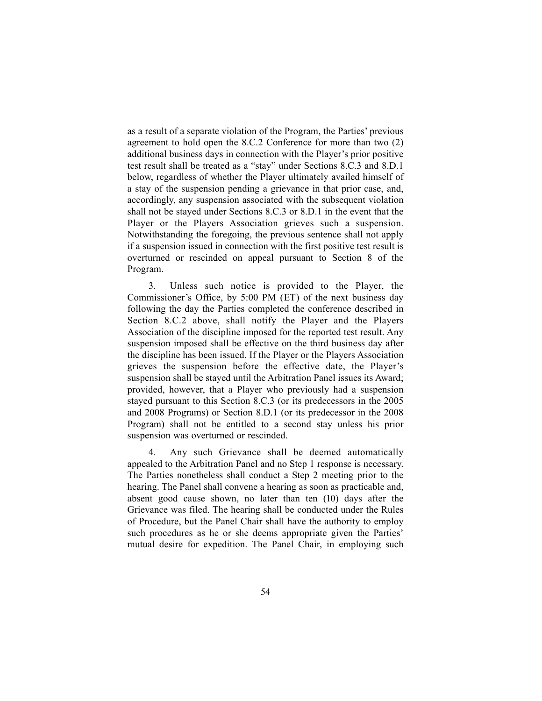as a result of a separate violation of the Program, the Parties' previous agreement to hold open the 8.C.2 Conference for more than two (2) additional business days in connection with the Player's prior positive test result shall be treated as a "stay" under Sections 8.C.3 and 8.D.1 below, regardless of whether the Player ultimately availed himself of a stay of the suspension pending a grievance in that prior case, and, accordingly, any suspension associated with the subsequent violation shall not be stayed under Sections 8.C.3 or 8.D.1 in the event that the Player or the Players Association grieves such a suspension. Notwithstanding the foregoing, the previous sentence shall not apply if a suspension issued in connection with the first positive test result is overturned or rescinded on appeal pursuant to Section 8 of the Program.

3. Unless such notice is provided to the Player, the Commissioner's Office, by 5:00 PM (ET) of the next business day following the day the Parties completed the conference described in Section 8.C.2 above, shall notify the Player and the Players Association of the discipline imposed for the reported test result. Any suspension imposed shall be effective on the third business day after the discipline has been issued. If the Player or the Players Association grieves the suspension before the effective date, the Player's suspension shall be stayed until the Arbitration Panel issues its Award; provided, however, that a Player who previously had a suspension stayed pursuant to this Section 8.C.3 (or its predecessors in the 2005 and 2008 Programs) or Section 8.D.1 (or its predecessor in the 2008 Program) shall not be entitled to a second stay unless his prior suspension was overturned or rescinded.

4. Any such Grievance shall be deemed automatically appealed to the Arbitration Panel and no Step 1 response is necessary. The Parties nonetheless shall conduct a Step 2 meeting prior to the hearing. The Panel shall convene a hearing as soon as practicable and, absent good cause shown, no later than ten (10) days after the Grievance was filed. The hearing shall be conducted under the Rules of Procedure, but the Panel Chair shall have the authority to employ such procedures as he or she deems appropriate given the Parties' mutual desire for expedition. The Panel Chair, in employing such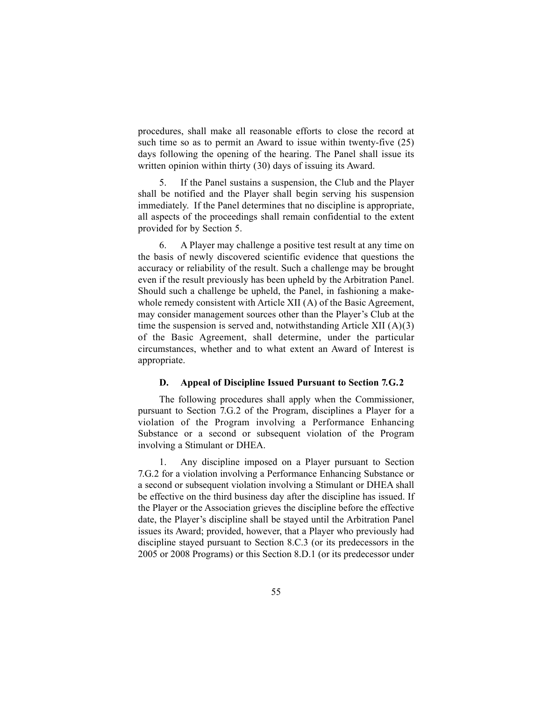procedures, shall make all reasonable efforts to close the record at such time so as to permit an Award to issue within twenty-five (25) days following the opening of the hearing. The Panel shall issue its written opinion within thirty (30) days of issuing its Award.

5. If the Panel sustains a suspension, the Club and the Player shall be notified and the Player shall begin serving his suspension immediately. If the Panel determines that no discipline is appropriate, all aspects of the proceedings shall remain confidential to the extent provided for by Section 5.

6. A Player may challenge a positive test result at any time on the basis of newly discovered scientific evidence that questions the accuracy or reliability of the result. Such a challenge may be brought even if the result previously has been upheld by the Arbitration Panel. Should such a challenge be upheld, the Panel, in fashioning a makewhole remedy consistent with Article XII (A) of the Basic Agreement, may consider management sources other than the Player's Club at the time the suspension is served and, notwithstanding Article XII (A)(3) of the Basic Agreement, shall determine, under the particular circumstances, whether and to what extent an Award of Interest is appropriate.

#### **D. Appeal of Discipline Issued Pursuant to Section 7.G.2**

The following procedures shall apply when the Commissioner, pursuant to Section 7.G.2 of the Program, disciplines a Player for a violation of the Program involving a Performance Enhancing Substance or a second or subsequent violation of the Program involving a Stimulant or DHEA.

1. Any discipline imposed on a Player pursuant to Section 7.G.2 for a violation involving a Performance Enhancing Substance or a second or subsequent violation involving a Stimulant or DHEA shall be effective on the third business day after the discipline has issued. If the Player or the Association grieves the discipline before the effective date, the Player's discipline shall be stayed until the Arbitration Panel issues its Award; provided, however, that a Player who previously had discipline stayed pursuant to Section 8.C.3 (or its predecessors in the 2005 or 2008 Programs) or this Section 8.D.1 (or its predecessor under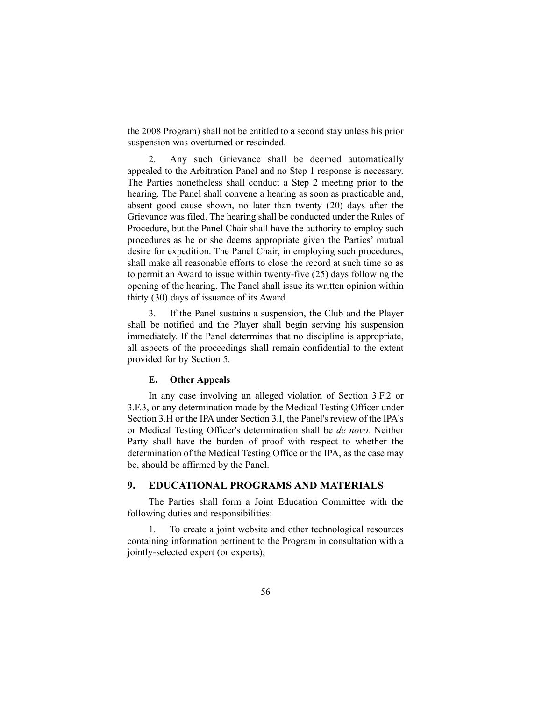the 2008 Program) shall not be entitled to a second stay unless his prior suspension was overturned or rescinded.

2. Any such Grievance shall be deemed automatically appealed to the Arbitration Panel and no Step 1 response is necessary. The Parties nonetheless shall conduct a Step 2 meeting prior to the hearing. The Panel shall convene a hearing as soon as practicable and, absent good cause shown, no later than twenty (20) days after the Grievance was filed. The hearing shall be conducted under the Rules of Procedure, but the Panel Chair shall have the authority to employ such procedures as he or she deems appropriate given the Parties' mutual desire for expedition. The Panel Chair, in employing such procedures, shall make all reasonable efforts to close the record at such time so as to permit an Award to issue within twenty-five (25) days following the opening of the hearing. The Panel shall issue its written opinion within thirty (30) days of issuance of its Award.

3. If the Panel sustains a suspension, the Club and the Player shall be notified and the Player shall begin serving his suspension immediately. If the Panel determines that no discipline is appropriate, all aspects of the proceedings shall remain confidential to the extent provided for by Section 5.

### **E. Other Appeals**

In any case involving an alleged violation of Section 3.F.2 or 3.F.3, or any determination made by the Medical Testing Officer under Section 3.H or the IPA under Section 3.I, the Panel's review of the IPA's or Medical Testing Officer's determination shall be *de novo.* Neither Party shall have the burden of proof with respect to whether the determination of the Medical Testing Office or the IPA, as the case may be, should be affirmed by the Panel.

## **9. EDUCATIONAL PROGRAMS AND MATERIALS**

The Parties shall form a Joint Education Committee with the following duties and responsibilities:

1. To create a joint website and other technological resources containing information pertinent to the Program in consultation with a jointly-selected expert (or experts);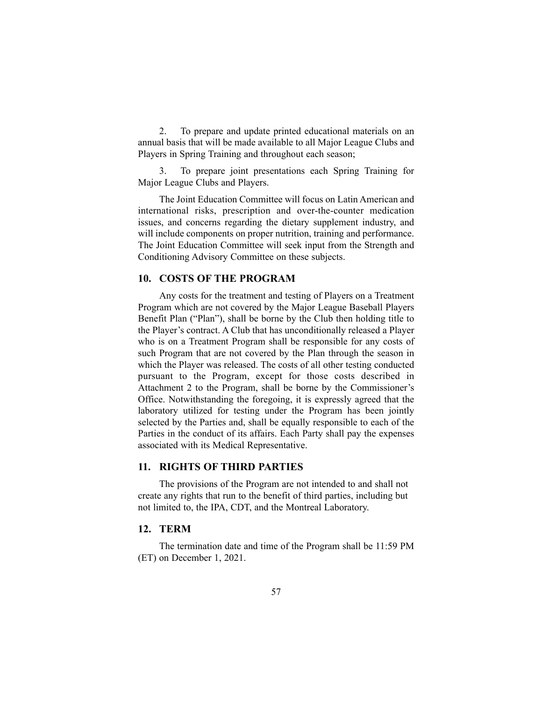2. To prepare and update printed educational materials on an annual basis that will be made available to all Major League Clubs and Players in Spring Training and throughout each season;

3. To prepare joint presentations each Spring Training for Major League Clubs and Players.

The Joint Education Committee will focus on Latin American and international risks, prescription and over-the-counter medication issues, and concerns regarding the dietary supplement industry, and will include components on proper nutrition, training and performance. The Joint Education Committee will seek input from the Strength and Conditioning Advisory Committee on these subjects.

## **10. COSTS OF THE PROGRAM**

Any costs for the treatment and testing of Players on a Treatment Program which are not covered by the Major League Baseball Players Benefit Plan ("Plan"), shall be borne by the Club then holding title to the Player's contract. A Club that has unconditionally released a Player who is on a Treatment Program shall be responsible for any costs of such Program that are not covered by the Plan through the season in which the Player was released. The costs of all other testing conducted pursuant to the Program, except for those costs described in Attachment 2 to the Program, shall be borne by the Commissioner's Office. Notwithstanding the foregoing, it is expressly agreed that the laboratory utilized for testing under the Program has been jointly selected by the Parties and, shall be equally responsible to each of the Parties in the conduct of its affairs. Each Party shall pay the expenses associated with its Medical Representative.

## **11. RIGHTS OF THIRD PARTIES**

The provisions of the Program are not intended to and shall not create any rights that run to the benefit of third parties, including but not limited to, the IPA, CDT, and the Montreal Laboratory.

#### **12. TERM**

The termination date and time of the Program shall be 11:59 PM (ET) on December 1, 2021.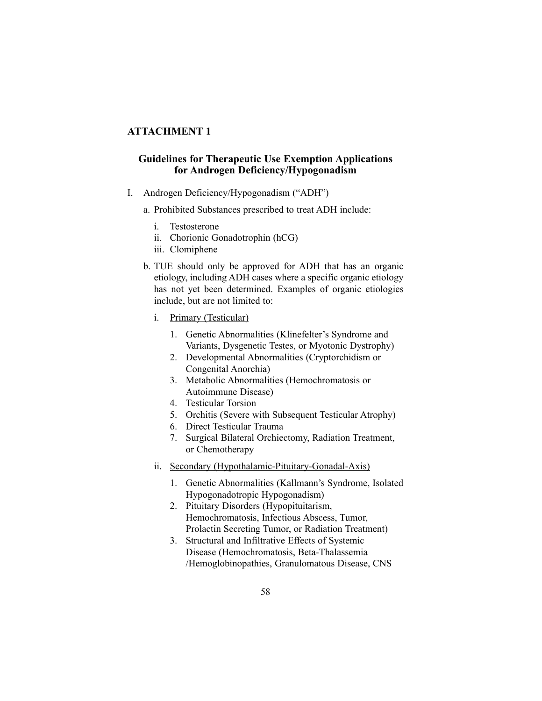# **ATTACHMENT 1**

# **Guidelines for Therapeutic Use Exemption Applications for Androgen Deficiency/Hypogonadism**

- I. Androgen Deficiency/Hypogonadism ("ADH")
	- a. Prohibited Substances prescribed to treat ADH include:
		- i. Testosterone
		- ii. Chorionic Gonadotrophin (hCG)
		- iii. Clomiphene
	- b. TUE should only be approved for ADH that has an organic etiology, including ADH cases where a specific organic etiology has not yet been determined. Examples of organic etiologies include, but are not limited to:
		- i. Primary (Testicular)
			- 1. Genetic Abnormalities (Klinefelter's Syndrome and Variants, Dysgenetic Testes, or Myotonic Dystrophy)
			- 2. Developmental Abnormalities (Cryptorchidism or Congenital Anorchia)
			- 3. Metabolic Abnormalities (Hemochromatosis or Autoimmune Disease)
			- 4. Testicular Torsion
			- 5. Orchitis (Severe with Subsequent Testicular Atrophy)
			- 6. Direct Testicular Trauma
			- 7. Surgical Bilateral Orchiectomy, Radiation Treatment, or Chemotherapy
		- ii. Secondary (Hypothalamic-Pituitary-Gonadal-Axis)
			- 1. Genetic Abnormalities (Kallmann's Syndrome, Isolated Hypogonadotropic Hypogonadism)
			- 2. Pituitary Disorders (Hypopituitarism, Hemochromatosis, Infectious Abscess, Tumor, Prolactin Secreting Tumor, or Radiation Treatment)
			- 3. Structural and Infiltrative Effects of Systemic Disease (Hemochromatosis, Beta-Thalassemia /Hemoglobinopathies, Granulomatous Disease, CNS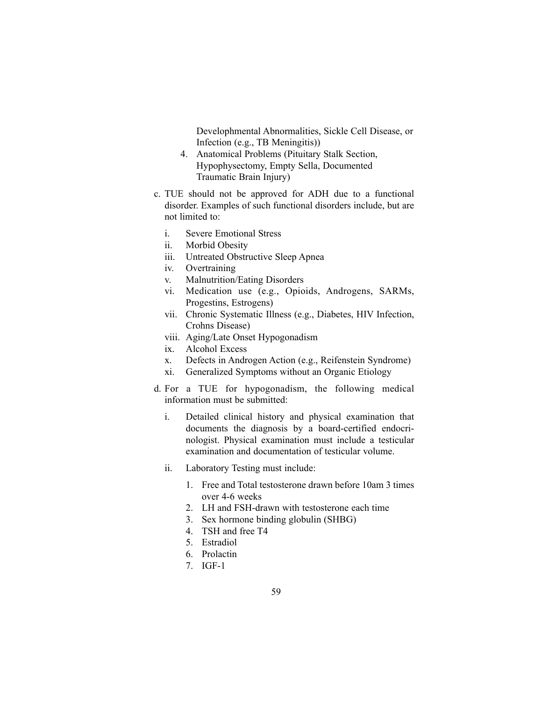Develophmental Abnormalities, Sickle Cell Disease, or Infection (e.g., TB Meningitis))

- 4. Anatomical Problems (Pituitary Stalk Section, Hypophysectomy, Empty Sella, Documented Traumatic Brain Injury)
- c. TUE should not be approved for ADH due to a functional disorder. Examples of such functional disorders include, but are not limited to:
	- i. Severe Emotional Stress
	- ii. Morbid Obesity
	- iii. Untreated Obstructive Sleep Apnea
	- iv. Overtraining
	- v. Malnutrition/Eating Disorders
	- vi. Medication use (e.g., Opioids, Androgens, SARMs, Progestins, Estrogens)
	- vii. Chronic Systematic Illness (e.g., Diabetes, HIV Infection, Crohns Disease)
	- viii. Aging/Late Onset Hypogonadism
	- ix. Alcohol Excess
	- x. Defects in Androgen Action (e.g., Reifenstein Syndrome)
	- xi. Generalized Symptoms without an Organic Etiology
- d. For a TUE for hypogonadism, the following medical information must be submitted:
	- i. Detailed clinical history and physical examination that documents the diagnosis by a board-certified endocrinologist. Physical examination must include a testicular examination and documentation of testicular volume.
	- ii. Laboratory Testing must include:
		- 1. Free and Total testosterone drawn before 10am 3 times over 4-6 weeks
		- 2. LH and FSH-drawn with testosterone each time
		- 3. Sex hormone binding globulin (SHBG)
		- 4. TSH and free T4
		- 5. Estradiol
		- 6. Prolactin
		- 7. IGF-1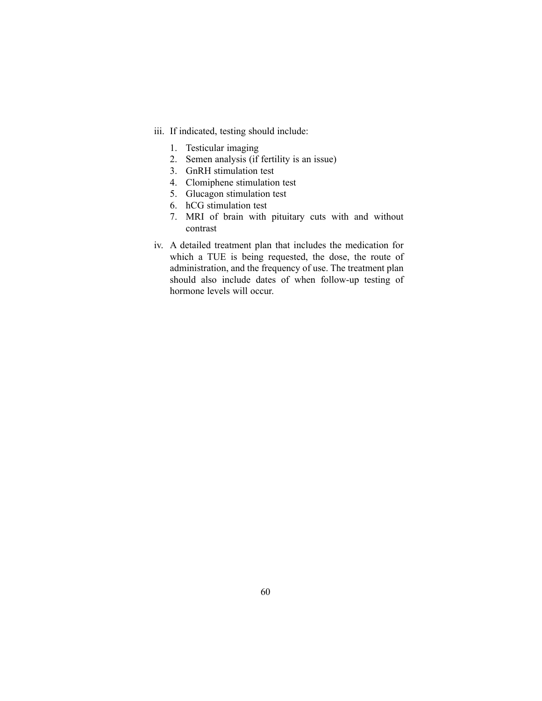- iii. If indicated, testing should include:
	- 1. Testicular imaging
	- 2. Semen analysis (if fertility is an issue)
	- 3. GnRH stimulation test
	- 4. Clomiphene stimulation test
	- 5. Glucagon stimulation test
	- 6. hCG stimulation test
	- 7. MRI of brain with pituitary cuts with and without contrast
- iv. A detailed treatment plan that includes the medication for which a TUE is being requested, the dose, the route of administration, and the frequency of use. The treatment plan should also include dates of when follow-up testing of hormone levels will occur.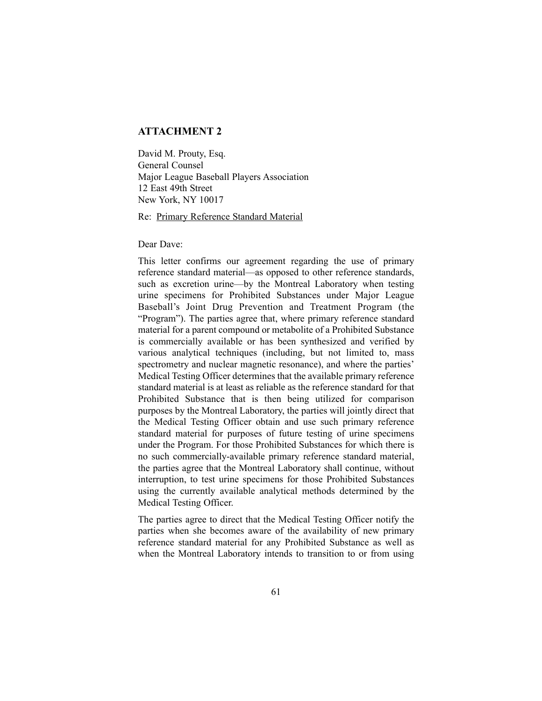# **ATTACHMENT 2**

David M. Prouty, Esq. General Counsel Major League Baseball Players Association 12 East 49th Street New York, NY 10017

Re: Primary Reference Standard Material

Dear Dave:

This letter confirms our agreement regarding the use of primary reference standard material—as opposed to other reference standards, such as excretion urine—by the Montreal Laboratory when testing urine specimens for Prohibited Substances under Major League Baseball's Joint Drug Prevention and Treatment Program (the "Program"). The parties agree that, where primary reference standard material for a parent compound or metabolite of a Prohibited Substance is commercially available or has been synthesized and verified by various analytical techniques (including, but not limited to, mass spectrometry and nuclear magnetic resonance), and where the parties' Medical Testing Officer determines that the available primary reference standard material is at least as reliable as the reference standard for that Prohibited Substance that is then being utilized for comparison purposes by the Montreal Laboratory, the parties will jointly direct that the Medical Testing Officer obtain and use such primary reference standard material for purposes of future testing of urine specimens under the Program. For those Prohibited Substances for which there is no such commercially-available primary reference standard material, the parties agree that the Montreal Laboratory shall continue, without interruption, to test urine specimens for those Prohibited Substances using the currently available analytical methods determined by the Medical Testing Officer.

The parties agree to direct that the Medical Testing Officer notify the parties when she becomes aware of the availability of new primary reference standard material for any Prohibited Substance as well as when the Montreal Laboratory intends to transition to or from using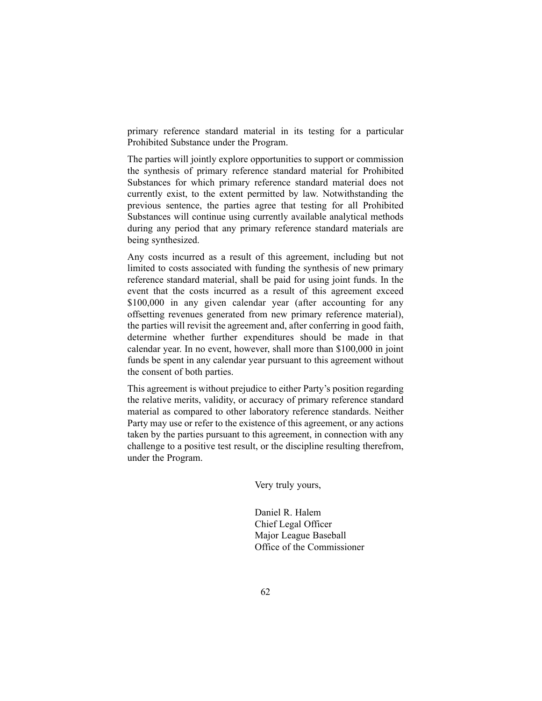primary reference standard material in its testing for a particular Prohibited Substance under the Program.

The parties will jointly explore opportunities to support or commission the synthesis of primary reference standard material for Prohibited Substances for which primary reference standard material does not currently exist, to the extent permitted by law. Notwithstanding the previous sentence, the parties agree that testing for all Prohibited Substances will continue using currently available analytical methods during any period that any primary reference standard materials are being synthesized.

Any costs incurred as a result of this agreement, including but not limited to costs associated with funding the synthesis of new primary reference standard material, shall be paid for using joint funds. In the event that the costs incurred as a result of this agreement exceed \$100,000 in any given calendar year (after accounting for any offsetting revenues generated from new primary reference material), the parties will revisit the agreement and, after conferring in good faith, determine whether further expenditures should be made in that calendar year. In no event, however, shall more than \$100,000 in joint funds be spent in any calendar year pursuant to this agreement without the consent of both parties.

This agreement is without prejudice to either Party's position regarding the relative merits, validity, or accuracy of primary reference standard material as compared to other laboratory reference standards. Neither Party may use or refer to the existence of this agreement, or any actions taken by the parties pursuant to this agreement, in connection with any challenge to a positive test result, or the discipline resulting therefrom, under the Program.

Very truly yours,

Daniel R. Halem Chief Legal Officer Major League Baseball Office of the Commissioner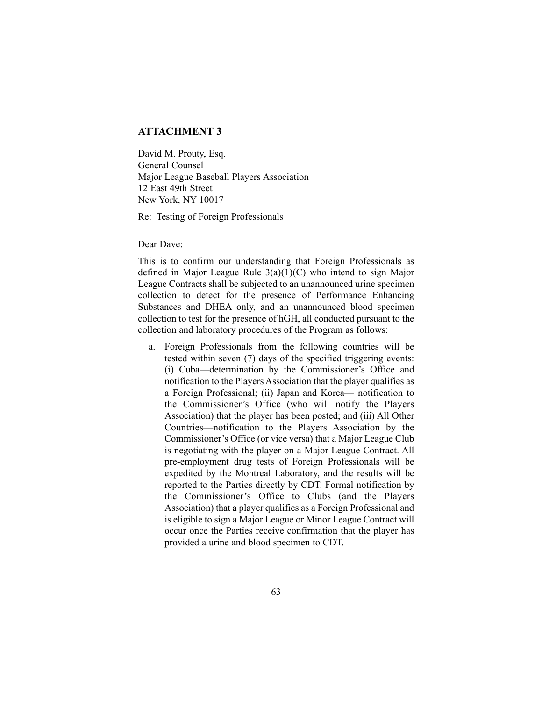# **ATTACHMENT 3**

David M. Prouty, Esq. General Counsel Major League Baseball Players Association 12 East 49th Street New York, NY 10017

Re: Testing of Foreign Professionals

Dear Dave:

This is to confirm our understanding that Foreign Professionals as defined in Major League Rule 3(a)(1)(C) who intend to sign Major League Contracts shall be subjected to an unannounced urine specimen collection to detect for the presence of Performance Enhancing Substances and DHEA only, and an unannounced blood specimen collection to test for the presence of hGH, all conducted pursuant to the collection and laboratory procedures of the Program as follows:

a. Foreign Professionals from the following countries will be tested within seven (7) days of the specified triggering events: (i) Cuba—determination by the Commissioner's Office and notification to the Players Association that the player qualifies as a Foreign Professional; (ii) Japan and Korea— notification to the Commissioner's Office (who will notify the Players Association) that the player has been posted; and (iii) All Other Countries—notification to the Players Association by the Commissioner's Office (or vice versa) that a Major League Club is negotiating with the player on a Major League Contract. All pre-employment drug tests of Foreign Professionals will be expedited by the Montreal Laboratory, and the results will be reported to the Parties directly by CDT. Formal notification by the Commissioner's Office to Clubs (and the Players Association) that a player qualifies as a Foreign Professional and is eligible to sign a Major League or Minor League Contract will occur once the Parties receive confirmation that the player has provided a urine and blood specimen to CDT.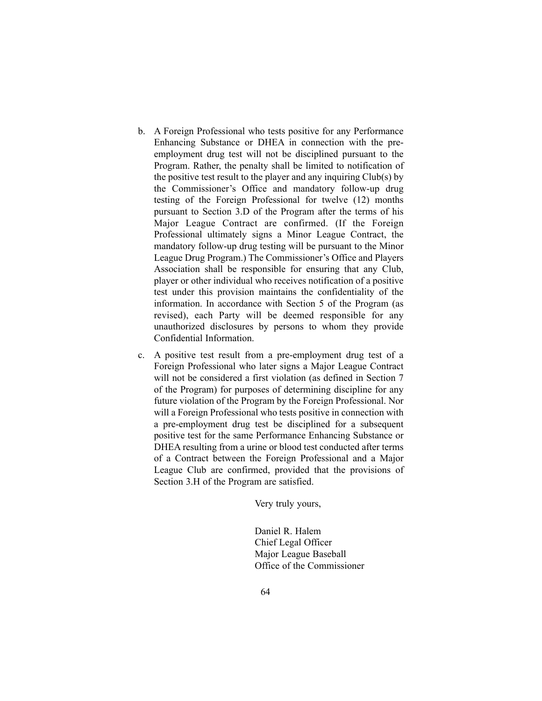- b. A Foreign Professional who tests positive for any Performance Enhancing Substance or DHEA in connection with the preemployment drug test will not be disciplined pursuant to the Program. Rather, the penalty shall be limited to notification of the positive test result to the player and any inquiring Club(s) by the Commissioner's Office and mandatory follow-up drug testing of the Foreign Professional for twelve (12) months pursuant to Section 3.D of the Program after the terms of his Major League Contract are confirmed. (If the Foreign Professional ultimately signs a Minor League Contract, the mandatory follow-up drug testing will be pursuant to the Minor League Drug Program.) The Commissioner's Office and Players Association shall be responsible for ensuring that any Club, player or other individual who receives notification of a positive test under this provision maintains the confidentiality of the information. In accordance with Section 5 of the Program (as revised), each Party will be deemed responsible for any unauthorized disclosures by persons to whom they provide Confidential Information.
- c. A positive test result from a pre-employment drug test of a Foreign Professional who later signs a Major League Contract will not be considered a first violation (as defined in Section 7 of the Program) for purposes of determining discipline for any future violation of the Program by the Foreign Professional. Nor will a Foreign Professional who tests positive in connection with a pre-employment drug test be disciplined for a subsequent positive test for the same Performance Enhancing Substance or DHEA resulting from a urine or blood test conducted after terms of a Contract between the Foreign Professional and a Major League Club are confirmed, provided that the provisions of Section 3.H of the Program are satisfied.

Very truly yours,

Daniel R. Halem Chief Legal Officer Major League Baseball Office of the Commissioner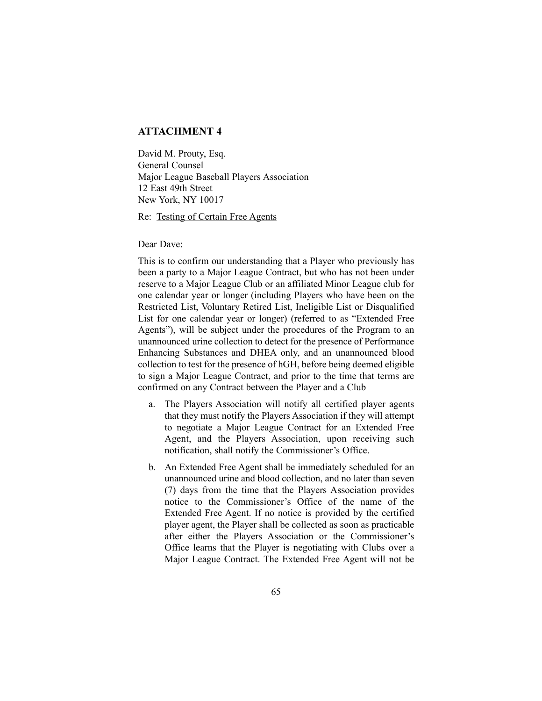# **ATTACHMENT 4**

David M. Prouty, Esq. General Counsel Major League Baseball Players Association 12 East 49th Street New York, NY 10017

Re: Testing of Certain Free Agents

Dear Dave:

This is to confirm our understanding that a Player who previously has been a party to a Major League Contract, but who has not been under reserve to a Major League Club or an affiliated Minor League club for one calendar year or longer (including Players who have been on the Restricted List, Voluntary Retired List, Ineligible List or Disqualified List for one calendar year or longer) (referred to as "Extended Free Agents"), will be subject under the procedures of the Program to an unannounced urine collection to detect for the presence of Performance Enhancing Substances and DHEA only, and an unannounced blood collection to test for the presence of hGH, before being deemed eligible to sign a Major League Contract, and prior to the time that terms are confirmed on any Contract between the Player and a Club

- a. The Players Association will notify all certified player agents that they must notify the Players Association if they will attempt to negotiate a Major League Contract for an Extended Free Agent, and the Players Association, upon receiving such notification, shall notify the Commissioner's Office.
- b. An Extended Free Agent shall be immediately scheduled for an unannounced urine and blood collection, and no later than seven (7) days from the time that the Players Association provides notice to the Commissioner's Office of the name of the Extended Free Agent. If no notice is provided by the certified player agent, the Player shall be collected as soon as practicable after either the Players Association or the Commissioner's Office learns that the Player is negotiating with Clubs over a Major League Contract. The Extended Free Agent will not be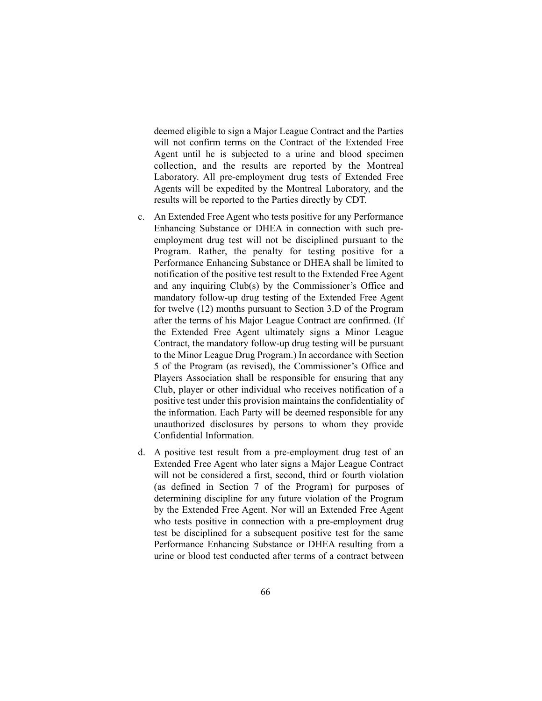deemed eligible to sign a Major League Contract and the Parties will not confirm terms on the Contract of the Extended Free Agent until he is subjected to a urine and blood specimen collection, and the results are reported by the Montreal Laboratory. All pre-employment drug tests of Extended Free Agents will be expedited by the Montreal Laboratory, and the results will be reported to the Parties directly by CDT.

- c. An Extended Free Agent who tests positive for any Performance Enhancing Substance or DHEA in connection with such preemployment drug test will not be disciplined pursuant to the Program. Rather, the penalty for testing positive for a Performance Enhancing Substance or DHEA shall be limited to notification of the positive test result to the Extended Free Agent and any inquiring Club(s) by the Commissioner's Office and mandatory follow-up drug testing of the Extended Free Agent for twelve (12) months pursuant to Section 3.D of the Program after the terms of his Major League Contract are confirmed. (If the Extended Free Agent ultimately signs a Minor League Contract, the mandatory follow-up drug testing will be pursuant to the Minor League Drug Program.) In accordance with Section 5 of the Program (as revised), the Commissioner's Office and Players Association shall be responsible for ensuring that any Club, player or other individual who receives notification of a positive test under this provision maintains the confidentiality of the information. Each Party will be deemed responsible for any unauthorized disclosures by persons to whom they provide Confidential Information.
- d. A positive test result from a pre-employment drug test of an Extended Free Agent who later signs a Major League Contract will not be considered a first, second, third or fourth violation (as defined in Section 7 of the Program) for purposes of determining discipline for any future violation of the Program by the Extended Free Agent. Nor will an Extended Free Agent who tests positive in connection with a pre-employment drug test be disciplined for a subsequent positive test for the same Performance Enhancing Substance or DHEA resulting from a urine or blood test conducted after terms of a contract between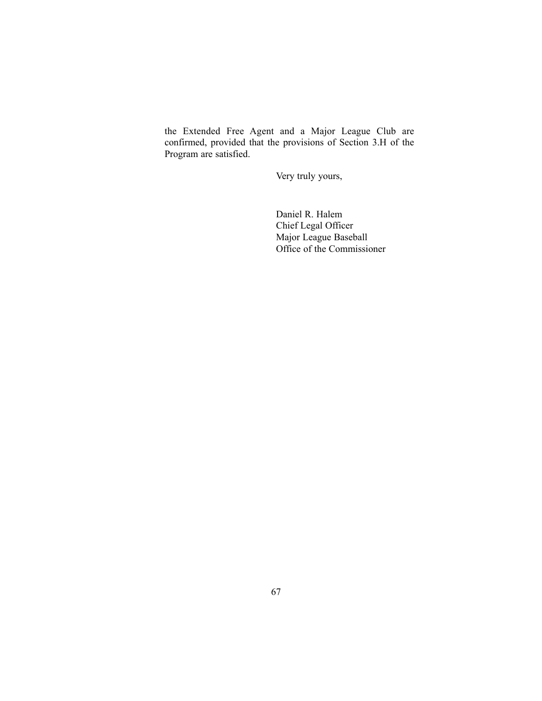the Extended Free Agent and a Major League Club are confirmed, provided that the provisions of Section 3.H of the Program are satisfied.

Very truly yours,

Daniel R. Halem Chief Legal Officer Major League Baseball Office of the Commissioner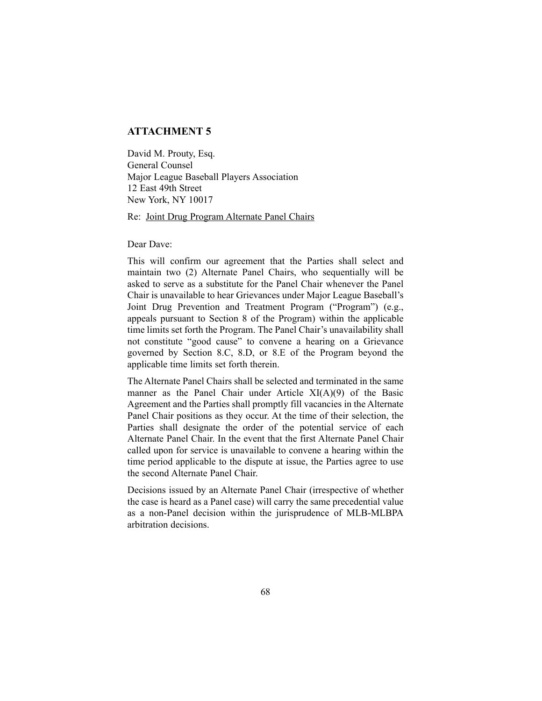# **ATTACHMENT 5**

David M. Prouty, Esq. General Counsel Major League Baseball Players Association 12 East 49th Street New York, NY 10017

Re: Joint Drug Program Alternate Panel Chairs

Dear Dave:

This will confirm our agreement that the Parties shall select and maintain two (2) Alternate Panel Chairs, who sequentially will be asked to serve as a substitute for the Panel Chair whenever the Panel Chair is unavailable to hear Grievances under Major League Baseball's Joint Drug Prevention and Treatment Program ("Program") (e.g., appeals pursuant to Section 8 of the Program) within the applicable time limits set forth the Program. The Panel Chair's unavailability shall not constitute "good cause" to convene a hearing on a Grievance governed by Section 8.C, 8.D, or 8.E of the Program beyond the applicable time limits set forth therein.

The Alternate Panel Chairs shall be selected and terminated in the same manner as the Panel Chair under Article XI(A)(9) of the Basic Agreement and the Parties shall promptly fill vacancies in the Alternate Panel Chair positions as they occur. At the time of their selection, the Parties shall designate the order of the potential service of each Alternate Panel Chair. In the event that the first Alternate Panel Chair called upon for service is unavailable to convene a hearing within the time period applicable to the dispute at issue, the Parties agree to use the second Alternate Panel Chair.

Decisions issued by an Alternate Panel Chair (irrespective of whether the case is heard as a Panel case) will carry the same precedential value as a non-Panel decision within the jurisprudence of MLB-MLBPA arbitration decisions.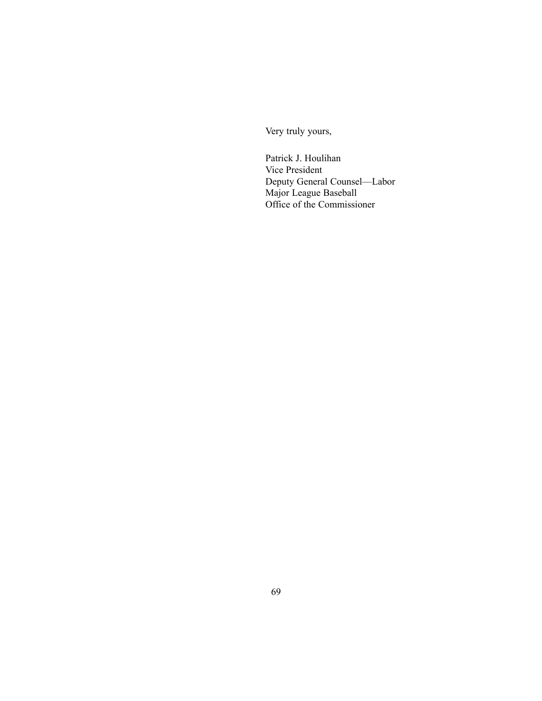Very truly yours,

Patrick J. Houlihan Vice President Deputy General Counsel—Labor Major League Baseball Office of the Commissioner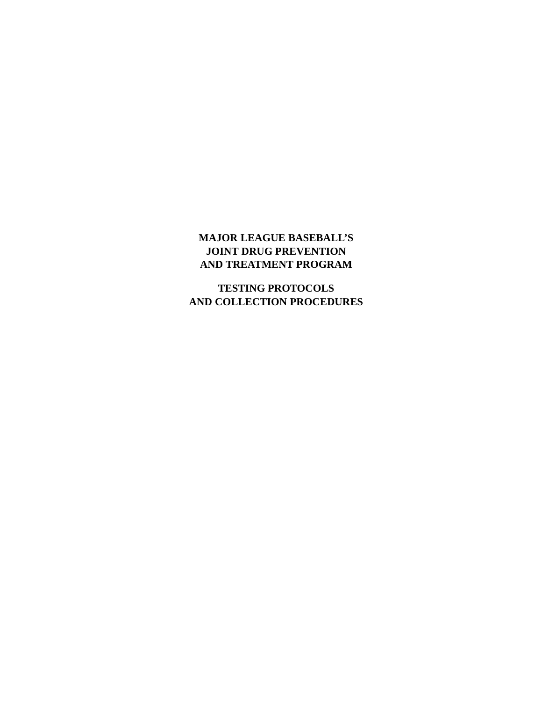# **MAJOR LEAGUE BASEBALL'S JOINT DRUG PREVENTION AND TREATMENT PROGRAM**

**TESTING PROTOCOLS AND COLLECTION PROCEDURES**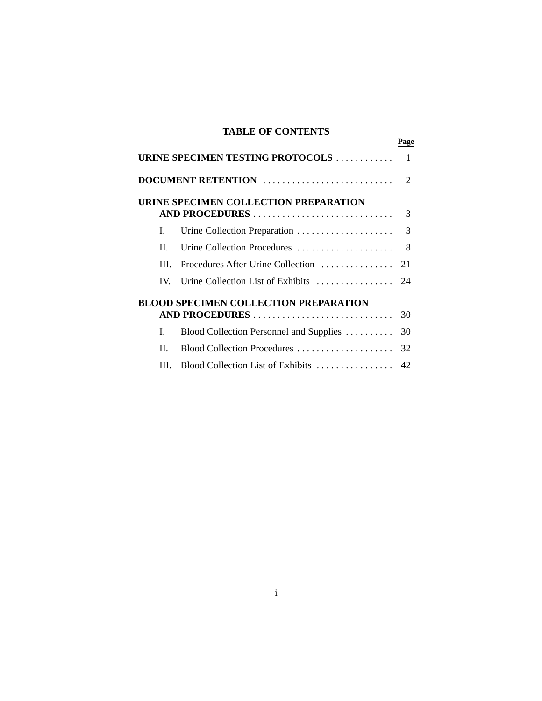# **TABLE OF CONTENTS**

**Page**

|         | URINE SPECIMEN TESTING PROTOCOLS             | $\mathbf{1}$   |
|---------|----------------------------------------------|----------------|
|         | DOCUMENT RETENTION                           | $\overline{2}$ |
|         | URINE SPECIMEN COLLECTION PREPARATION        |                |
|         |                                              |                |
| L.      |                                              | 3              |
| $\Pi$ . | Urine Collection Procedures                  | - 8            |
| III.    | Procedures After Urine Collection            | 21             |
|         | IV. Urine Collection List of Exhibits        | 24             |
|         | <b>BLOOD SPECIMEN COLLECTION PREPARATION</b> |                |
|         | AND PROCEDURES                               | 30             |
| L       | Blood Collection Personnel and Supplies      | 30             |
| Н.      |                                              |                |
| III.    |                                              |                |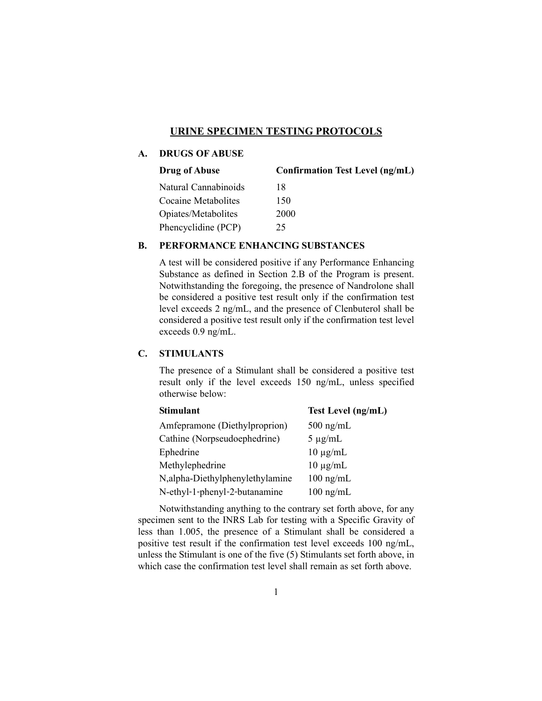### **URINE SPECIMEN TESTING PROTOCOLS**

## **A. DRUGS OF ABUSE**

| <b>Drug of Abuse</b> | <b>Confirmation Test Level (ng/mL)</b> |
|----------------------|----------------------------------------|
| Natural Cannabinoids | 18                                     |
| Cocaine Metabolites  | 150                                    |
| Opiates/Metabolites  | 2000                                   |
| Phencyclidine (PCP)  | 25                                     |

#### **B. PERFORMANCE ENHANCING SUBSTANCES**

A test will be considered positive if any Performance Enhancing Substance as defined in Section 2.B of the Program is present. Notwithstanding the foregoing, the presence of Nandrolone shall be considered a positive test result only if the confirmation test level exceeds 2 ng/mL, and the presence of Clenbuterol shall be considered a positive test result only if the confirmation test level exceeds 0.9 ng/mL.

#### **C. STIMULANTS**

The presence of a Stimulant shall be considered a positive test result only if the level exceeds 150 ng/mL, unless specified otherwise below:

| <b>Stimulant</b>                | Test Level (ng/mL)  |
|---------------------------------|---------------------|
| Amfepramone (Diethylproprion)   | $500$ ng/mL         |
| Cathine (Norpseudoephedrine)    | $5 \mu g/mL$        |
| Ephedrine                       | $10 \mu g/mL$       |
| Methylephedrine                 | $10 \mu g/mL$       |
| N,alpha-Diethylphenylethylamine | $100$ ng/mL         |
| N-ethyl-1-phenyl-2-butanamine   | $100 \text{ ng/mL}$ |

Notwithstanding anything to the contrary set forth above, for any specimen sent to the INRS Lab for testing with a Specific Gravity of less than 1.005, the presence of a Stimulant shall be considered a positive test result if the confirmation test level exceeds 100 ng/mL, unless the Stimulant is one of the five (5) Stimulants set forth above, in which case the confirmation test level shall remain as set forth above.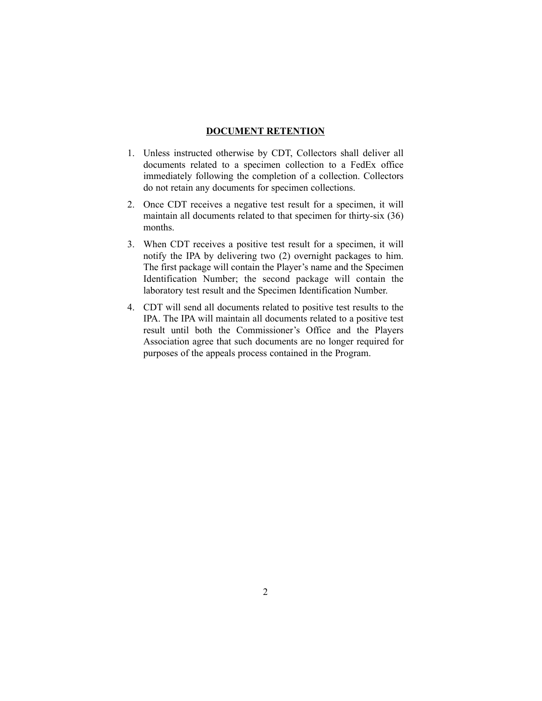#### **DOCUMENT RETENTION**

- 1. Unless instructed otherwise by CDT, Collectors shall deliver all documents related to a specimen collection to a FedEx office immediately following the completion of a collection. Collectors do not retain any documents for specimen collections.
- 2. Once CDT receives a negative test result for a specimen, it will maintain all documents related to that specimen for thirty-six (36) months.
- 3. When CDT receives a positive test result for a specimen, it will notify the IPA by delivering two (2) overnight packages to him. The first package will contain the Player's name and the Specimen Identification Number; the second package will contain the laboratory test result and the Specimen Identification Number.
- 4. CDT will send all documents related to positive test results to the IPA. The IPA will maintain all documents related to a positive test result until both the Commissioner's Office and the Players Association agree that such documents are no longer required for purposes of the appeals process contained in the Program.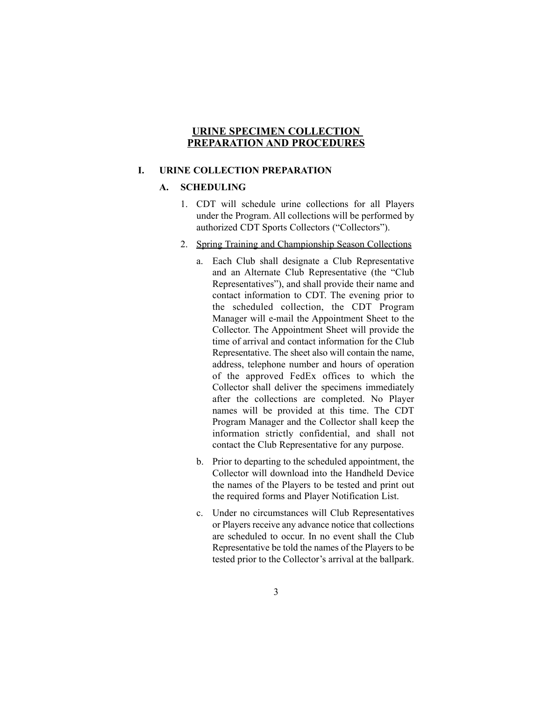### **URINE SPECIMEN COLLECTION PREPARATION AND PROCEDURES**

## **I. URINE COLLECTION PREPARATION**

### **A. SCHEDULING**

- 1. CDT will schedule urine collections for all Players under the Program. All collections will be performed by authorized CDT Sports Collectors ("Collectors").
- 2. Spring Training and Championship Season Collections
	- a. Each Club shall designate a Club Representative and an Alternate Club Representative (the "Club Representatives"), and shall provide their name and contact information to CDT. The evening prior to the scheduled collection, the CDT Program Manager will e-mail the Appointment Sheet to the Collector. The Appointment Sheet will provide the time of arrival and contact information for the Club Representative. The sheet also will contain the name, address, telephone number and hours of operation of the approved FedEx offices to which the Collector shall deliver the specimens immediately after the collections are completed. No Player names will be provided at this time. The CDT Program Manager and the Collector shall keep the information strictly confidential, and shall not contact the Club Representative for any purpose.
	- b. Prior to departing to the scheduled appointment, the Collector will download into the Handheld Device the names of the Players to be tested and print out the required forms and Player Notification List.
	- c. Under no circumstances will Club Representatives or Players receive any advance notice that collections are scheduled to occur. In no event shall the Club Representative be told the names of the Players to be tested prior to the Collector's arrival at the ballpark.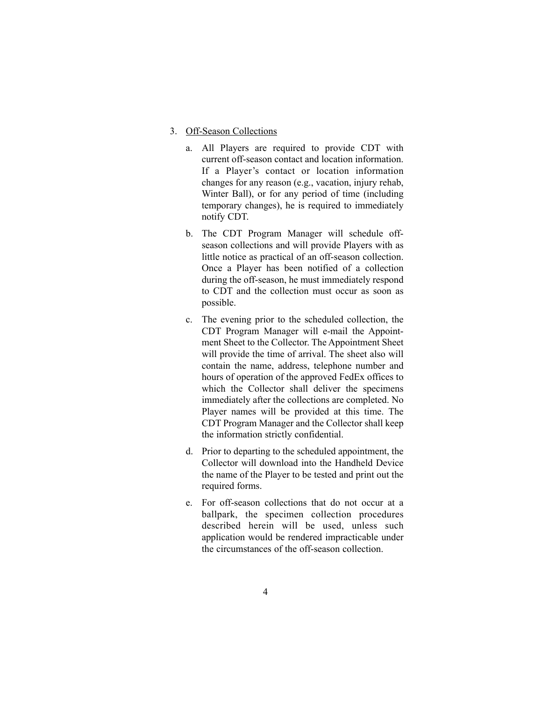#### 3. Off-Season Collections

- a. All Players are required to provide CDT with current off-season contact and location information. If a Player's contact or location information changes for any reason (e.g., vacation, injury rehab, Winter Ball), or for any period of time (including temporary changes), he is required to immediately notify CDT.
- b. The CDT Program Manager will schedule offseason collections and will provide Players with as little notice as practical of an off-season collection. Once a Player has been notified of a collection during the off-season, he must immediately respond to CDT and the collection must occur as soon as possible.
- c. The evening prior to the scheduled collection, the CDT Program Manager will e-mail the Appointment Sheet to the Collector. The Appointment Sheet will provide the time of arrival. The sheet also will contain the name, address, telephone number and hours of operation of the approved FedEx offices to which the Collector shall deliver the specimens immediately after the collections are completed. No Player names will be provided at this time. The CDT Program Manager and the Collector shall keep the information strictly confidential.
- d. Prior to departing to the scheduled appointment, the Collector will download into the Handheld Device the name of the Player to be tested and print out the required forms.
- e. For off-season collections that do not occur at a ballpark, the specimen collection procedures described herein will be used, unless such application would be rendered impracticable under the circumstances of the off-season collection.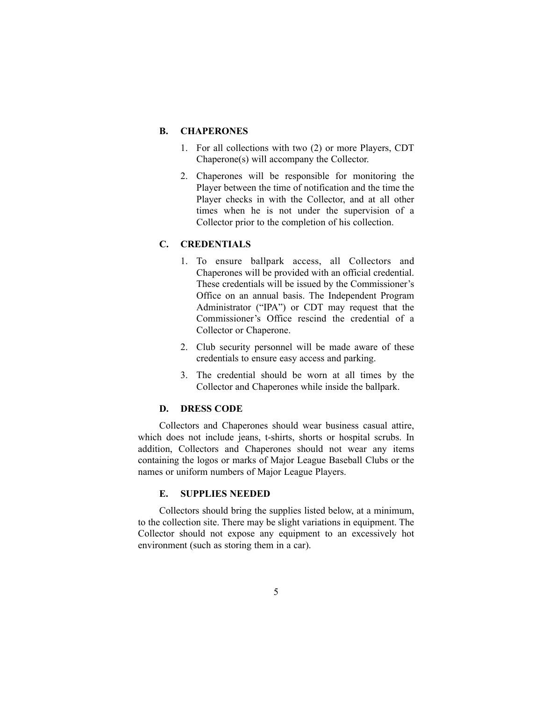#### **B. CHAPERONES**

- 1. For all collections with two (2) or more Players, CDT Chaperone(s) will accompany the Collector.
- 2. Chaperones will be responsible for monitoring the Player between the time of notification and the time the Player checks in with the Collector, and at all other times when he is not under the supervision of a Collector prior to the completion of his collection.

### **C. CREDENTIALS**

- 1. To ensure ballpark access, all Collectors and Chaperones will be provided with an official credential. These credentials will be issued by the Commissioner's Office on an annual basis. The Independent Program Administrator ("IPA") or CDT may request that the Commissioner's Office rescind the credential of a Collector or Chaperone.
- 2. Club security personnel will be made aware of these credentials to ensure easy access and parking.
- 3. The credential should be worn at all times by the Collector and Chaperones while inside the ballpark.

### **D. DRESS CODE**

Collectors and Chaperones should wear business casual attire, which does not include jeans, t-shirts, shorts or hospital scrubs. In addition, Collectors and Chaperones should not wear any items containing the logos or marks of Major League Baseball Clubs or the names or uniform numbers of Major League Players.

#### **E. SUPPLIES NEEDED**

Collectors should bring the supplies listed below, at a minimum, to the collection site. There may be slight variations in equipment. The Collector should not expose any equipment to an excessively hot environment (such as storing them in a car).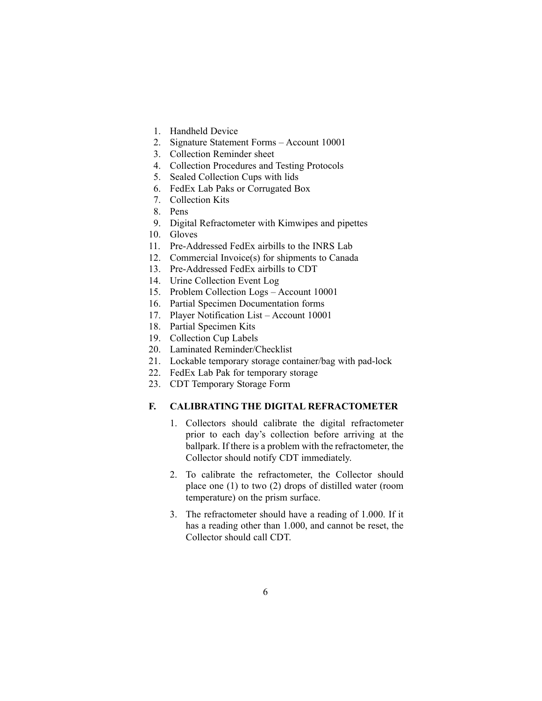- 1. Handheld Device
- 2. Signature Statement Forms Account 10001
- 3. Collection Reminder sheet
- 4. Collection Procedures and Testing Protocols
- 5. Sealed Collection Cups with lids
- 6. FedEx Lab Paks or Corrugated Box
- 7. Collection Kits
- 8. Pens
- 9. Digital Refractometer with Kimwipes and pipettes
- 10. Gloves
- 11. Pre-Addressed FedEx airbills to the INRS Lab
- 12. Commercial Invoice(s) for shipments to Canada
- 13. Pre-Addressed FedEx airbills to CDT
- 14. Urine Collection Event Log
- 15. Problem Collection Logs Account 10001
- 16. Partial Specimen Documentation forms
- 17. Player Notification List Account 10001
- 18. Partial Specimen Kits
- 19. Collection Cup Labels
- 20. Laminated Reminder/Checklist
- 21. Lockable temporary storage container/bag with pad-lock
- 22. FedEx Lab Pak for temporary storage
- 23. CDT Temporary Storage Form

## **F. CALIBRATING THE DIGITAL REFRACTOMETER**

- 1. Collectors should calibrate the digital refractometer prior to each day's collection before arriving at the ballpark. If there is a problem with the refractometer, the Collector should notify CDT immediately.
- 2. To calibrate the refractometer, the Collector should place one (1) to two (2) drops of distilled water (room temperature) on the prism surface.
- 3. The refractometer should have a reading of 1.000. If it has a reading other than 1.000, and cannot be reset, the Collector should call CDT.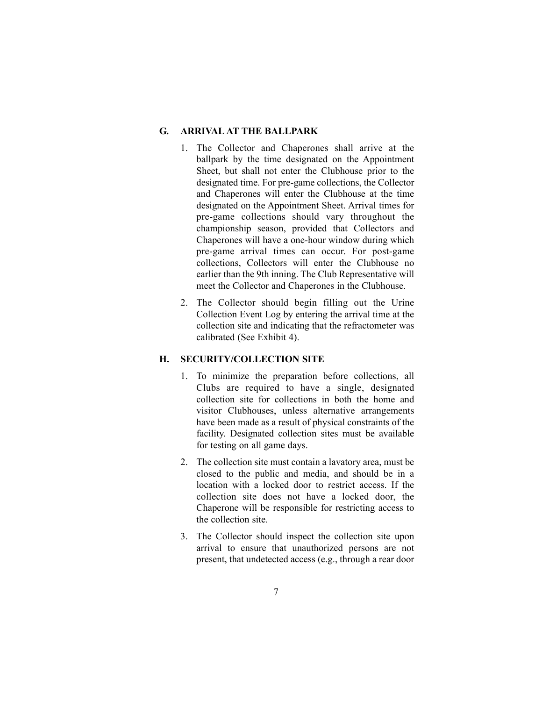#### **G. ARRIVAL AT THE BALLPARK**

- 1. The Collector and Chaperones shall arrive at the ballpark by the time designated on the Appointment Sheet, but shall not enter the Clubhouse prior to the designated time. For pre-game collections, the Collector and Chaperones will enter the Clubhouse at the time designated on the Appointment Sheet. Arrival times for pre-game collections should vary throughout the championship season, provided that Collectors and Chaperones will have a one-hour window during which pre-game arrival times can occur. For post-game collections, Collectors will enter the Clubhouse no earlier than the 9th inning. The Club Representative will meet the Collector and Chaperones in the Clubhouse.
- 2. The Collector should begin filling out the Urine Collection Event Log by entering the arrival time at the collection site and indicating that the refractometer was calibrated (See Exhibit 4).

#### **H. SECURITY/COLLECTION SITE**

- 1. To minimize the preparation before collections, all Clubs are required to have a single, designated collection site for collections in both the home and visitor Clubhouses, unless alternative arrangements have been made as a result of physical constraints of the facility. Designated collection sites must be available for testing on all game days.
- 2. The collection site must contain a lavatory area, must be closed to the public and media, and should be in a location with a locked door to restrict access. If the collection site does not have a locked door, the Chaperone will be responsible for restricting access to the collection site.
- 3. The Collector should inspect the collection site upon arrival to ensure that unauthorized persons are not present, that undetected access (e.g., through a rear door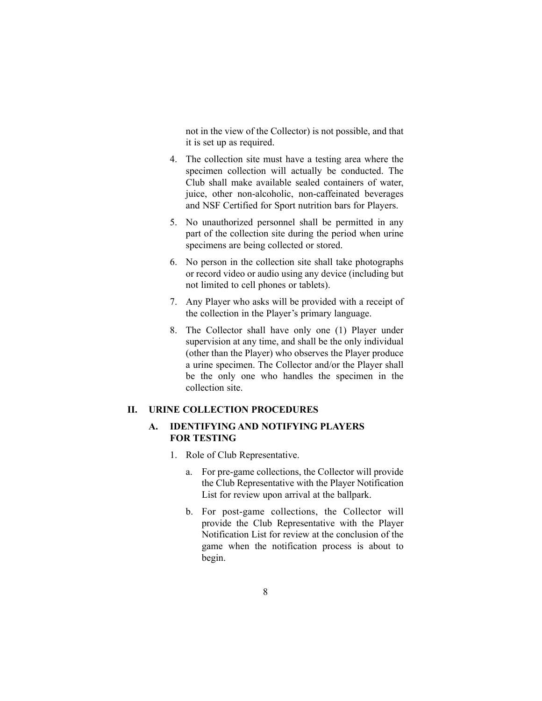not in the view of the Collector) is not possible, and that it is set up as required.

- 4. The collection site must have a testing area where the specimen collection will actually be conducted. The Club shall make available sealed containers of water, juice, other non-alcoholic, non-caffeinated beverages and NSF Certified for Sport nutrition bars for Players.
- 5. No unauthorized personnel shall be permitted in any part of the collection site during the period when urine specimens are being collected or stored.
- 6. No person in the collection site shall take photographs or record video or audio using any device (including but not limited to cell phones or tablets).
- 7. Any Player who asks will be provided with a receipt of the collection in the Player's primary language.
- 8. The Collector shall have only one (1) Player under supervision at any time, and shall be the only individual (other than the Player) who observes the Player produce a urine specimen. The Collector and/or the Player shall be the only one who handles the specimen in the collection site.

### **II. URINE COLLECTION PROCEDURES**

### **A. IDENTIFYING AND NOTIFYING PLAYERS FOR TESTING**

- 1. Role of Club Representative.
	- a. For pre-game collections, the Collector will provide the Club Representative with the Player Notification List for review upon arrival at the ballpark.
	- b. For post-game collections, the Collector will provide the Club Representative with the Player Notification List for review at the conclusion of the game when the notification process is about to begin.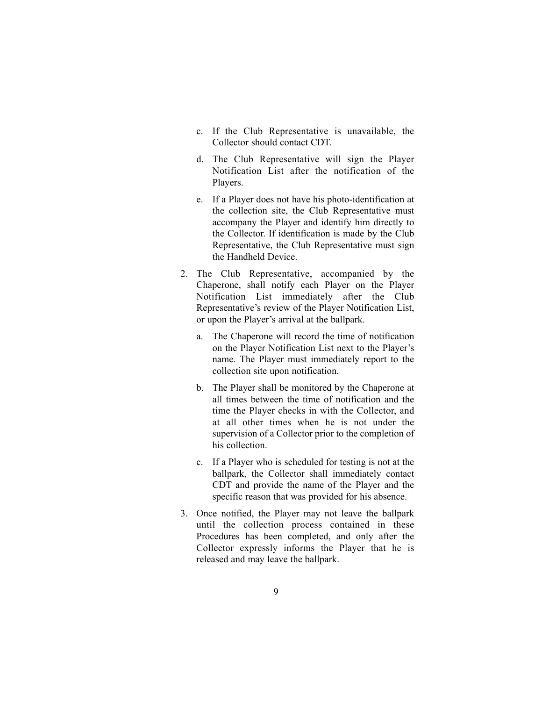- c. If the Club Representative is unavailable, the Collector should contact CDT.
- d. The Club Representative will sign the Player Notification List after the notification of the Players.
- e. If a Player does not have his photo-identification at the collection site, the Club Representative must accompany the Player and identify him directly to the Collector. If identification is made by the Club Representative, the Club Representative must sign the Handheld Device.
- 2. The Club Representative, accompanied by the Chaperone, shall notify each Player on the Player Notification List immediately after the Club Representative's review of the Player Notification List, or upon the Player's arrival at the ballpark.
	- a. The Chaperone will record the time of notification on the Player Notification List next to the Player's name. The Player must immediately report to the collection site upon notification.
	- b. The Player shall be monitored by the Chaperone at all times between the time of notification and the time the Player checks in with the Collector, and at all other times when he is not under the supervision of a Collector prior to the completion of his collection.
	- c. If a Player who is scheduled for testing is not at the ballpark, the Collector shall immediately contact CDT and provide the name of the Player and the specific reason that was provided for his absence.
- 3. Once notified, the Player may not leave the ballpark until the collection process contained in these Procedures has been completed, and only after the Collector expressly informs the Player that he is released and may leave the ballpark.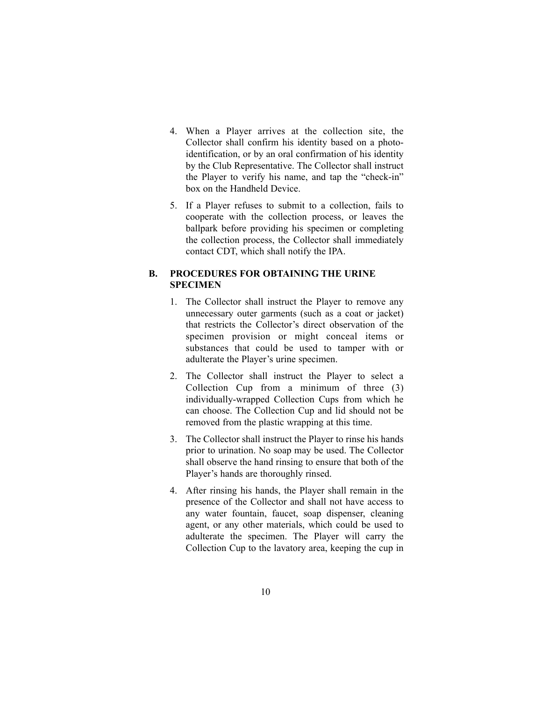- 4. When a Player arrives at the collection site, the Collector shall confirm his identity based on a photoidentification, or by an oral confirmation of his identity by the Club Representative. The Collector shall instruct the Player to verify his name, and tap the "check-in" box on the Handheld Device.
- 5. If a Player refuses to submit to a collection, fails to cooperate with the collection process, or leaves the ballpark before providing his specimen or completing the collection process, the Collector shall immediately contact CDT, which shall notify the IPA.

## **B. PROCEDURES FOR OBTAINING THE URINE SPECIMEN**

- 1. The Collector shall instruct the Player to remove any unnecessary outer garments (such as a coat or jacket) that restricts the Collector's direct observation of the specimen provision or might conceal items or substances that could be used to tamper with or adulterate the Player's urine specimen.
- 2. The Collector shall instruct the Player to select a Collection Cup from a minimum of three (3) individually-wrapped Collection Cups from which he can choose. The Collection Cup and lid should not be removed from the plastic wrapping at this time.
- 3. The Collector shall instruct the Player to rinse his hands prior to urination. No soap may be used. The Collector shall observe the hand rinsing to ensure that both of the Player's hands are thoroughly rinsed.
- 4. After rinsing his hands, the Player shall remain in the presence of the Collector and shall not have access to any water fountain, faucet, soap dispenser, cleaning agent, or any other materials, which could be used to adulterate the specimen. The Player will carry the Collection Cup to the lavatory area, keeping the cup in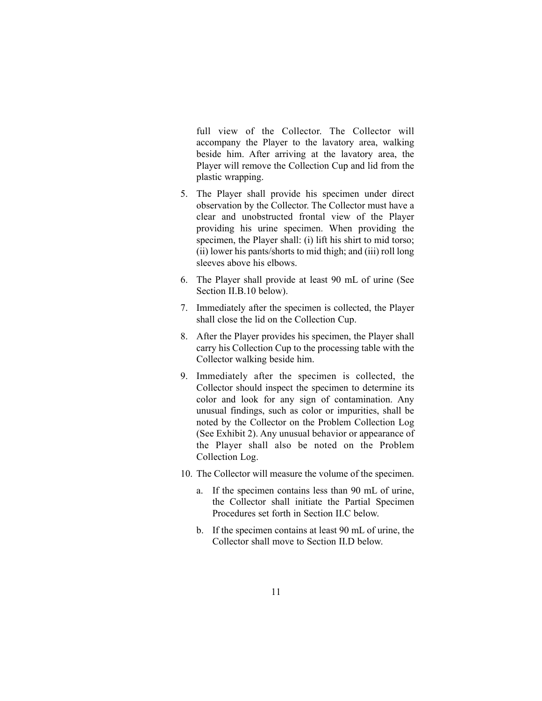full view of the Collector. The Collector will accompany the Player to the lavatory area, walking beside him. After arriving at the lavatory area, the Player will remove the Collection Cup and lid from the plastic wrapping.

- 5. The Player shall provide his specimen under direct observation by the Collector. The Collector must have a clear and unobstructed frontal view of the Player providing his urine specimen. When providing the specimen, the Player shall: (i) lift his shirt to mid torso; (ii) lower his pants/shorts to mid thigh; and (iii) roll long sleeves above his elbows.
- 6. The Player shall provide at least 90 mL of urine (See Section II.B.10 below).
- 7. Immediately after the specimen is collected, the Player shall close the lid on the Collection Cup.
- 8. After the Player provides his specimen, the Player shall carry his Collection Cup to the processing table with the Collector walking beside him.
- 9. Immediately after the specimen is collected, the Collector should inspect the specimen to determine its color and look for any sign of contamination. Any unusual findings, such as color or impurities, shall be noted by the Collector on the Problem Collection Log (See Exhibit 2). Any unusual behavior or appearance of the Player shall also be noted on the Problem Collection Log.
- 10. The Collector will measure the volume of the specimen.
	- a. If the specimen contains less than 90 mL of urine, the Collector shall initiate the Partial Specimen Procedures set forth in Section II.C below.
	- b. If the specimen contains at least 90 mL of urine, the Collector shall move to Section II.D below.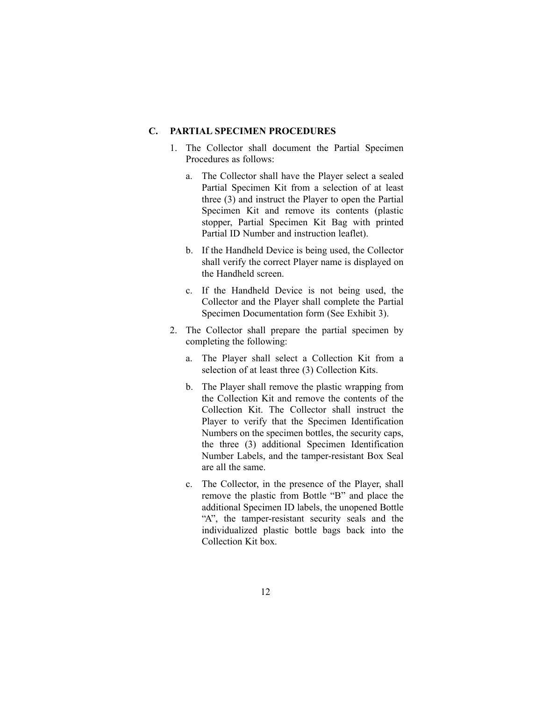#### **C. PARTIAL SPECIMEN PROCEDURES**

- 1. The Collector shall document the Partial Specimen Procedures as follows:
	- a. The Collector shall have the Player select a sealed Partial Specimen Kit from a selection of at least three (3) and instruct the Player to open the Partial Specimen Kit and remove its contents (plastic stopper, Partial Specimen Kit Bag with printed Partial ID Number and instruction leaflet).
	- b. If the Handheld Device is being used, the Collector shall verify the correct Player name is displayed on the Handheld screen.
	- c. If the Handheld Device is not being used, the Collector and the Player shall complete the Partial Specimen Documentation form (See Exhibit 3).
- 2. The Collector shall prepare the partial specimen by completing the following:
	- a. The Player shall select a Collection Kit from a selection of at least three (3) Collection Kits.
	- b. The Player shall remove the plastic wrapping from the Collection Kit and remove the contents of the Collection Kit. The Collector shall instruct the Player to verify that the Specimen Identification Numbers on the specimen bottles, the security caps, the three (3) additional Specimen Identification Number Labels, and the tamper-resistant Box Seal are all the same.
	- c. The Collector, in the presence of the Player, shall remove the plastic from Bottle "B" and place the additional Specimen ID labels, the unopened Bottle "A", the tamper-resistant security seals and the individualized plastic bottle bags back into the Collection Kit box.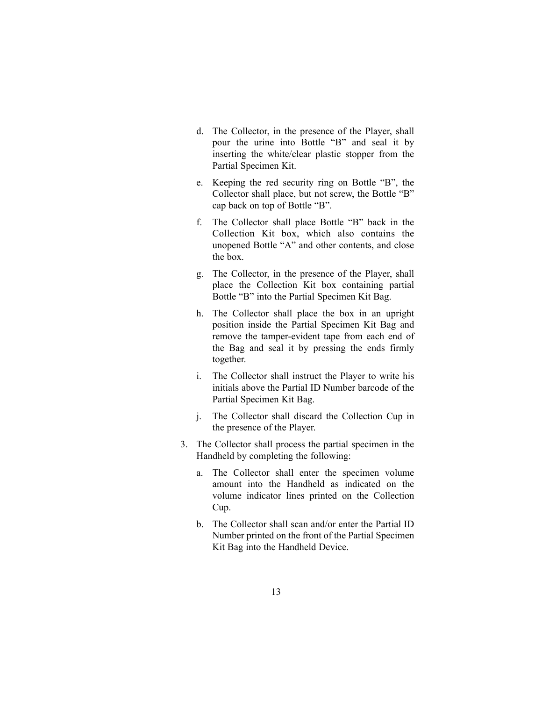- d. The Collector, in the presence of the Player, shall pour the urine into Bottle "B" and seal it by inserting the white/clear plastic stopper from the Partial Specimen Kit.
- e. Keeping the red security ring on Bottle "B", the Collector shall place, but not screw, the Bottle "B" cap back on top of Bottle "B".
- f. The Collector shall place Bottle "B" back in the Collection Kit box, which also contains the unopened Bottle "A" and other contents, and close the box.
- g. The Collector, in the presence of the Player, shall place the Collection Kit box containing partial Bottle "B" into the Partial Specimen Kit Bag.
- h. The Collector shall place the box in an upright position inside the Partial Specimen Kit Bag and remove the tamper-evident tape from each end of the Bag and seal it by pressing the ends firmly together.
- i. The Collector shall instruct the Player to write his initials above the Partial ID Number barcode of the Partial Specimen Kit Bag.
- j. The Collector shall discard the Collection Cup in the presence of the Player.
- 3. The Collector shall process the partial specimen in the Handheld by completing the following:
	- a. The Collector shall enter the specimen volume amount into the Handheld as indicated on the volume indicator lines printed on the Collection Cup.
	- b. The Collector shall scan and/or enter the Partial ID Number printed on the front of the Partial Specimen Kit Bag into the Handheld Device.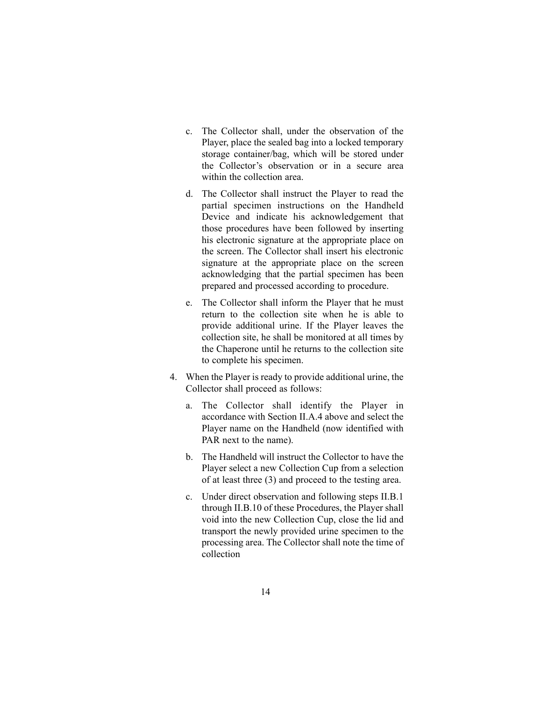- c. The Collector shall, under the observation of the Player, place the sealed bag into a locked temporary storage container/bag, which will be stored under the Collector's observation or in a secure area within the collection area.
- d. The Collector shall instruct the Player to read the partial specimen instructions on the Handheld Device and indicate his acknowledgement that those procedures have been followed by inserting his electronic signature at the appropriate place on the screen. The Collector shall insert his electronic signature at the appropriate place on the screen acknowledging that the partial specimen has been prepared and processed according to procedure.
- e. The Collector shall inform the Player that he must return to the collection site when he is able to provide additional urine. If the Player leaves the collection site, he shall be monitored at all times by the Chaperone until he returns to the collection site to complete his specimen.
- 4. When the Player is ready to provide additional urine, the Collector shall proceed as follows:
	- a. The Collector shall identify the Player in accordance with Section II.A.4 above and select the Player name on the Handheld (now identified with PAR next to the name).
	- b. The Handheld will instruct the Collector to have the Player select a new Collection Cup from a selection of at least three (3) and proceed to the testing area.
	- c. Under direct observation and following steps II.B.1 through II.B.10 of these Procedures, the Player shall void into the new Collection Cup, close the lid and transport the newly provided urine specimen to the processing area. The Collector shall note the time of collection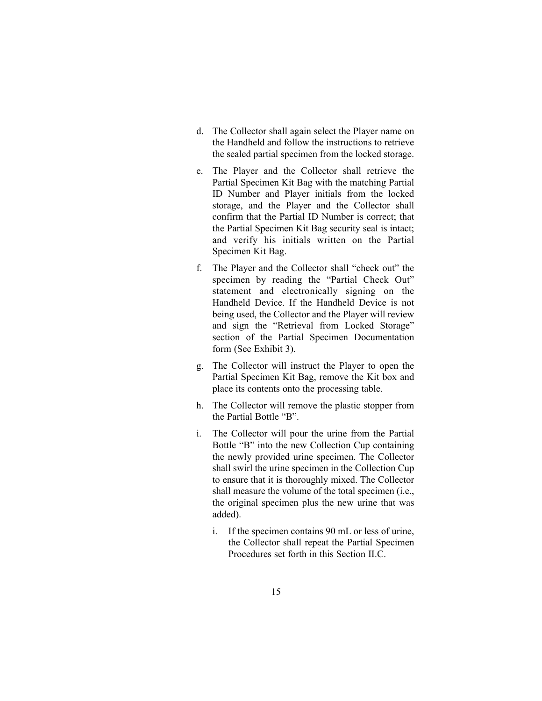- d. The Collector shall again select the Player name on the Handheld and follow the instructions to retrieve the sealed partial specimen from the locked storage.
- e. The Player and the Collector shall retrieve the Partial Specimen Kit Bag with the matching Partial ID Number and Player initials from the locked storage, and the Player and the Collector shall confirm that the Partial ID Number is correct; that the Partial Specimen Kit Bag security seal is intact; and verify his initials written on the Partial Specimen Kit Bag.
- f. The Player and the Collector shall "check out" the specimen by reading the "Partial Check Out" statement and electronically signing on the Handheld Device. If the Handheld Device is not being used, the Collector and the Player will review and sign the "Retrieval from Locked Storage" section of the Partial Specimen Documentation form (See Exhibit 3).
- g. The Collector will instruct the Player to open the Partial Specimen Kit Bag, remove the Kit box and place its contents onto the processing table.
- h. The Collector will remove the plastic stopper from the Partial Bottle "B".
- i. The Collector will pour the urine from the Partial Bottle "B" into the new Collection Cup containing the newly provided urine specimen. The Collector shall swirl the urine specimen in the Collection Cup to ensure that it is thoroughly mixed. The Collector shall measure the volume of the total specimen (i.e., the original specimen plus the new urine that was added).
	- i. If the specimen contains 90 mL or less of urine, the Collector shall repeat the Partial Specimen Procedures set forth in this Section II.C.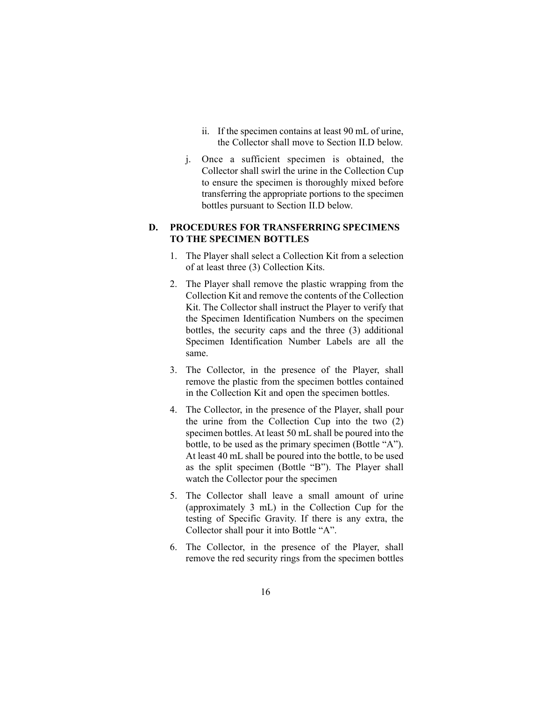- ii. If the specimen contains at least 90 mL of urine, the Collector shall move to Section II.D below.
- j. Once a sufficient specimen is obtained, the Collector shall swirl the urine in the Collection Cup to ensure the specimen is thoroughly mixed before transferring the appropriate portions to the specimen bottles pursuant to Section II.D below.

### **D. PROCEDURES FOR TRANSFERRING SPECIMENS TO THE SPECIMEN BOTTLES**

- 1. The Player shall select a Collection Kit from a selection of at least three (3) Collection Kits.
- 2. The Player shall remove the plastic wrapping from the Collection Kit and remove the contents of the Collection Kit. The Collector shall instruct the Player to verify that the Specimen Identification Numbers on the specimen bottles, the security caps and the three (3) additional Specimen Identification Number Labels are all the same.
- 3. The Collector, in the presence of the Player, shall remove the plastic from the specimen bottles contained in the Collection Kit and open the specimen bottles.
- 4. The Collector, in the presence of the Player, shall pour the urine from the Collection Cup into the two (2) specimen bottles. At least 50 mL shall be poured into the bottle, to be used as the primary specimen (Bottle "A"). At least 40 mL shall be poured into the bottle, to be used as the split specimen (Bottle "B"). The Player shall watch the Collector pour the specimen
- 5. The Collector shall leave a small amount of urine (approximately 3 mL) in the Collection Cup for the testing of Specific Gravity. If there is any extra, the Collector shall pour it into Bottle "A".
- 6. The Collector, in the presence of the Player, shall remove the red security rings from the specimen bottles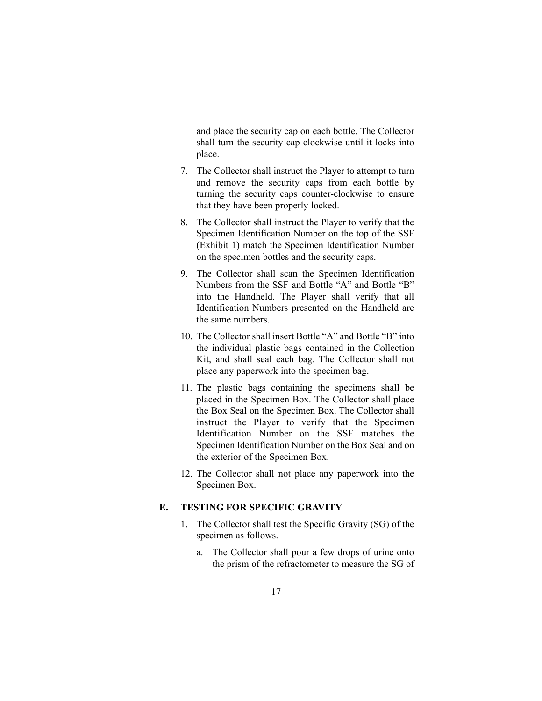and place the security cap on each bottle. The Collector shall turn the security cap clockwise until it locks into place.

- 7. The Collector shall instruct the Player to attempt to turn and remove the security caps from each bottle by turning the security caps counter-clockwise to ensure that they have been properly locked.
- 8. The Collector shall instruct the Player to verify that the Specimen Identification Number on the top of the SSF (Exhibit 1) match the Specimen Identification Number on the specimen bottles and the security caps.
- 9. The Collector shall scan the Specimen Identification Numbers from the SSF and Bottle "A" and Bottle "B" into the Handheld. The Player shall verify that all Identification Numbers presented on the Handheld are the same numbers.
- 10. The Collector shall insert Bottle "A" and Bottle "B" into the individual plastic bags contained in the Collection Kit, and shall seal each bag. The Collector shall not place any paperwork into the specimen bag.
- 11. The plastic bags containing the specimens shall be placed in the Specimen Box. The Collector shall place the Box Seal on the Specimen Box. The Collector shall instruct the Player to verify that the Specimen Identification Number on the SSF matches the Specimen Identification Number on the Box Seal and on the exterior of the Specimen Box.
- 12. The Collector shall not place any paperwork into the Specimen Box.

### **E. TESTING FOR SPECIFIC GRAVITY**

- 1. The Collector shall test the Specific Gravity (SG) of the specimen as follows.
	- a. The Collector shall pour a few drops of urine onto the prism of the refractometer to measure the SG of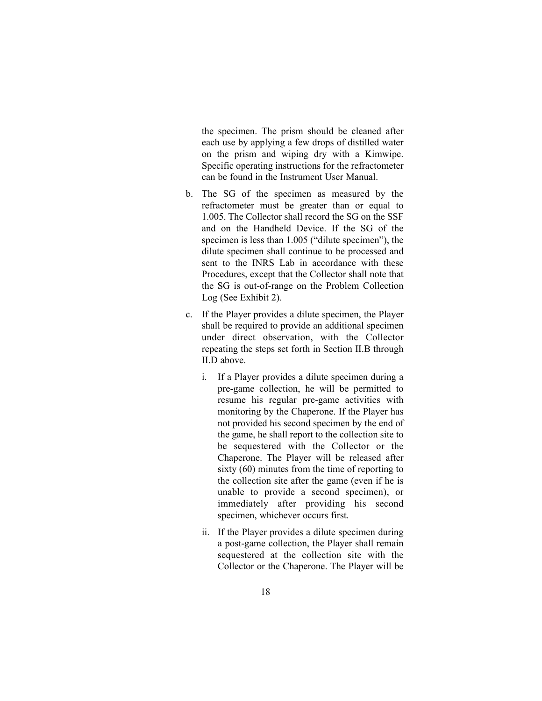the specimen. The prism should be cleaned after each use by applying a few drops of distilled water on the prism and wiping dry with a Kimwipe. Specific operating instructions for the refractometer can be found in the Instrument User Manual.

- b. The SG of the specimen as measured by the refractometer must be greater than or equal to 1.005. The Collector shall record the SG on the SSF and on the Handheld Device. If the SG of the specimen is less than 1.005 ("dilute specimen"), the dilute specimen shall continue to be processed and sent to the INRS Lab in accordance with these Procedures, except that the Collector shall note that the SG is out-of-range on the Problem Collection Log (See Exhibit 2).
- c. If the Player provides a dilute specimen, the Player shall be required to provide an additional specimen under direct observation, with the Collector repeating the steps set forth in Section II.B through II.D above.
	- i. If a Player provides a dilute specimen during a pre-game collection, he will be permitted to resume his regular pre-game activities with monitoring by the Chaperone. If the Player has not provided his second specimen by the end of the game, he shall report to the collection site to be sequestered with the Collector or the Chaperone. The Player will be released after sixty (60) minutes from the time of reporting to the collection site after the game (even if he is unable to provide a second specimen), or immediately after providing his second specimen, whichever occurs first.
	- ii. If the Player provides a dilute specimen during a post-game collection, the Player shall remain sequestered at the collection site with the Collector or the Chaperone. The Player will be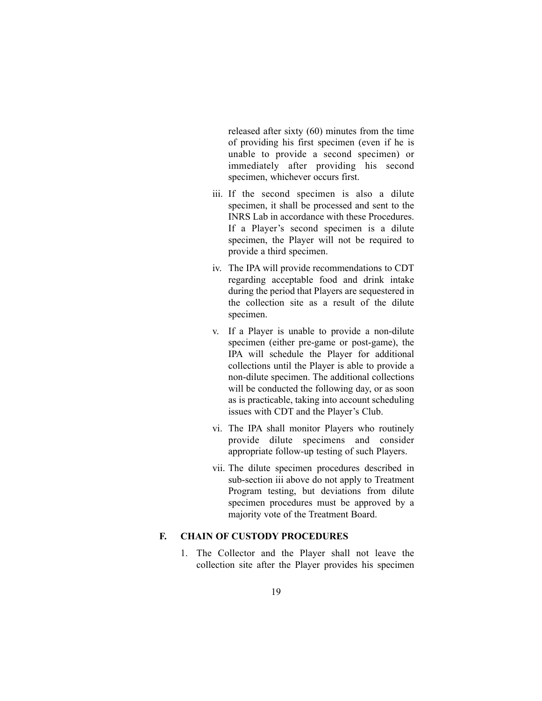released after sixty (60) minutes from the time of providing his first specimen (even if he is unable to provide a second specimen) or immediately after providing his second specimen, whichever occurs first.

- iii. If the second specimen is also a dilute specimen, it shall be processed and sent to the INRS Lab in accordance with these Procedures. If a Player's second specimen is a dilute specimen, the Player will not be required to provide a third specimen.
- iv. The IPA will provide recommendations to CDT regarding acceptable food and drink intake during the period that Players are sequestered in the collection site as a result of the dilute specimen.
- v. If a Player is unable to provide a non-dilute specimen (either pre-game or post-game), the IPA will schedule the Player for additional collections until the Player is able to provide a non-dilute specimen. The additional collections will be conducted the following day, or as soon as is practicable, taking into account scheduling issues with CDT and the Player's Club.
- vi. The IPA shall monitor Players who routinely provide dilute specimens and consider appropriate follow-up testing of such Players.
- vii. The dilute specimen procedures described in sub-section iii above do not apply to Treatment Program testing, but deviations from dilute specimen procedures must be approved by a majority vote of the Treatment Board.

## **F. CHAIN OF CUSTODY PROCEDURES**

1. The Collector and the Player shall not leave the collection site after the Player provides his specimen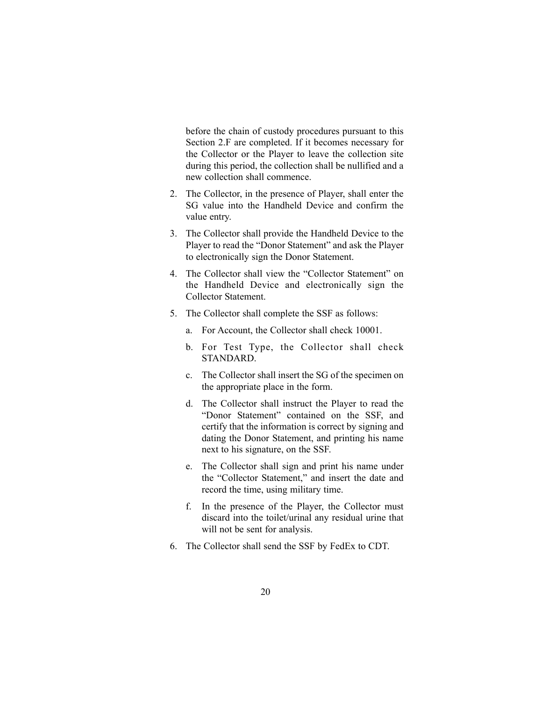before the chain of custody procedures pursuant to this Section 2.F are completed. If it becomes necessary for the Collector or the Player to leave the collection site during this period, the collection shall be nullified and a new collection shall commence.

- 2. The Collector, in the presence of Player, shall enter the SG value into the Handheld Device and confirm the value entry.
- 3. The Collector shall provide the Handheld Device to the Player to read the "Donor Statement" and ask the Player to electronically sign the Donor Statement.
- 4. The Collector shall view the "Collector Statement" on the Handheld Device and electronically sign the Collector Statement.
- 5. The Collector shall complete the SSF as follows:
	- a. For Account, the Collector shall check 10001.
	- b. For Test Type, the Collector shall check STANDARD.
	- c. The Collector shall insert the SG of the specimen on the appropriate place in the form.
	- d. The Collector shall instruct the Player to read the "Donor Statement" contained on the SSF, and certify that the information is correct by signing and dating the Donor Statement, and printing his name next to his signature, on the SSF.
	- e. The Collector shall sign and print his name under the "Collector Statement," and insert the date and record the time, using military time.
	- f. In the presence of the Player, the Collector must discard into the toilet/urinal any residual urine that will not be sent for analysis.
- 6. The Collector shall send the SSF by FedEx to CDT.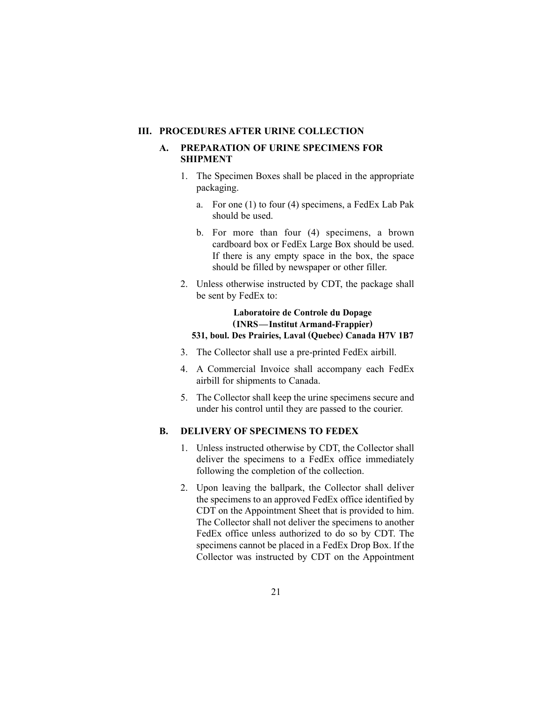#### **III. PROCEDURES AFTER URINE COLLECTION**

## **A. PREPARATION OF URINE SPECIMENS FOR SHIPMENT**

- 1. The Specimen Boxes shall be placed in the appropriate packaging.
	- a. For one (1) to four (4) specimens, a FedEx Lab Pak should be used.
	- b. For more than four (4) specimens, a brown cardboard box or FedEx Large Box should be used. If there is any empty space in the box, the space should be filled by newspaper or other filler.
- 2. Unless otherwise instructed by CDT, the package shall be sent by FedEx to:

# **Laboratoire de Controle du Dopage (INRS—Institut Armand-Frappier)**

# **531, boul. Des Prairies, Laval (Quebec) Canada H7V 1B7**

- 3. The Collector shall use a pre-printed FedEx airbill.
- 4. A Commercial Invoice shall accompany each FedEx airbill for shipments to Canada.
- 5. The Collector shall keep the urine specimens secure and under his control until they are passed to the courier.

### **B. DELIVERY OF SPECIMENS TO FEDEX**

- 1. Unless instructed otherwise by CDT, the Collector shall deliver the specimens to a FedEx office immediately following the completion of the collection.
- 2. Upon leaving the ballpark, the Collector shall deliver the specimens to an approved FedEx office identified by CDT on the Appointment Sheet that is provided to him. The Collector shall not deliver the specimens to another FedEx office unless authorized to do so by CDT. The specimens cannot be placed in a FedEx Drop Box. If the Collector was instructed by CDT on the Appointment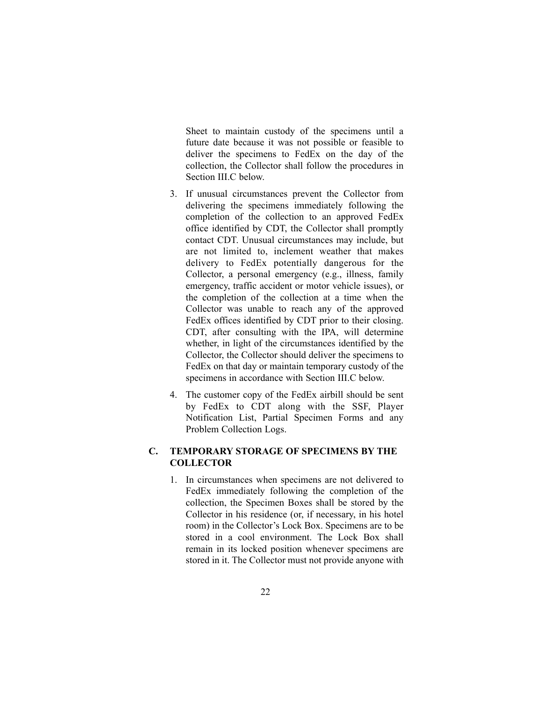Sheet to maintain custody of the specimens until a future date because it was not possible or feasible to deliver the specimens to FedEx on the day of the collection, the Collector shall follow the procedures in Section III.C below.

- 3. If unusual circumstances prevent the Collector from delivering the specimens immediately following the completion of the collection to an approved FedEx office identified by CDT, the Collector shall promptly contact CDT. Unusual circumstances may include, but are not limited to, inclement weather that makes delivery to FedEx potentially dangerous for the Collector, a personal emergency (e.g., illness, family emergency, traffic accident or motor vehicle issues), or the completion of the collection at a time when the Collector was unable to reach any of the approved FedEx offices identified by CDT prior to their closing. CDT, after consulting with the IPA, will determine whether, in light of the circumstances identified by the Collector, the Collector should deliver the specimens to FedEx on that day or maintain temporary custody of the specimens in accordance with Section III.C below.
- 4. The customer copy of the FedEx airbill should be sent by FedEx to CDT along with the SSF, Player Notification List, Partial Specimen Forms and any Problem Collection Logs.

### **C. TEMPORARY STORAGE OF SPECIMENS BY THE COLLECTOR**

1. In circumstances when specimens are not delivered to FedEx immediately following the completion of the collection, the Specimen Boxes shall be stored by the Collector in his residence (or, if necessary, in his hotel room) in the Collector's Lock Box. Specimens are to be stored in a cool environment. The Lock Box shall remain in its locked position whenever specimens are stored in it. The Collector must not provide anyone with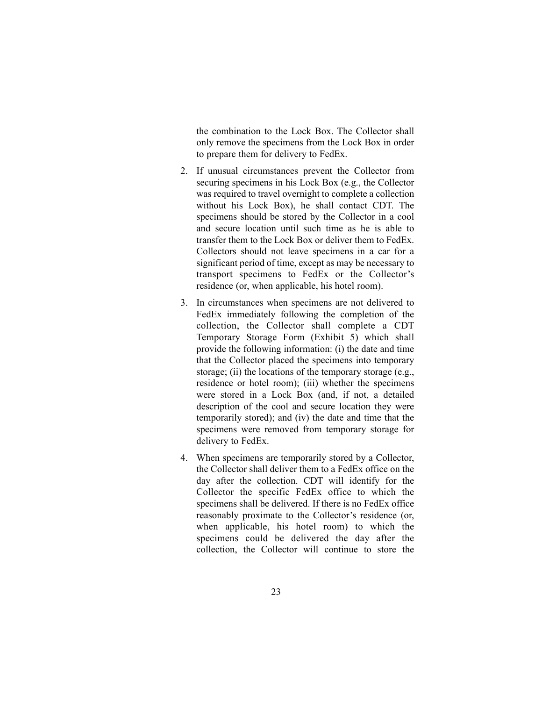the combination to the Lock Box. The Collector shall only remove the specimens from the Lock Box in order to prepare them for delivery to FedEx.

- 2. If unusual circumstances prevent the Collector from securing specimens in his Lock Box (e.g., the Collector was required to travel overnight to complete a collection without his Lock Box), he shall contact CDT. The specimens should be stored by the Collector in a cool and secure location until such time as he is able to transfer them to the Lock Box or deliver them to FedEx. Collectors should not leave specimens in a car for a significant period of time, except as may be necessary to transport specimens to FedEx or the Collector's residence (or, when applicable, his hotel room).
- 3. In circumstances when specimens are not delivered to FedEx immediately following the completion of the collection, the Collector shall complete a CDT Temporary Storage Form (Exhibit 5) which shall provide the following information: (i) the date and time that the Collector placed the specimens into temporary storage; (ii) the locations of the temporary storage (e.g., residence or hotel room); (iii) whether the specimens were stored in a Lock Box (and, if not, a detailed description of the cool and secure location they were temporarily stored); and (iv) the date and time that the specimens were removed from temporary storage for delivery to FedEx.
- 4. When specimens are temporarily stored by a Collector, the Collector shall deliver them to a FedEx office on the day after the collection. CDT will identify for the Collector the specific FedEx office to which the specimens shall be delivered. If there is no FedEx office reasonably proximate to the Collector's residence (or, when applicable, his hotel room) to which the specimens could be delivered the day after the collection, the Collector will continue to store the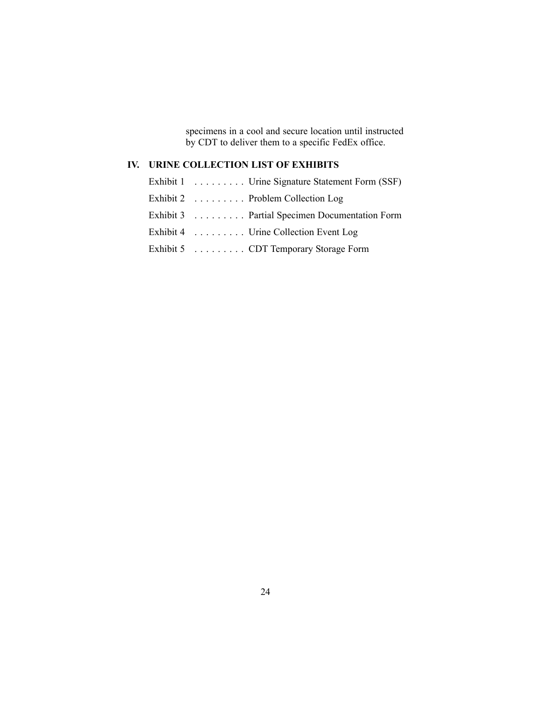specimens in a cool and secure location until instructed by CDT to deliver them to a specific FedEx office.

# **IV. URINE COLLECTION LIST OF EXHIBITS**

| Exhibit 1 Urine Signature Statement Form (SSF) |
|------------------------------------------------|
| Exhibit 2 Problem Collection Log               |
| Exhibit 3 Partial Specimen Documentation Form  |
| Exhibit 4 Urine Collection Event Log           |
| Exhibit 5 CDT Temporary Storage Form           |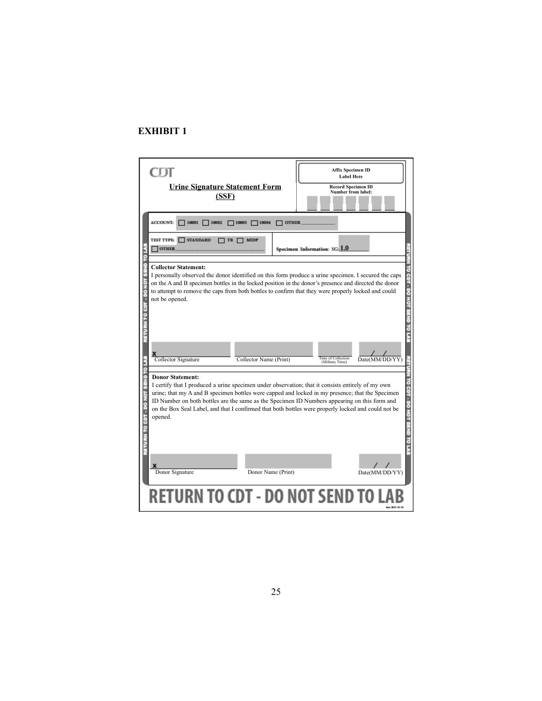| <b>Urine Signature Statement Form</b><br>(SSF)                                                                                                                                   | <b>Affix Specimen ID</b><br><b>Label Here</b><br><b>Record Specimen ID</b><br>Number from label:                                                                                                                                                                                                                          |
|----------------------------------------------------------------------------------------------------------------------------------------------------------------------------------|---------------------------------------------------------------------------------------------------------------------------------------------------------------------------------------------------------------------------------------------------------------------------------------------------------------------------|
| <b>ACCOUNT:</b><br>$10001$ $\Box$ $10002$<br>$710003$ $10004$                                                                                                                    | <b>OTHER</b>                                                                                                                                                                                                                                                                                                              |
| test type: T<br>STANDARD<br><b>MIDP</b><br>TB<br><b>OTHER</b>                                                                                                                    | Specimen Information: SG: 1.0                                                                                                                                                                                                                                                                                             |
| <b>Collector Statement:</b><br>not be opened.                                                                                                                                    | I personally observed the donor identified on this form produce a urine specimen. I secured the caps<br>on the A and B specimen bottles in the locked position in the donor's presence and directed the donor<br>to attempt to remove the caps from both bottles to confirm that they were properly locked and could      |
| Collector Signature<br>Collector Name (Print)                                                                                                                                    | Time of Collection<br>(Military Time)<br>Date(MM/DD/YY)                                                                                                                                                                                                                                                                   |
| <b>Donor Statement:</b><br>I certify that I produced a urine specimen under observation; that it consists entirely of my own<br>opened.<br>Donor Signature<br>Donor Name (Print) | urine; that my A and B specimen bottles were capped and locked in my presence; that the Specimen<br>ID Number on both bottles are the same as the Specimen ID Numbers appearing on this form and<br>on the Box Seal Label, and that I confirmed that both bottles were properly locked and could not be<br>Date(MM/DD/YY) |
|                                                                                                                                                                                  |                                                                                                                                                                                                                                                                                                                           |
| <b>RETURN TO CDT - DO NOT SEND TO</b>                                                                                                                                            |                                                                                                                                                                                                                                                                                                                           |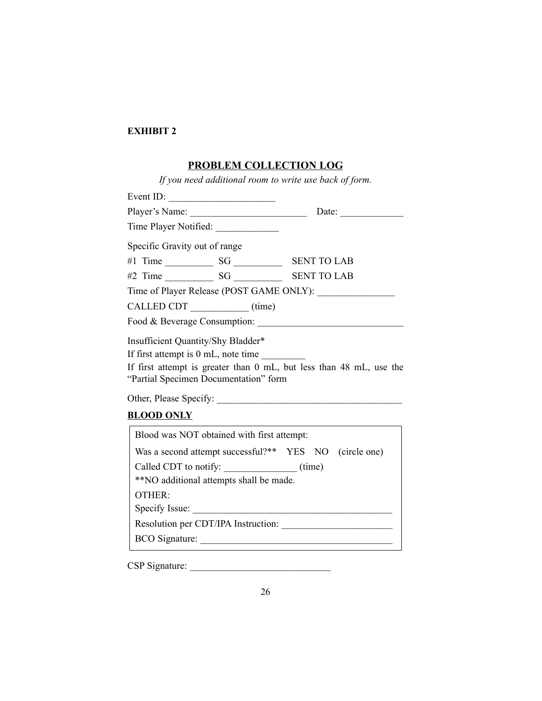#### **PROBLEM COLLECTION LOG**

*If you need additional room to write use back of form.* Event ID:  $\qquad \qquad \qquad$ Player's Name: \_\_\_\_\_\_\_\_\_\_\_\_\_\_\_\_\_\_\_\_\_\_\_\_ Date: \_\_\_\_\_\_\_\_\_\_\_\_\_ Time Player Notified: Specific Gravity out of range #1 Time \_\_\_\_\_\_\_\_\_\_ SG \_\_\_\_\_\_\_\_\_\_ SENT TO LAB #2 Time \_\_\_\_\_\_\_\_\_\_ SG \_\_\_\_\_\_\_\_\_\_ SENT TO LAB Time of Player Release (POST GAME ONLY): \_\_\_\_\_\_\_\_\_\_\_\_\_\_\_\_ CALLED CDT \_\_\_\_\_\_\_\_\_\_\_\_\_ (time) Food & Beverage Consumption: Insufficient Quantity/Shy Bladder\* If first attempt is  $0 \text{ mL}$ , note time If first attempt is greater than 0 mL, but less than 48 mL, use the "Partial Specimen Documentation" form Other, Please Specify: \_\_\_\_\_\_\_\_\_\_\_\_\_\_\_\_\_\_\_\_\_\_\_\_\_\_\_\_\_\_\_\_\_\_\_\_\_\_ **BLOOD ONLY** Blood was NOT obtained with first attempt: Was a second attempt successful?\*\* YES NO (circle one) Called CDT to notify:  $(me)$ \*\*NO additional attempts shall be made. OTHER: Specify Issue: \_\_\_\_\_\_\_\_\_\_\_\_\_\_\_\_\_\_\_\_\_\_\_\_\_\_\_\_\_\_\_\_\_\_\_\_\_\_\_\_\_ Resolution per CDT/IPA Instruction: BCO Signature:

CSP Signature: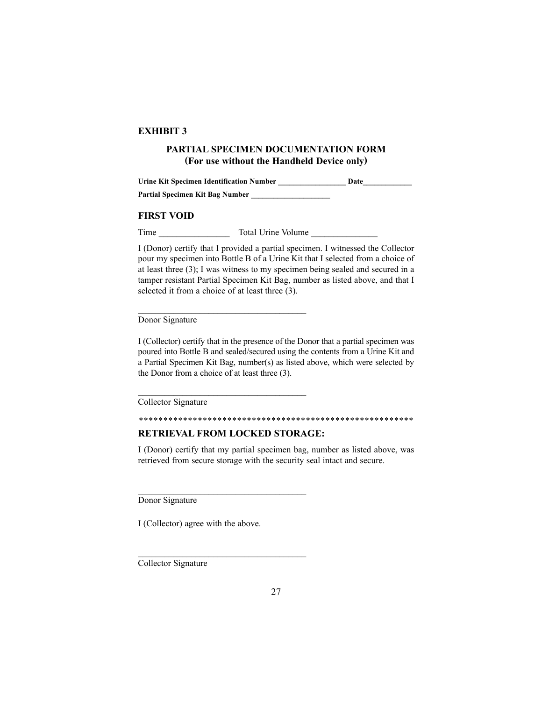### **PARTIAL SPECIMEN DOCUMENTATION FORM (For use without the Handheld Device only)**

Urine Kit Specimen Identification Number **Date Date Partial Specimen Kit Bag Number \_\_\_\_\_\_\_\_\_\_\_\_\_\_\_\_\_\_\_\_\_**

#### **FIRST VOID**

Time Total Urine Volume

 $\mathcal{L}_\text{max}$  , and the set of the set of the set of the set of the set of the set of the set of the set of the set of the set of the set of the set of the set of the set of the set of the set of the set of the set of the

 $\mathcal{L}_\text{max}$  , and the set of the set of the set of the set of the set of the set of the set of the set of the set of the set of the set of the set of the set of the set of the set of the set of the set of the set of the

 $\mathcal{L}_\text{max}$  , and the set of the set of the set of the set of the set of the set of the set of the set of the set of the set of the set of the set of the set of the set of the set of the set of the set of the set of the

I (Donor) certify that I provided a partial specimen. I witnessed the Collector pour my specimen into Bottle B of a Urine Kit that I selected from a choice of at least three (3); I was witness to my specimen being sealed and secured in a tamper resistant Partial Specimen Kit Bag, number as listed above, and that I selected it from a choice of at least three (3).

Donor Signature

I (Collector) certify that in the presence of the Donor that a partial specimen was poured into Bottle B and sealed/secured using the contents from a Urine Kit and a Partial Specimen Kit Bag, number(s) as listed above, which were selected by the Donor from a choice of at least three (3).

Collector Signature

\*\*\*\*\*\*\*\*\*\*\*\*\*\*\*\*\*\*\*\*\*\*\*\*\*\*\*\*\*\*\*\*\*\*\*\*\*\*\*\*\*\*\*\*\*\*\*\*\*\*\*\*\*\*\*\*

### **RETRIEVAL FROM LOCKED STORAGE:**

I (Donor) certify that my partial specimen bag, number as listed above, was retrieved from secure storage with the security seal intact and secure.

Donor Signature

I (Collector) agree with the above.

Collector Signature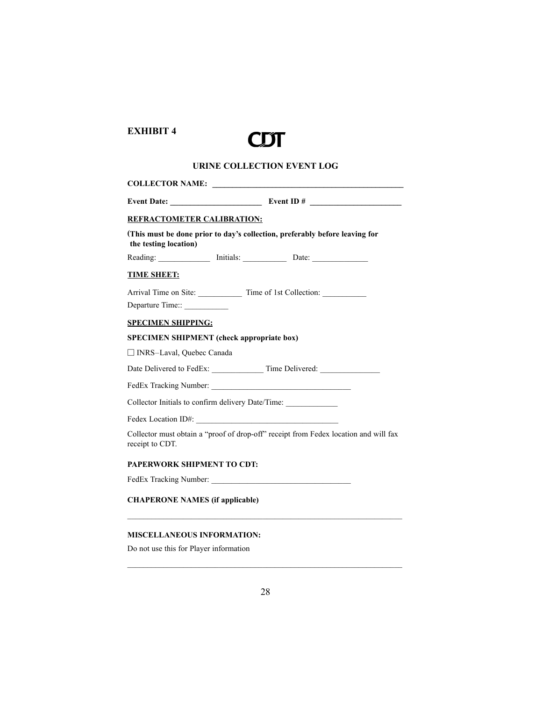

# **URINE COLLECTION EVENT LOG**

| REFRACTOMETER CALIBRATION:                       |  |                                                                                      |  |  |
|--------------------------------------------------|--|--------------------------------------------------------------------------------------|--|--|
| the testing location)                            |  | (This must be done prior to day's collection, preferably before leaving for          |  |  |
|                                                  |  | Reading: Initials: Date: Date:                                                       |  |  |
| <b>TIME SHEET:</b>                               |  |                                                                                      |  |  |
| Departure Time::____________                     |  | Arrival Time on Site: ______________ Time of 1st Collection: _____________           |  |  |
| <b>SPECIMEN SHIPPING:</b>                        |  |                                                                                      |  |  |
| <b>SPECIMEN SHIPMENT</b> (check appropriate box) |  |                                                                                      |  |  |
| $\Box$ INRS-Laval, Quebec Canada                 |  |                                                                                      |  |  |
|                                                  |  |                                                                                      |  |  |
|                                                  |  |                                                                                      |  |  |
|                                                  |  | Collector Initials to confirm delivery Date/Time:                                    |  |  |
|                                                  |  |                                                                                      |  |  |
| receipt to CDT.                                  |  | Collector must obtain a "proof of drop-off" receipt from Fedex location and will fax |  |  |
| PAPERWORK SHIPMENT TO CDT:                       |  |                                                                                      |  |  |
|                                                  |  |                                                                                      |  |  |
| <b>CHAPERONE NAMES (if applicable)</b>           |  |                                                                                      |  |  |
|                                                  |  |                                                                                      |  |  |

# **MISCELLANEOUS INFORMATION:**

Do not use this for Player information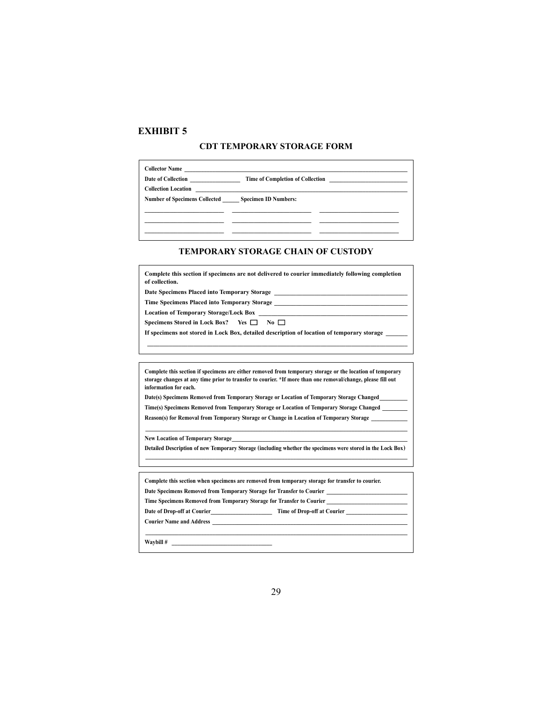#### **CDT TEMPORARY STORAGE FORM**

| Date of Collection                                        | Time of Completion of Collection |
|-----------------------------------------------------------|----------------------------------|
| <b>Collection Location</b>                                |                                  |
| <b>Number of Specimens Collected Specimen ID Numbers:</b> |                                  |
|                                                           |                                  |
|                                                           |                                  |
|                                                           |                                  |
|                                                           |                                  |

#### **TEMPORARY STORAGE CHAIN OF CUSTODY**

| Complete this section if specimens are not delivered to courier immediately following completion<br>of collection.                                                                                                                                                                                                       |  |  |  |  |  |
|--------------------------------------------------------------------------------------------------------------------------------------------------------------------------------------------------------------------------------------------------------------------------------------------------------------------------|--|--|--|--|--|
| Date Specimens Placed into Temporary Storage North Charles and School and School and School and School and School and School and School and School and School and School and School and School and School and School and Schoo                                                                                           |  |  |  |  |  |
|                                                                                                                                                                                                                                                                                                                          |  |  |  |  |  |
|                                                                                                                                                                                                                                                                                                                          |  |  |  |  |  |
| Specimens Stored in Lock Box? Yes $\Box$ No $\Box$                                                                                                                                                                                                                                                                       |  |  |  |  |  |
| If specimens not stored in Lock Box, detailed description of location of temporary storage                                                                                                                                                                                                                               |  |  |  |  |  |
|                                                                                                                                                                                                                                                                                                                          |  |  |  |  |  |
| Complete this section if specimens are either removed from temporary storage or the location of temporary<br>storage changes at any time prior to transfer to courier. *If more than one removal/change, please fill out<br>information for each.                                                                        |  |  |  |  |  |
| Date(s) Specimens Removed from Temporary Storage or Location of Temporary Storage Changed                                                                                                                                                                                                                                |  |  |  |  |  |
| Time(s) Specimens Removed from Temporary Storage or Location of Temporary Storage Changed                                                                                                                                                                                                                                |  |  |  |  |  |
| Reason(s) for Removal from Temporary Storage or Change in Location of Temporary Storage                                                                                                                                                                                                                                  |  |  |  |  |  |
| ,我们也不会有什么。""我们的人,我们也不会有什么?""我们的人,我们也不会有什么?""我们的人,我们也不会有什么?""我们的人,我们也不会有什么?""我们的人<br>New Location of Temporary Storage <b>Executive Contract Contract Contract Contract Contract Contract Contract Contract Contract Contract Contract Contract Contract Contract Contract Contract Contract Contract Contract Contra</b> |  |  |  |  |  |
| Detailed Description of new Temporary Storage (including whether the specimens were stored in the Lock Box)                                                                                                                                                                                                              |  |  |  |  |  |
| Complete this section when specimens are removed from temporary storage for transfer to courier.                                                                                                                                                                                                                         |  |  |  |  |  |
| Date Specimens Removed from Temporary Storage for Transfer to Courier                                                                                                                                                                                                                                                    |  |  |  |  |  |
|                                                                                                                                                                                                                                                                                                                          |  |  |  |  |  |
| Date of Drop-off at Courier Time of Drop-off at Courier                                                                                                                                                                                                                                                                  |  |  |  |  |  |
|                                                                                                                                                                                                                                                                                                                          |  |  |  |  |  |
| $\mathbf{Waybill}$ #                                                                                                                                                                                                                                                                                                     |  |  |  |  |  |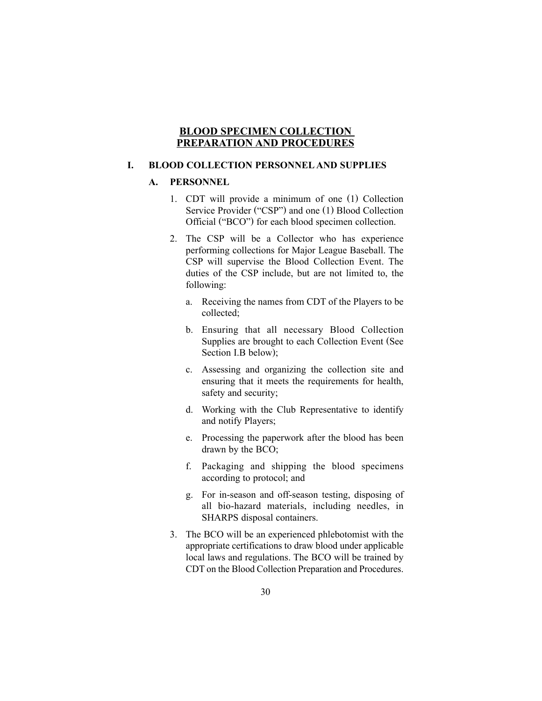#### **BLOOD SPECIMEN COLLECTION PREPARATION AND PROCEDURES**

### **I. BLOOD COLLECTION PERSONNEL AND SUPPLIES**

#### **A. PERSONNEL**

- 1. CDT will provide a minimum of one (1) Collection Service Provider ("CSP") and one (1) Blood Collection Official ("BCO") for each blood specimen collection.
- 2. The CSP will be a Collector who has experience performing collections for Major League Baseball. The CSP will supervise the Blood Collection Event. The duties of the CSP include, but are not limited to, the following:
	- a. Receiving the names from CDT of the Players to be collected;
	- b. Ensuring that all necessary Blood Collection Supplies are brought to each Collection Event (See Section I.B below);
	- c. Assessing and organizing the collection site and ensuring that it meets the requirements for health, safety and security;
	- d. Working with the Club Representative to identify and notify Players;
	- e. Processing the paperwork after the blood has been drawn by the BCO;
	- f. Packaging and shipping the blood specimens according to protocol; and
	- g. For in-season and off-season testing, disposing of all bio-hazard materials, including needles, in SHARPS disposal containers.
- 3. The BCO will be an experienced phlebotomist with the appropriate certifications to draw blood under applicable local laws and regulations. The BCO will be trained by CDT on the Blood Collection Preparation and Procedures.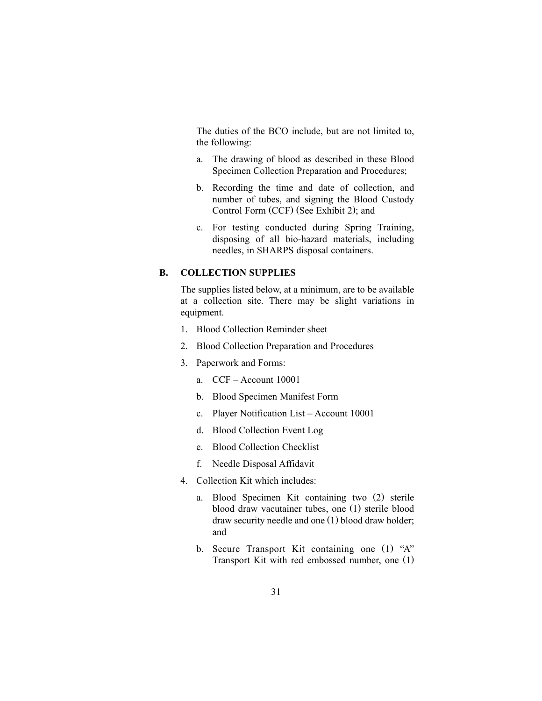The duties of the BCO include, but are not limited to, the following:

- a. The drawing of blood as described in these Blood Specimen Collection Preparation and Procedures;
- b. Recording the time and date of collection, and number of tubes, and signing the Blood Custody Control Form (CCF) (See Exhibit 2); and
- c. For testing conducted during Spring Training, disposing of all bio-hazard materials, including needles, in SHARPS disposal containers.

## **B. COLLECTION SUPPLIES**

The supplies listed below, at a minimum, are to be available at a collection site. There may be slight variations in equipment.

- 1. Blood Collection Reminder sheet
- 2. Blood Collection Preparation and Procedures
- 3. Paperwork and Forms:
	- a. CCF Account 10001
	- b. Blood Specimen Manifest Form
	- c. Player Notification List Account 10001
	- d. Blood Collection Event Log
	- e. Blood Collection Checklist
	- f. Needle Disposal Affidavit
- 4. Collection Kit which includes:
	- a. Blood Specimen Kit containing two (2) sterile blood draw vacutainer tubes, one (1) sterile blood draw security needle and one (1) blood draw holder; and
	- b. Secure Transport Kit containing one (1) "A" Transport Kit with red embossed number, one (1)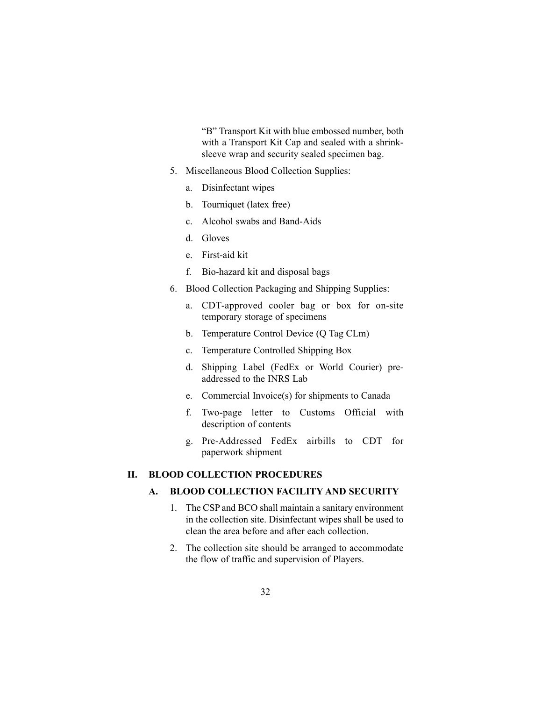"B" Transport Kit with blue embossed number, both with a Transport Kit Cap and sealed with a shrinksleeve wrap and security sealed specimen bag.

- 5. Miscellaneous Blood Collection Supplies:
	- a. Disinfectant wipes
	- b. Tourniquet (latex free)
	- c. Alcohol swabs and Band-Aids
	- d. Gloves
	- e. First-aid kit
	- f. Bio-hazard kit and disposal bags
- 6. Blood Collection Packaging and Shipping Supplies:
	- a. CDT-approved cooler bag or box for on-site temporary storage of specimens
	- b. Temperature Control Device (Q Tag CLm)
	- c. Temperature Controlled Shipping Box
	- d. Shipping Label (FedEx or World Courier) preaddressed to the INRS Lab
	- e. Commercial Invoice(s) for shipments to Canada
	- f. Two-page letter to Customs Official with description of contents
	- g. Pre-Addressed FedEx airbills to CDT for paperwork shipment

#### **II. BLOOD COLLECTION PROCEDURES**

### **A. BLOOD COLLECTION FACILITY AND SECURITY**

- 1. The CSP and BCO shall maintain a sanitary environment in the collection site. Disinfectant wipes shall be used to clean the area before and after each collection.
- 2. The collection site should be arranged to accommodate the flow of traffic and supervision of Players.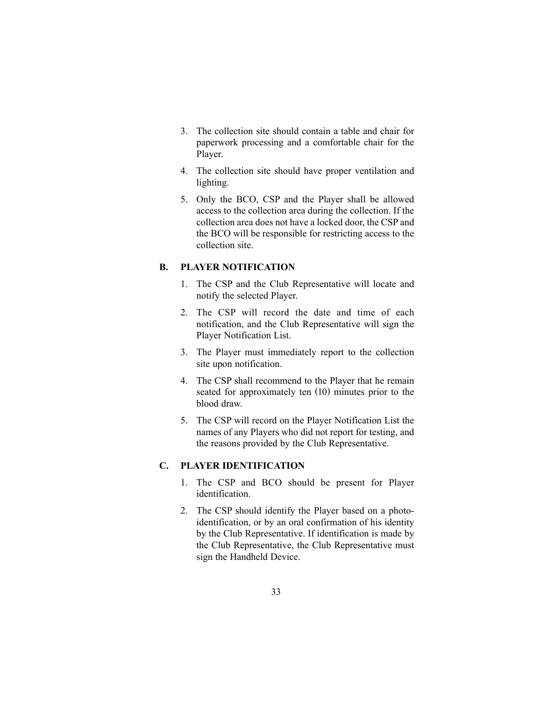- 3. The collection site should contain a table and chair for paperwork processing and a comfortable chair for the Player.
- 4. The collection site should have proper ventilation and lighting.
- 5. Only the BCO, CSP and the Player shall be allowed access to the collection area during the collection. If the collection area does not have a locked door, the CSP and the BCO will be responsible for restricting access to the collection site.

### **B. PLAYER NOTIFICATION**

- 1. The CSP and the Club Representative will locate and notify the selected Player.
- 2. The CSP will record the date and time of each notification, and the Club Representative will sign the Player Notification List.
- 3. The Player must immediately report to the collection site upon notification.
- 4. The CSP shall recommend to the Player that he remain seated for approximately ten (10) minutes prior to the blood draw.
- 5. The CSP will record on the Player Notification List the names of any Players who did not report for testing, and the reasons provided by the Club Representative.

#### **C. PLAYER IDENTIFICATION**

- 1. The CSP and BCO should be present for Player identification.
- 2. The CSP should identify the Player based on a photoidentification, or by an oral confirmation of his identity by the Club Representative. If identification is made by the Club Representative, the Club Representative must sign the Handheld Device.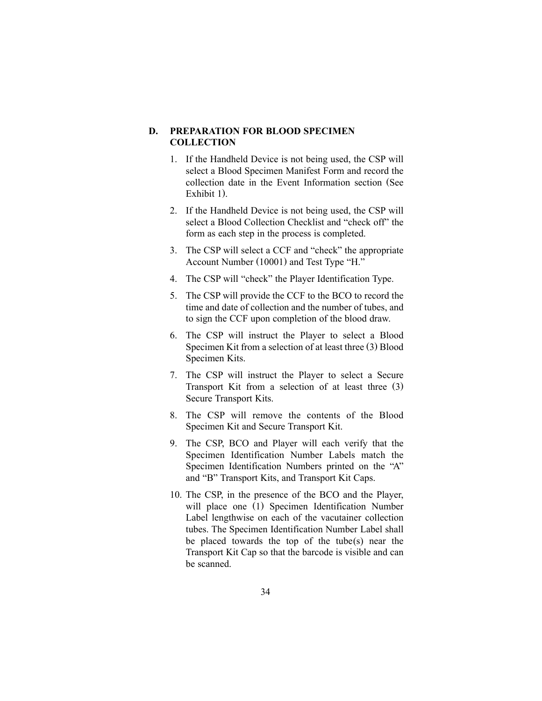### **D. PREPARATION FOR BLOOD SPECIMEN COLLECTION**

- 1. If the Handheld Device is not being used, the CSP will select a Blood Specimen Manifest Form and record the collection date in the Event Information section (See Exhibit 1).
- 2. If the Handheld Device is not being used, the CSP will select a Blood Collection Checklist and "check off" the form as each step in the process is completed.
- 3. The CSP will select a CCF and "check" the appropriate Account Number (10001) and Test Type "H."
- 4. The CSP will "check" the Player Identification Type.
- 5. The CSP will provide the CCF to the BCO to record the time and date of collection and the number of tubes, and to sign the CCF upon completion of the blood draw.
- 6. The CSP will instruct the Player to select a Blood Specimen Kit from a selection of at least three (3) Blood Specimen Kits.
- 7. The CSP will instruct the Player to select a Secure Transport Kit from a selection of at least three (3) Secure Transport Kits.
- 8. The CSP will remove the contents of the Blood Specimen Kit and Secure Transport Kit.
- 9. The CSP, BCO and Player will each verify that the Specimen Identification Number Labels match the Specimen Identification Numbers printed on the "A" and "B" Transport Kits, and Transport Kit Caps.
- 10. The CSP, in the presence of the BCO and the Player, will place one (1) Specimen Identification Number Label lengthwise on each of the vacutainer collection tubes. The Specimen Identification Number Label shall be placed towards the top of the tube(s) near the Transport Kit Cap so that the barcode is visible and can be scanned.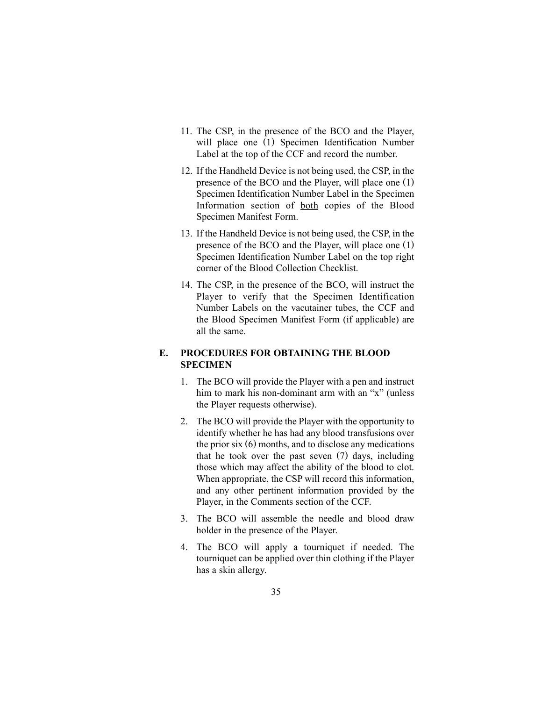- 11. The CSP, in the presence of the BCO and the Player, will place one (1) Specimen Identification Number Label at the top of the CCF and record the number.
- 12. If the Handheld Device is not being used, the CSP, in the presence of the BCO and the Player, will place one (1) Specimen Identification Number Label in the Specimen Information section of both copies of the Blood Specimen Manifest Form.
- 13. If the Handheld Device is not being used, the CSP, in the presence of the BCO and the Player, will place one (1) Specimen Identification Number Label on the top right corner of the Blood Collection Checklist.
- 14. The CSP, in the presence of the BCO, will instruct the Player to verify that the Specimen Identification Number Labels on the vacutainer tubes, the CCF and the Blood Specimen Manifest Form (if applicable) are all the same.

# **E. PROCEDURES FOR OBTAINING THE BLOOD SPECIMEN**

- 1. The BCO will provide the Player with a pen and instruct him to mark his non-dominant arm with an "x" (unless the Player requests otherwise).
- 2. The BCO will provide the Player with the opportunity to identify whether he has had any blood transfusions over the prior six (6) months, and to disclose any medications that he took over the past seven (7) days, including those which may affect the ability of the blood to clot. When appropriate, the CSP will record this information, and any other pertinent information provided by the Player, in the Comments section of the CCF.
- 3. The BCO will assemble the needle and blood draw holder in the presence of the Player.
- 4. The BCO will apply a tourniquet if needed. The tourniquet can be applied over thin clothing if the Player has a skin allergy.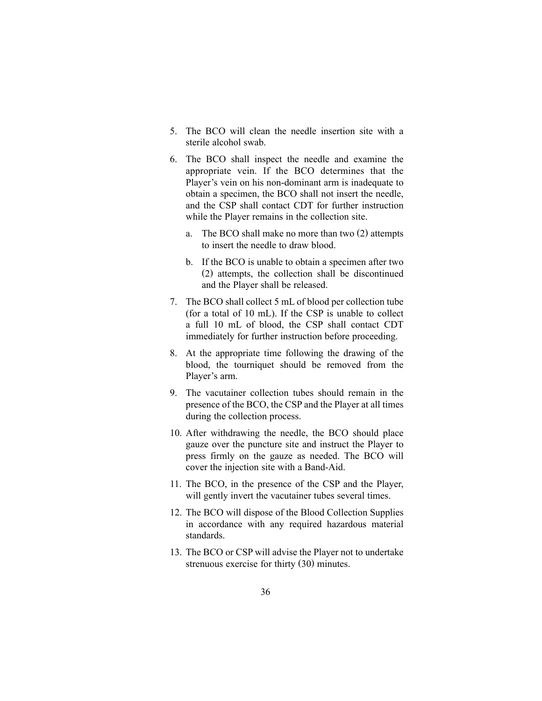- 5. The BCO will clean the needle insertion site with a sterile alcohol swab.
- 6. The BCO shall inspect the needle and examine the appropriate vein. If the BCO determines that the Player's vein on his non-dominant arm is inadequate to obtain a specimen, the BCO shall not insert the needle, and the CSP shall contact CDT for further instruction while the Player remains in the collection site.
	- a. The BCO shall make no more than two (2) attempts to insert the needle to draw blood.
	- b. If the BCO is unable to obtain a specimen after two (2) attempts, the collection shall be discontinued and the Player shall be released.
- 7. The BCO shall collect 5 mL of blood per collection tube (for a total of 10 mL). If the CSP is unable to collect a full 10 mL of blood, the CSP shall contact CDT immediately for further instruction before proceeding.
- 8. At the appropriate time following the drawing of the blood, the tourniquet should be removed from the Player's arm.
- 9. The vacutainer collection tubes should remain in the presence of the BCO, the CSP and the Player at all times during the collection process.
- 10. After withdrawing the needle, the BCO should place gauze over the puncture site and instruct the Player to press firmly on the gauze as needed. The BCO will cover the injection site with a Band-Aid.
- 11. The BCO, in the presence of the CSP and the Player, will gently invert the vacutainer tubes several times.
- 12. The BCO will dispose of the Blood Collection Supplies in accordance with any required hazardous material standards.
- 13. The BCO or CSP will advise the Player not to undertake strenuous exercise for thirty (30) minutes.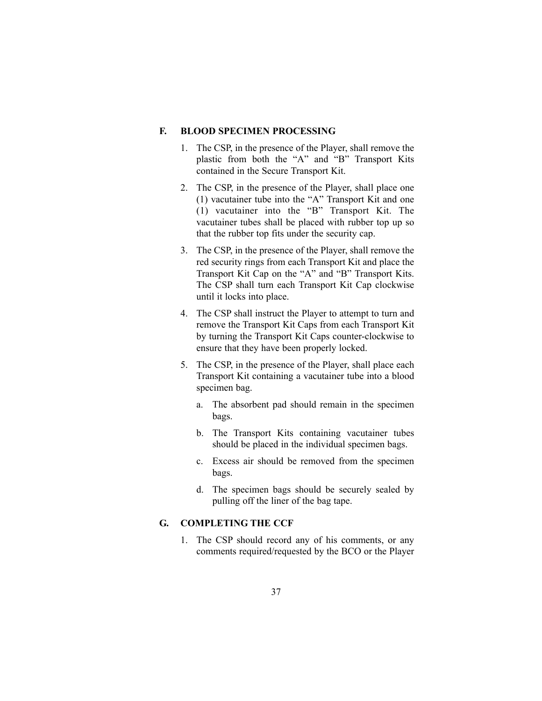#### **F. BLOOD SPECIMEN PROCESSING**

- 1. The CSP, in the presence of the Player, shall remove the plastic from both the "A" and "B" Transport Kits contained in the Secure Transport Kit.
- 2. The CSP, in the presence of the Player, shall place one (1) vacutainer tube into the "A" Transport Kit and one (1) vacutainer into the "B" Transport Kit. The vacutainer tubes shall be placed with rubber top up so that the rubber top fits under the security cap.
- 3. The CSP, in the presence of the Player, shall remove the red security rings from each Transport Kit and place the Transport Kit Cap on the "A" and "B" Transport Kits. The CSP shall turn each Transport Kit Cap clockwise until it locks into place.
- 4. The CSP shall instruct the Player to attempt to turn and remove the Transport Kit Caps from each Transport Kit by turning the Transport Kit Caps counter-clockwise to ensure that they have been properly locked.
- 5. The CSP, in the presence of the Player, shall place each Transport Kit containing a vacutainer tube into a blood specimen bag.
	- a. The absorbent pad should remain in the specimen bags.
	- b. The Transport Kits containing vacutainer tubes should be placed in the individual specimen bags.
	- c. Excess air should be removed from the specimen bags.
	- d. The specimen bags should be securely sealed by pulling off the liner of the bag tape.

# **G. COMPLETING THE CCF**

1. The CSP should record any of his comments, or any comments required/requested by the BCO or the Player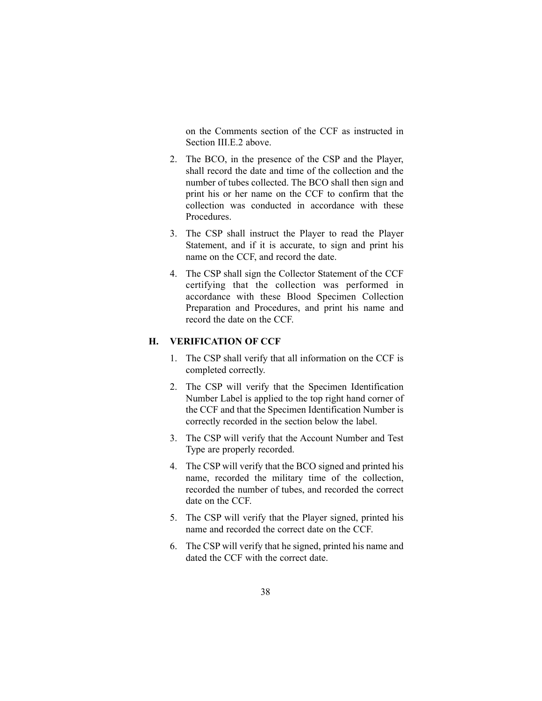on the Comments section of the CCF as instructed in Section III.E.2 above.

- 2. The BCO, in the presence of the CSP and the Player, shall record the date and time of the collection and the number of tubes collected. The BCO shall then sign and print his or her name on the CCF to confirm that the collection was conducted in accordance with these Procedures.
- 3. The CSP shall instruct the Player to read the Player Statement, and if it is accurate, to sign and print his name on the CCF, and record the date.
- 4. The CSP shall sign the Collector Statement of the CCF certifying that the collection was performed in accordance with these Blood Specimen Collection Preparation and Procedures, and print his name and record the date on the CCF.

# **H. VERIFICATION OF CCF**

- 1. The CSP shall verify that all information on the CCF is completed correctly.
- 2. The CSP will verify that the Specimen Identification Number Label is applied to the top right hand corner of the CCF and that the Specimen Identification Number is correctly recorded in the section below the label.
- 3. The CSP will verify that the Account Number and Test Type are properly recorded.
- 4. The CSP will verify that the BCO signed and printed his name, recorded the military time of the collection, recorded the number of tubes, and recorded the correct date on the CCF.
- 5. The CSP will verify that the Player signed, printed his name and recorded the correct date on the CCF.
- 6. The CSP will verify that he signed, printed his name and dated the CCF with the correct date.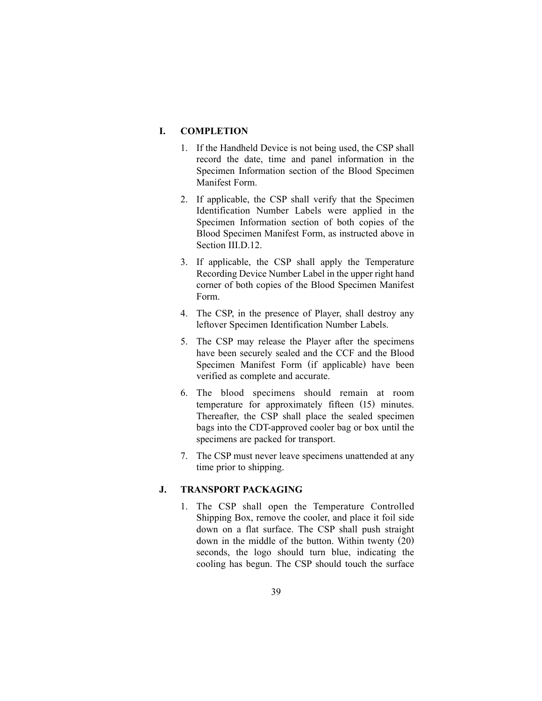# **I. COMPLETION**

- 1. If the Handheld Device is not being used, the CSP shall record the date, time and panel information in the Specimen Information section of the Blood Specimen Manifest Form.
- 2. If applicable, the CSP shall verify that the Specimen Identification Number Labels were applied in the Specimen Information section of both copies of the Blood Specimen Manifest Form, as instructed above in Section III.D.12.
- 3. If applicable, the CSP shall apply the Temperature Recording Device Number Label in the upper right hand corner of both copies of the Blood Specimen Manifest Form.
- 4. The CSP, in the presence of Player, shall destroy any leftover Specimen Identification Number Labels.
- 5. The CSP may release the Player after the specimens have been securely sealed and the CCF and the Blood Specimen Manifest Form (if applicable) have been verified as complete and accurate.
- 6. The blood specimens should remain at room temperature for approximately fifteen (15) minutes. Thereafter, the CSP shall place the sealed specimen bags into the CDT-approved cooler bag or box until the specimens are packed for transport.
- 7. The CSP must never leave specimens unattended at any time prior to shipping.

#### **J. TRANSPORT PACKAGING**

1. The CSP shall open the Temperature Controlled Shipping Box, remove the cooler, and place it foil side down on a flat surface. The CSP shall push straight down in the middle of the button. Within twenty (20) seconds, the logo should turn blue, indicating the cooling has begun. The CSP should touch the surface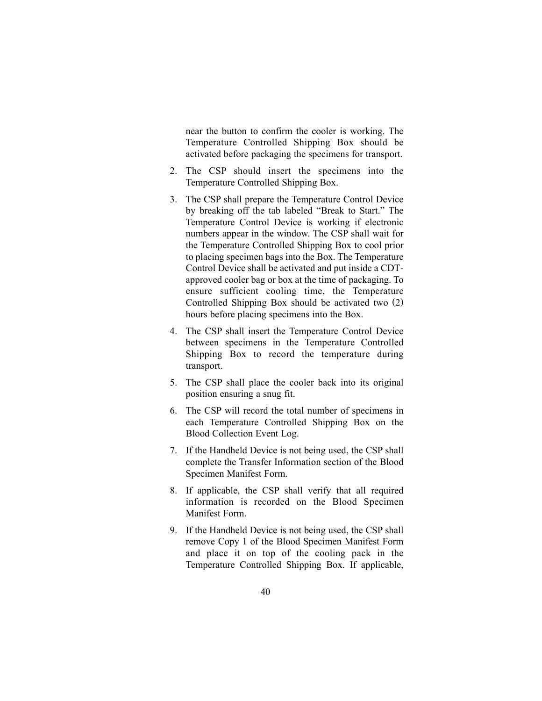near the button to confirm the cooler is working. The Temperature Controlled Shipping Box should be activated before packaging the specimens for transport.

- 2. The CSP should insert the specimens into the Temperature Controlled Shipping Box.
- 3. The CSP shall prepare the Temperature Control Device by breaking off the tab labeled "Break to Start." The Temperature Control Device is working if electronic numbers appear in the window. The CSP shall wait for the Temperature Controlled Shipping Box to cool prior to placing specimen bags into the Box. The Temperature Control Device shall be activated and put inside a CDTapproved cooler bag or box at the time of packaging. To ensure sufficient cooling time, the Temperature Controlled Shipping Box should be activated two (2) hours before placing specimens into the Box.
- 4. The CSP shall insert the Temperature Control Device between specimens in the Temperature Controlled Shipping Box to record the temperature during transport.
- 5. The CSP shall place the cooler back into its original position ensuring a snug fit.
- 6. The CSP will record the total number of specimens in each Temperature Controlled Shipping Box on the Blood Collection Event Log.
- 7. If the Handheld Device is not being used, the CSP shall complete the Transfer Information section of the Blood Specimen Manifest Form.
- 8. If applicable, the CSP shall verify that all required information is recorded on the Blood Specimen Manifest Form.
- 9. If the Handheld Device is not being used, the CSP shall remove Copy 1 of the Blood Specimen Manifest Form and place it on top of the cooling pack in the Temperature Controlled Shipping Box. If applicable,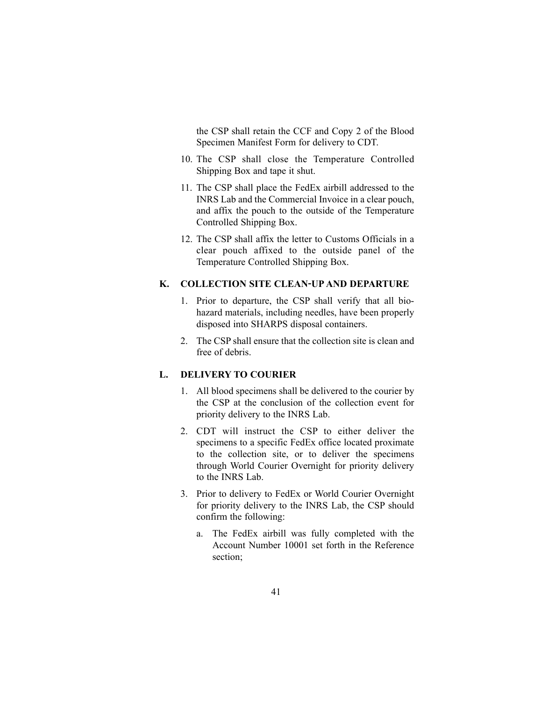the CSP shall retain the CCF and Copy 2 of the Blood Specimen Manifest Form for delivery to CDT.

- 10. The CSP shall close the Temperature Controlled Shipping Box and tape it shut.
- 11. The CSP shall place the FedEx airbill addressed to the INRS Lab and the Commercial Invoice in a clear pouch, and affix the pouch to the outside of the Temperature Controlled Shipping Box.
- 12. The CSP shall affix the letter to Customs Officials in a clear pouch affixed to the outside panel of the Temperature Controlled Shipping Box.

# **K. COLLECTION SITE CLEAN-UP AND DEPARTURE**

- 1. Prior to departure, the CSP shall verify that all biohazard materials, including needles, have been properly disposed into SHARPS disposal containers.
- 2. The CSP shall ensure that the collection site is clean and free of debris.

# **L. DELIVERY TO COURIER**

- 1. All blood specimens shall be delivered to the courier by the CSP at the conclusion of the collection event for priority delivery to the INRS Lab.
- 2. CDT will instruct the CSP to either deliver the specimens to a specific FedEx office located proximate to the collection site, or to deliver the specimens through World Courier Overnight for priority delivery to the INRS Lab.
- 3. Prior to delivery to FedEx or World Courier Overnight for priority delivery to the INRS Lab, the CSP should confirm the following:
	- a. The FedEx airbill was fully completed with the Account Number 10001 set forth in the Reference section;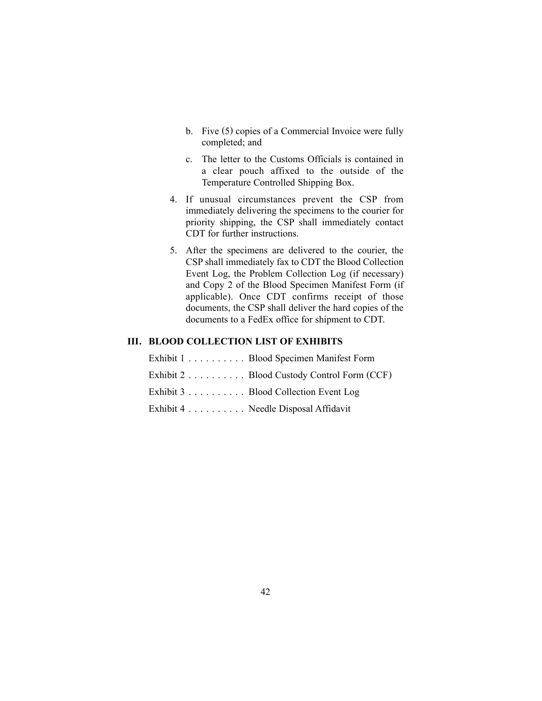- b. Five (5) copies of a Commercial Invoice were fully completed; and
- c. The letter to the Customs Officials is contained in a clear pouch affixed to the outside of the Temperature Controlled Shipping Box.
- 4. If unusual circumstances prevent the CSP from immediately delivering the specimens to the courier for priority shipping, the CSP shall immediately contact CDT for further instructions.
- 5. After the specimens are delivered to the courier, the CSP shall immediately fax to CDT the Blood Collection Event Log, the Problem Collection Log (if necessary) and Copy 2 of the Blood Specimen Manifest Form (if applicable). Once CDT confirms receipt of those documents, the CSP shall deliver the hard copies of the documents to a FedEx office for shipment to CDT.

### **III. BLOOD COLLECTION LIST OF EXHIBITS**

| Exhibit 1 Blood Specimen Manifest Form     |
|--------------------------------------------|
| Exhibit 2 Blood Custody Control Form (CCF) |
| Exhibit 3 Blood Collection Event Log       |
| Exhibit 4 Needle Disposal Affidavit        |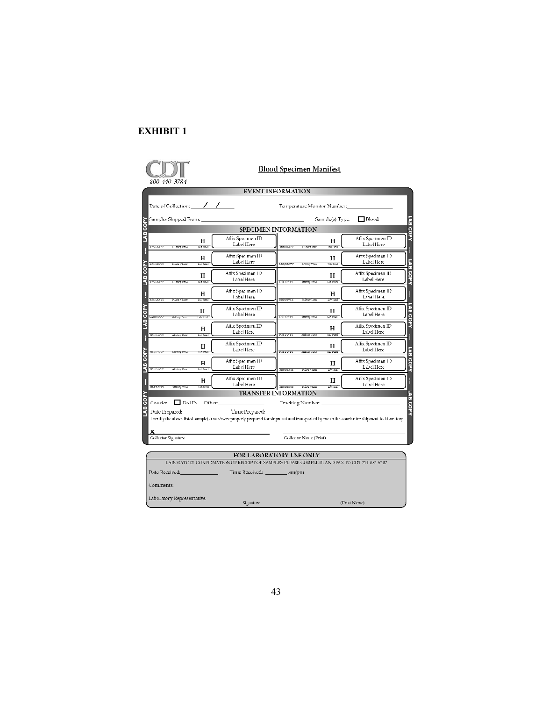

### **Blood Specimen Manifest**

|                                                         |                                  | EVENT INFORMATION                                                                                                                                                         |
|---------------------------------------------------------|----------------------------------|---------------------------------------------------------------------------------------------------------------------------------------------------------------------------|
| Date of Collection: $\angle$ / $\angle$                 |                                  | Temperature Monitor Number:                                                                                                                                               |
| Samples Shipped From: _                                 |                                  | LAB<br>$\Box$ Blood<br>Sample(s) Type:                                                                                                                                    |
|                                                         |                                  | SPECIMEN INFORMATION                                                                                                                                                      |
| н<br>Tab Tonel<br>manner<br>Mittary Time                | Affix Specimen ID<br>Label Here  | COPY<br>Affix Specimen ID<br>н<br>Label Here<br><b>MATTERY</b><br><b>Tah Panel</b><br>Military Time                                                                       |
| н<br><b>Staurence</b><br>Lab Fast<br>Kabupitan          | Affix Specimen II)<br>Label Here | H<br>Affix Specimen II)<br>н<br>Label Here<br>5<br>B<br>Tah Rana<br><b>MMTMVW</b><br><b>Miltrry Thos</b>                                                                  |
| П<br>Lab Tornel<br>MARTAN<br><b>Military Time</b>       | Affix Specimen 11)<br>Label Here | copy<br>Affix Specimen II)<br>н<br>Label Here<br><b>MATION</b><br><b>TAB Parrel</b><br>Military Time                                                                      |
| н<br>Lab Fand<br><b>MAUNOTEE</b><br><b>Hikha FT and</b> | Affix Specimen II)<br>Label Here | Affix Specimen 11)<br>L<br>н<br>Label Here<br>MINTUDIYY<br><b>I'ds Panel</b><br>Military Time                                                                             |
| П<br><b>RESPECTED</b><br>Lab Pund<br>Hiliha y Tasar     | Affix Specimen ID<br>Label Here  | LAB.<br>Affix Specimen ID<br>н<br>Label Here<br><b>MATTEMY</b><br>Mitterp Thos<br><b>Jah Ponel</b>                                                                        |
| н<br><b>MAUDITEE</b><br>Lab Parad<br>Military Taxes     | Affix Specimen ID<br>Label Here  | COPY<br>Aflix Specimen ID<br>н<br>Label Here<br><b>RATURY:</b><br><b>Writes</b><br>Hiliha y Tunc                                                                          |
| н<br><b>MMONT</b><br>lah Tana<br>Military Time          | Aflix Specimen ID<br>Label Here  | i<br>Affix Specimen ID<br>н<br>E<br>Label Here<br><b>ECONOMICS</b><br><b>Writes</b><br><b>Hiliha y Tunc</b>                                                               |
| н<br>Lab Arres<br><b>MAUDUCE</b><br>Militar Taur        | Affix Specimen 11)<br>Label Here | COPY<br>Affix Specimen 1D<br>П<br>Label Here<br><b>HATULYES</b><br>tab Pare<br>Hiller Tune                                                                                |
| н<br><b>MATION</b><br><b>Ablant</b><br>Mitterp Thos     | Affix Specimen 11)<br>Lahel Here | Affix Specimen 11)<br>H<br>н<br>Label Here<br>tab Puzel<br>MANDON<br>Hiliha y Tunc                                                                                        |
|                                                         |                                  | LAB.<br><b>TRANSFER INFORMATION</b>                                                                                                                                       |
| Courier: $\Box$ Fed Ex Other:<br>Date Prepared:         | Time Prepared:                   | Tracking Number:<br>COPY<br>I certify the above listed sample(s) was/were properly prepared for shipment and transported by me to the courier for shipment to laboratory. |
| Collector Signature                                     |                                  | Collector Name (Print)                                                                                                                                                    |
| Date Received: 2008. [19] Date Received:                | Time Received: _________ am/pm   | FOR LABORATORY USE ONLY<br>LABORATORY CONFIRMATION OF RECRIPT OF SAMPLES: PLEASE COMPLETE AND FAX TO CDT 714 852 5267                                                     |
| Comments:                                               |                                  |                                                                                                                                                                           |
| Laboratory Representative:                              |                                  | d'Europa N.T.                                                                                                                                                             |

Signature

 $(Print Name)$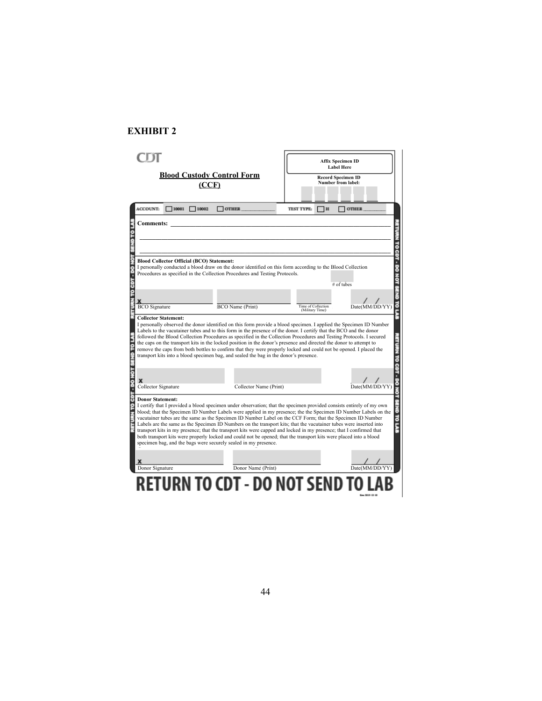|                                                                                                                                                                                                                                                                                                                                                                                                                                                                                                                                                                                                                                                                                                                                    | <b>Affix Specimen ID</b><br><b>Label Here</b>                                                              |
|------------------------------------------------------------------------------------------------------------------------------------------------------------------------------------------------------------------------------------------------------------------------------------------------------------------------------------------------------------------------------------------------------------------------------------------------------------------------------------------------------------------------------------------------------------------------------------------------------------------------------------------------------------------------------------------------------------------------------------|------------------------------------------------------------------------------------------------------------|
| <b>Blood Custody Control Form</b><br>(CCF)                                                                                                                                                                                                                                                                                                                                                                                                                                                                                                                                                                                                                                                                                         | <b>Record Specimen ID</b><br>Number from label:                                                            |
| <b>ACCOUNT:</b><br>$\Box$ 10001 $\Box$ 10002<br>$\Box$ OTHER                                                                                                                                                                                                                                                                                                                                                                                                                                                                                                                                                                                                                                                                       | OTHER<br><b>TEST TYPE:</b><br>$\overline{a}$                                                               |
| <b>Comments:</b>                                                                                                                                                                                                                                                                                                                                                                                                                                                                                                                                                                                                                                                                                                                   |                                                                                                            |
|                                                                                                                                                                                                                                                                                                                                                                                                                                                                                                                                                                                                                                                                                                                                    |                                                                                                            |
|                                                                                                                                                                                                                                                                                                                                                                                                                                                                                                                                                                                                                                                                                                                                    |                                                                                                            |
| <b>Blood Collector Official (BCO) Statement:</b><br>I personally conducted a blood draw on the donor identified on this form according to the Blood Collection<br>Procedures as specified in the Collection Procedures and Testing Protocols.                                                                                                                                                                                                                                                                                                                                                                                                                                                                                      | # of tubes                                                                                                 |
|                                                                                                                                                                                                                                                                                                                                                                                                                                                                                                                                                                                                                                                                                                                                    |                                                                                                            |
| <b>BCO</b> Signature<br>BCO Name (Print)                                                                                                                                                                                                                                                                                                                                                                                                                                                                                                                                                                                                                                                                                           | Time of Collection<br>(Military Time)<br>Date(MM/DD/YY)                                                    |
| <b>Collector Statement:</b><br>I personally observed the donor identified on this form provide a blood specimen. I applied the Specimen ID Number<br>Labels to the vacutainer tubes and to this form in the presence of the donor. I certify that the BCO and the donor<br>followed the Blood Collection Procedures as specified in the Collection Procedures and Testing Protocols. I secured<br>the caps on the transport kits in the locked position in the donor's presence and directed the donor to attempt to<br>remove the caps from both bottles to confirm that they were properly locked and could not be opened. I placed the<br>transport kits into a blood specimen bag, and sealed the bag in the donor's presence. |                                                                                                            |
| x<br>Collector Signature<br>Collector Name (Print)                                                                                                                                                                                                                                                                                                                                                                                                                                                                                                                                                                                                                                                                                 | Date(MM/DD/YY)                                                                                             |
| CBT - DO NOT<br><b>Donor Statement:</b><br>I certify that I provided a blood specimen under observation; that the specimen provided consists entirely of my own<br>blood; that the Specimen ID Number Labels were applied in my presence; the the Specimen ID Number Labels on the                                                                                                                                                                                                                                                                                                                                                                                                                                                 | vacutainer tubes are the same as the Specimen ID Number Label on the CCF Form; that the Specimen ID Number |
| Labels are the same as the Specimen ID Numbers on the transport kits; that the vacutainer tubes were inserted into<br>transport kits in my presence; that the transport kits were capped and locked in my presence; that I confirmed that<br>both transport kits were properly locked and could not be opened; that the transport kits were placed into a blood<br>specimen bag, and the bags were securely sealed in my presence.                                                                                                                                                                                                                                                                                                 |                                                                                                            |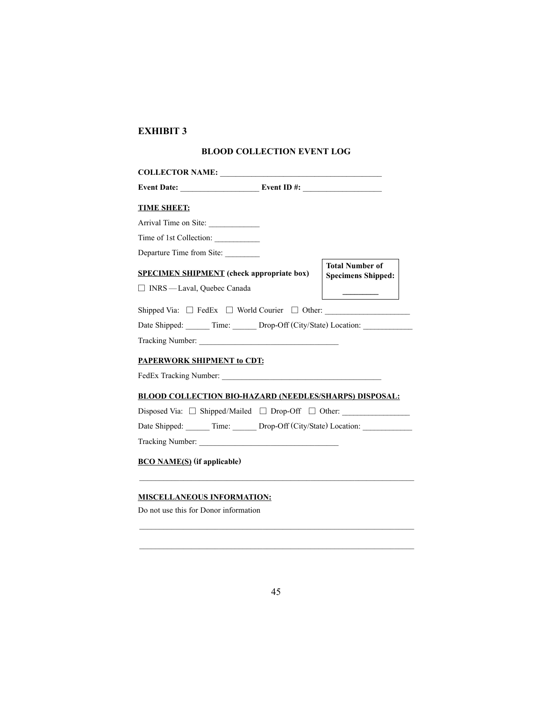# **BLOOD COLLECTION EVENT LOG**

| Event Date: $\_\_\_\_\_\_\_\$ Event ID #: $\_\_\_\_\_\_\_\_\_\_\_\_\_\_\_\_\_\_\_\_\_\_\_$ |                                                     |
|--------------------------------------------------------------------------------------------|-----------------------------------------------------|
| <b>TIME SHEET:</b>                                                                         |                                                     |
| Arrival Time on Site:                                                                      |                                                     |
| Time of 1st Collection:                                                                    |                                                     |
| Departure Time from Site:                                                                  |                                                     |
| <b>SPECIMEN SHIPMENT</b> (check appropriate box)                                           | <b>Total Number of</b><br><b>Specimens Shipped:</b> |
| □ INRS - Laval, Quebec Canada                                                              |                                                     |
| Shipped Via: $\Box$ FedEx $\Box$ World Courier $\Box$ Other:                               |                                                     |
| Date Shipped: Time: Drop-Off (City/State) Location:                                        |                                                     |
| Tracking Number:                                                                           |                                                     |
| PAPERWORK SHIPMENT to CDT:                                                                 |                                                     |
|                                                                                            |                                                     |
| <b>BLOOD COLLECTION BIO-HAZARD (NEEDLES/SHARPS) DISPOSAL:</b>                              |                                                     |
| Disposed Via: $\Box$ Shipped/Mailed $\Box$ Drop-Off $\Box$ Other:                          |                                                     |
| Date Shipped: ______ Time: ______ Drop-Off (City/State) Location: _____________            |                                                     |
| Tracking Number:                                                                           |                                                     |
| <b>BCO NAME(S)</b> (if applicable)                                                         |                                                     |

# **MISCELLANEOUS INFORMATION:**

Do not use this for Donor information

\_\_\_\_\_\_\_\_\_\_\_\_\_\_\_\_\_\_\_\_\_\_\_\_\_\_\_\_\_\_\_\_\_\_\_\_\_\_\_\_\_\_\_\_\_\_\_\_\_\_\_\_\_\_\_\_\_\_\_\_\_\_\_\_\_\_\_\_\_